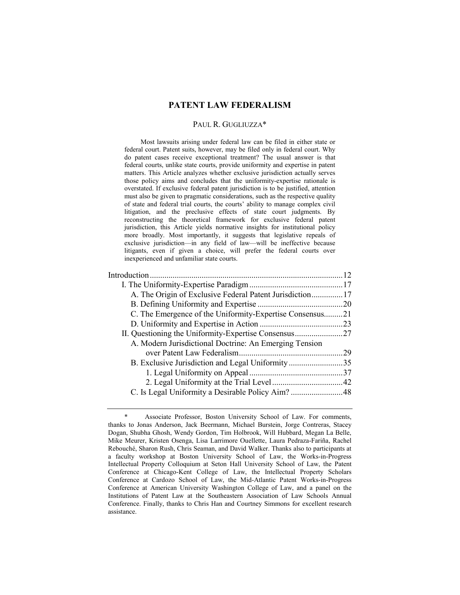# **PATENT LAW FEDERALISM**

## PAUL R. GUGLIUZZA\*

 Most lawsuits arising under federal law can be filed in either state or federal court. Patent suits, however, may be filed only in federal court. Why do patent cases receive exceptional treatment? The usual answer is that federal courts, unlike state courts, provide uniformity and expertise in patent matters. This Article analyzes whether exclusive jurisdiction actually serves those policy aims and concludes that the uniformity-expertise rationale is overstated. If exclusive federal patent jurisdiction is to be justified, attention must also be given to pragmatic considerations, such as the respective quality of state and federal trial courts, the courts' ability to manage complex civil litigation, and the preclusive effects of state court judgments. By reconstructing the theoretical framework for exclusive federal patent jurisdiction, this Article yields normative insights for institutional policy more broadly. Most importantly, it suggests that legislative repeals of exclusive jurisdiction—in any field of law—will be ineffective because litigants, even if given a choice, will prefer the federal courts over inexperienced and unfamiliar state courts.

| A. The Origin of Exclusive Federal Patent Jurisdiction17 |      |
|----------------------------------------------------------|------|
|                                                          |      |
| C. The Emergence of the Uniformity-Expertise Consensus21 |      |
|                                                          |      |
|                                                          |      |
| A. Modern Jurisdictional Doctrine: An Emerging Tension   |      |
|                                                          | - 29 |
| B. Exclusive Jurisdiction and Legal Uniformity35         |      |
|                                                          |      |
|                                                          |      |
|                                                          |      |
|                                                          |      |

Associate Professor, Boston University School of Law. For comments, thanks to Jonas Anderson, Jack Beermann, Michael Burstein, Jorge Contreras, Stacey Dogan, Shubha Ghosh, Wendy Gordon, Tim Holbrook, Will Hubbard, Megan La Belle, Mike Meurer, Kristen Osenga, Lisa Larrimore Ouellette, Laura Pedraza-Fariña, Rachel Rebouché, Sharon Rush, Chris Seaman, and David Walker. Thanks also to participants at a faculty workshop at Boston University School of Law, the Works-in-Progress Intellectual Property Colloquium at Seton Hall University School of Law, the Patent Conference at Chicago-Kent College of Law, the Intellectual Property Scholars Conference at Cardozo School of Law, the Mid-Atlantic Patent Works-in-Progress Conference at American University Washington College of Law, and a panel on the Institutions of Patent Law at the Southeastern Association of Law Schools Annual Conference. Finally, thanks to Chris Han and Courtney Simmons for excellent research assistance.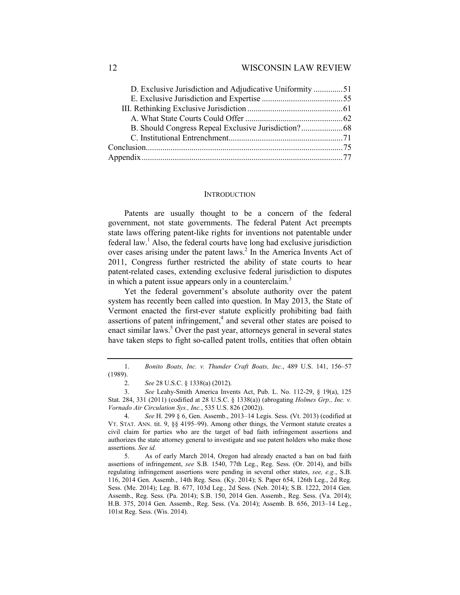## **INTRODUCTION**

Patents are usually thought to be a concern of the federal government, not state governments. The federal Patent Act preempts state laws offering patent-like rights for inventions not patentable under federal law.<sup>1</sup> Also, the federal courts have long had exclusive jurisdiction over cases arising under the patent laws.<sup>2</sup> In the America Invents Act of 2011, Congress further restricted the ability of state courts to hear patent-related cases, extending exclusive federal jurisdiction to disputes in which a patent issue appears only in a counterclaim.<sup>3</sup>

Yet the federal government's absolute authority over the patent system has recently been called into question. In May 2013, the State of Vermont enacted the first-ever statute explicitly prohibiting bad faith assertions of patent infringement,<sup>4</sup> and several other states are poised to enact similar laws.<sup>5</sup> Over the past year, attorneys general in several states have taken steps to fight so-called patent trolls, entities that often obtain

 <sup>1.</sup> *Bonito Boats, Inc. v. Thunder Craft Boats, Inc.*, 489 U.S. 141, 156–57 (1989).

 <sup>2.</sup> *See* 28 U.S.C. § 1338(a) (2012).

 <sup>3.</sup> *See* Leahy-Smith America Invents Act, Pub. L. No. 112-29, § 19(a), 125 Stat. 284, 331 (2011) (codified at 28 U.S.C. § 1338(a)) (abrogating *Holmes Grp., Inc. v. Vornado Air Circulation Sys., Inc.*, 535 U.S. 826 (2002)).

 <sup>4.</sup> *See* H. 299 § 6, Gen. Assemb., 2013–14 Legis. Sess. (Vt. 2013) (codified at VT. STAT. ANN. tit. 9, §§ 4195–99). Among other things, the Vermont statute creates a civil claim for parties who are the target of bad faith infringement assertions and authorizes the state attorney general to investigate and sue patent holders who make those assertions. *See id.* 

 <sup>5.</sup> As of early March 2014, Oregon had already enacted a ban on bad faith assertions of infringement, *see* S.B. 1540, 77th Leg., Reg. Sess. (Or. 2014), and bills regulating infringement assertions were pending in several other states, *see, e.g.*, S.B. 116, 2014 Gen. Assemb., 14th Reg. Sess. (Ky. 2014); S. Paper 654, 126th Leg., 2d Reg. Sess. (Me. 2014); Leg. B. 677, 103d Leg., 2d Sess. (Neb. 2014); S.B. 1222, 2014 Gen. Assemb., Reg. Sess. (Pa. 2014); S.B. 150, 2014 Gen. Assemb., Reg. Sess. (Va. 2014); H.B. 375, 2014 Gen. Assemb., Reg. Sess. (Va. 2014); Assemb. B. 656, 2013–14 Leg., 101st Reg. Sess. (Wis. 2014).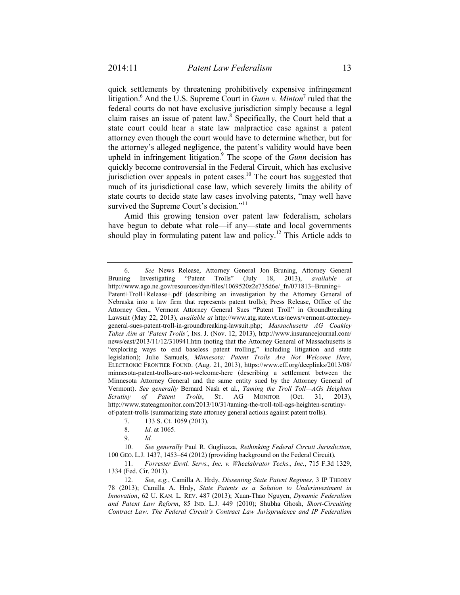quick settlements by threatening prohibitively expensive infringement litigation.<sup>6</sup> And the U.S. Supreme Court in *Gunn v. Minton*<sup>7</sup> ruled that the federal courts do not have exclusive jurisdiction simply because a legal claim raises an issue of patent law. $8$  Specifically, the Court held that a state court could hear a state law malpractice case against a patent attorney even though the court would have to determine whether, but for the attorney's alleged negligence, the patent's validity would have been upheld in infringement litigation.<sup>9</sup> The scope of the *Gunn* decision has quickly become controversial in the Federal Circuit, which has exclusive jurisdiction over appeals in patent cases.<sup>10</sup> The court has suggested that much of its jurisdictional case law, which severely limits the ability of state courts to decide state law cases involving patents, "may well have survived the Supreme Court's decision."<sup>11</sup>

Amid this growing tension over patent law federalism, scholars have begun to debate what role—if any—state and local governments should play in formulating patent law and policy.<sup>12</sup> This Article adds to

 10. *See generally* Paul R. Gugliuzza, *Rethinking Federal Circuit Jurisdiction*, 100 GEO. L.J. 1437, 1453–64 (2012) (providing background on the Federal Circuit).

 11. *Forrester Envtl. Servs., Inc. v. Wheelabrator Techs., Inc.*, 715 F.3d 1329, 1334 (Fed. Cir. 2013).

 12. *See, e.g.*, Camilla A. Hrdy, *Dissenting State Patent Regimes*, 3 IP THEORY 78 (2013); Camilla A. Hrdy, *State Patents as a Solution to Underinvestment in Innovation*, 62 U. KAN. L. REV. 487 (2013); Xuan-Thao Nguyen, *Dynamic Federalism and Patent Law Reform*, 85 IND. L.J. 449 (2010); Shubha Ghosh, *Short-Circuiting Contract Law: The Federal Circuit's Contract Law Jurisprudence and IP Federalism*

 <sup>6.</sup> *See* News Release, Attorney General Jon Bruning, Attorney General Bruning Investigating "Patent Trolls" (July 18, 2013), *available at*  http://www.ago.ne.gov/resources/dyn/files/1069520z2e735d6e/\_fn/071813+Bruning+ Patent+Troll+Release+.pdf (describing an investigation by the Attorney General of Nebraska into a law firm that represents patent trolls); Press Release, Office of the Attorney Gen., Vermont Attorney General Sues "Patent Troll" in Groundbreaking Lawsuit (May 22, 2013), *available at* http://www.atg.state.vt.us/news/vermont-attorneygeneral-sues-patent-troll-in-groundbreaking-lawsuit.php; *Massachusetts AG Coakley Takes Aim at 'Patent Trolls'*, INS. J. (Nov. 12, 2013), http://www.insurancejournal.com/ news/east/2013/11/12/310941.htm (noting that the Attorney General of Massachusetts is "exploring ways to end baseless patent trolling," including litigation and state legislation); Julie Samuels, *Minnesota: Patent Trolls Are Not Welcome Here*, ELECTRONIC FRONTIER FOUND. (Aug. 21, 2013), https://www.eff.org/deeplinks/2013/08/ minnesota-patent-trolls-are-not-welcome-here (describing a settlement between the Minnesota Attorney General and the same entity sued by the Attorney General of Vermont). *See generally* Bernard Nash et al., *Taming the Troll Toll—AGs Heighten Scrutiny of Patent Trolls*, ST. AG MONITOR (Oct. 31, 2013), http://www.stateagmonitor.com/2013/10/31/taming-the-troll-toll-ags-heighten-scrutinyof-patent-trolls (summarizing state attorney general actions against patent trolls).

 <sup>7. 133</sup> S. Ct. 1059 (2013).

 <sup>8.</sup> *Id.* at 1065.

 <sup>9.</sup> *Id.*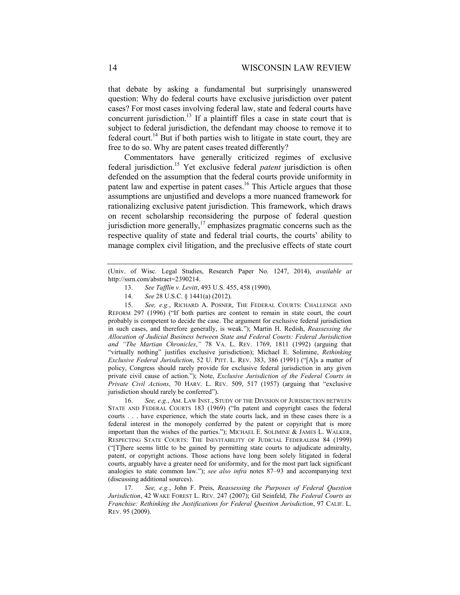that debate by asking a fundamental but surprisingly unanswered question: Why do federal courts have exclusive jurisdiction over patent cases? For most cases involving federal law, state and federal courts have concurrent jurisdiction.<sup>13</sup> If a plaintiff files a case in state court that is subject to federal jurisdiction, the defendant may choose to remove it to federal court.<sup>14</sup> But if both parties wish to litigate in state court, they are free to do so. Why are patent cases treated differently?

Commentators have generally criticized regimes of exclusive federal jurisdiction.15 Yet exclusive federal *patent* jurisdiction is often defended on the assumption that the federal courts provide uniformity in patent law and expertise in patent cases.<sup>16</sup> This Article argues that those assumptions are unjustified and develops a more nuanced framework for rationalizing exclusive patent jurisdiction. This framework, which draws on recent scholarship reconsidering the purpose of federal question jurisdiction more generally, $\frac{17}{2}$  emphasizes pragmatic concerns such as the respective quality of state and federal trial courts, the courts' ability to manage complex civil litigation, and the preclusive effects of state court

- 13. *See Tafflin v. Levitt*, 493 U.S. 455, 458 (1990).
- 14. *See* 28 U.S.C. § 1441(a) (2012).

 15. *See, e.g.*, RICHARD A. POSNER, THE FEDERAL COURTS: CHALLENGE AND REFORM 297 (1996) ("If both parties are content to remain in state court, the court probably is competent to decide the case. The argument for exclusive federal jurisdiction in such cases, and therefore generally, is weak."); Martin H. Redish, *Reassessing the Allocation of Judicial Business between State and Federal Courts: Federal Jurisdiction and "The Martian Chronicles*,*"* 78 VA. L. REV. 1769, 1811 (1992) (arguing that "virtually nothing" justifies exclusive jurisdiction); Michael E. Solimine, *Rethinking Exclusive Federal Jurisdiction*, 52 U. PITT. L. REV. 383, 386 (1991) ("[A]s a matter of policy, Congress should rarely provide for exclusive federal jurisdiction in any given private civil cause of action."); Note, *Exclusive Jurisdiction of the Federal Courts in Private Civil Actions*, 70 HARV. L. REV. 509, 517 (1957) (arguing that "exclusive jurisdiction should rarely be conferred").

 16. *See, e.g.*, AM. LAW INST., STUDY OF THE DIVISION OF JURISDICTION BETWEEN STATE AND FEDERAL COURTS 183 (1969) ("In patent and copyright cases the federal courts . . . have experience, which the state courts lack, and in these cases there is a federal interest in the monopoly conferred by the patent or copyright that is more important than the wishes of the parties."); MICHAEL E. SOLIMINE & JAMES L. WALKER, RESPECTING STATE COURTS: THE INEVITABILITY OF JUDICIAL FEDERALISM 84 (1999) ("[T]here seems little to be gained by permitting state courts to adjudicate admiralty, patent, or copyright actions. Those actions have long been solely litigated in federal courts, arguably have a greater need for uniformity, and for the most part lack significant analogies to state common law."); *see also infra* notes 87–93 and accompanying text (discussing additional sources).

 17. *See, e.g.*, John F. Preis, *Reassessing the Purposes of Federal Question Jurisdiction*, 42 WAKE FOREST L. REV. 247 (2007); Gil Seinfeld, *The Federal Courts as Franchise: Rethinking the Justifications for Federal Question Jurisdiction*, 97 CALIF. L. REV. 95 (2009).

<sup>(</sup>Univ. of Wisc. Legal Studies, Research Paper No. 1247, 2014), *available at* http://ssrn.com/abstract=2390214.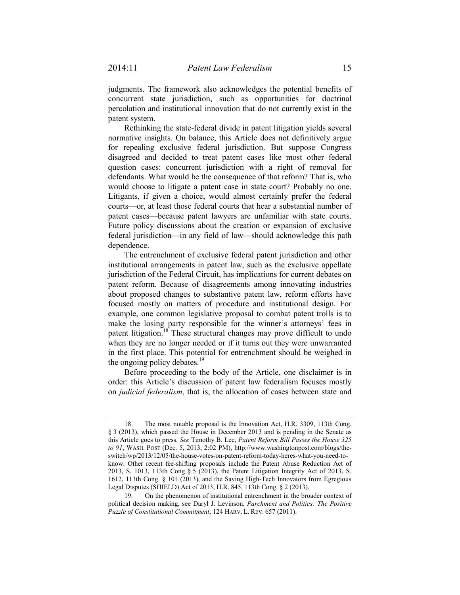judgments. The framework also acknowledges the potential benefits of concurrent state jurisdiction, such as opportunities for doctrinal percolation and institutional innovation that do not currently exist in the patent system.

Rethinking the state-federal divide in patent litigation yields several normative insights. On balance, this Article does not definitively argue for repealing exclusive federal jurisdiction. But suppose Congress disagreed and decided to treat patent cases like most other federal question cases: concurrent jurisdiction with a right of removal for defendants. What would be the consequence of that reform? That is, who would choose to litigate a patent case in state court? Probably no one. Litigants, if given a choice, would almost certainly prefer the federal courts—or, at least those federal courts that hear a substantial number of patent cases—because patent lawyers are unfamiliar with state courts. Future policy discussions about the creation or expansion of exclusive federal jurisdiction—in any field of law—should acknowledge this path dependence.

The entrenchment of exclusive federal patent jurisdiction and other institutional arrangements in patent law, such as the exclusive appellate jurisdiction of the Federal Circuit, has implications for current debates on patent reform. Because of disagreements among innovating industries about proposed changes to substantive patent law, reform efforts have focused mostly on matters of procedure and institutional design. For example, one common legislative proposal to combat patent trolls is to make the losing party responsible for the winner's attorneys' fees in patent litigation.<sup>18</sup> These structural changes may prove difficult to undo when they are no longer needed or if it turns out they were unwarranted in the first place. This potential for entrenchment should be weighed in the ongoing policy debates. $^{19}$ 

Before proceeding to the body of the Article, one disclaimer is in order: this Article's discussion of patent law federalism focuses mostly on *judicial federalism*, that is, the allocation of cases between state and

 <sup>18.</sup> The most notable proposal is the Innovation Act, H.R. 3309, 113th Cong. § 3 (2013), which passed the House in December 2013 and is pending in the Senate as this Article goes to press. *See* Timothy B. Lee, *Patent Reform Bill Passes the House 325 to 91*, WASH. POST (Dec. 5, 2013, 2:02 PM), http://www.washingtonpost.com/blogs/theswitch/wp/2013/12/05/the-house-votes-on-patent-reform-today-heres-what-you-need-toknow. Other recent fee-shifting proposals include the Patent Abuse Reduction Act of 2013, S. 1013, 113th Cong § 5 (2013), the Patent Litigation Integrity Act of 2013, S. 1612, 113th Cong. § 101 (2013), and the Saving High-Tech Innovators from Egregious Legal Disputes (SHIELD) Act of 2013, H.R. 845, 113th Cong. § 2 (2013).

 <sup>19.</sup> On the phenomenon of institutional entrenchment in the broader context of political decision making, see Daryl J. Levinson, *Parchment and Politics: The Positive Puzzle of Constitutional Commitment*, 124 HARV. L. REV. 657 (2011).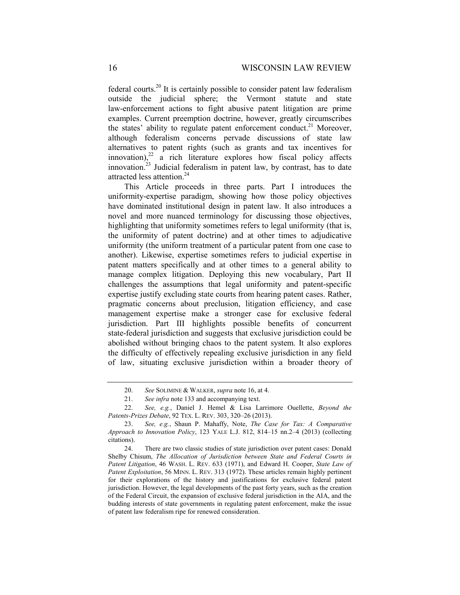federal courts.<sup>20</sup> It is certainly possible to consider patent law federalism outside the judicial sphere; the Vermont statute and state law-enforcement actions to fight abusive patent litigation are prime examples. Current preemption doctrine, however, greatly circumscribes the states' ability to regulate patent enforcement conduct.<sup>21</sup> Moreover, although federalism concerns pervade discussions of state law alternatives to patent rights (such as grants and tax incentives for  $innovation$ ,<sup>22</sup> a rich literature explores how fiscal policy affects innovation.<sup>23</sup> Judicial federalism in patent law, by contrast, has to date attracted less attention.<sup>24</sup>

This Article proceeds in three parts. Part I introduces the uniformity-expertise paradigm, showing how those policy objectives have dominated institutional design in patent law. It also introduces a novel and more nuanced terminology for discussing those objectives, highlighting that uniformity sometimes refers to legal uniformity (that is, the uniformity of patent doctrine) and at other times to adjudicative uniformity (the uniform treatment of a particular patent from one case to another). Likewise, expertise sometimes refers to judicial expertise in patent matters specifically and at other times to a general ability to manage complex litigation. Deploying this new vocabulary, Part II challenges the assumptions that legal uniformity and patent-specific expertise justify excluding state courts from hearing patent cases. Rather, pragmatic concerns about preclusion, litigation efficiency, and case management expertise make a stronger case for exclusive federal jurisdiction. Part III highlights possible benefits of concurrent state-federal jurisdiction and suggests that exclusive jurisdiction could be abolished without bringing chaos to the patent system. It also explores the difficulty of effectively repealing exclusive jurisdiction in any field of law, situating exclusive jurisdiction within a broader theory of

 <sup>20.</sup> *See* SOLIMINE & WALKER, *supra* note 16, at 4.

 <sup>21.</sup> *See infra* note 133 and accompanying text.

 <sup>22.</sup> *See, e.g.*, Daniel J. Hemel & Lisa Larrimore Ouellette, *Beyond the Patents-Prizes Debate*, 92 TEX. L. REV. 303, 320–26 (2013).

 <sup>23.</sup> *See, e.g.*, Shaun P. Mahaffy, Note, *The Case for Tax: A Comparative Approach to Innovation Policy*, 123 YALE L.J. 812, 814–15 nn.2–4 (2013) (collecting citations).

 <sup>24.</sup> There are two classic studies of state jurisdiction over patent cases: Donald Shelby Chisum, *The Allocation of Jurisdiction between State and Federal Courts in Patent Litigation*, 46 WASH. L. REV. 633 (1971), and Edward H. Cooper, *State Law of Patent Exploitation*, 56 MINN. L. REV. 313 (1972). These articles remain highly pertinent for their explorations of the history and justifications for exclusive federal patent jurisdiction. However, the legal developments of the past forty years, such as the creation of the Federal Circuit, the expansion of exclusive federal jurisdiction in the AIA, and the budding interests of state governments in regulating patent enforcement, make the issue of patent law federalism ripe for renewed consideration.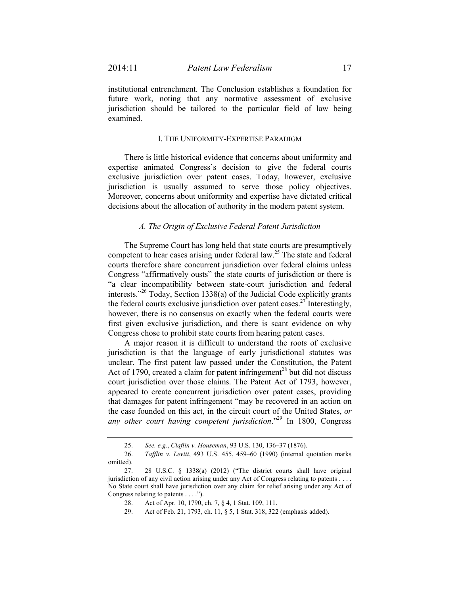institutional entrenchment. The Conclusion establishes a foundation for future work, noting that any normative assessment of exclusive jurisdiction should be tailored to the particular field of law being examined.

#### I. THE UNIFORMITY-EXPERTISE PARADIGM

There is little historical evidence that concerns about uniformity and expertise animated Congress's decision to give the federal courts exclusive jurisdiction over patent cases. Today, however, exclusive jurisdiction is usually assumed to serve those policy objectives. Moreover, concerns about uniformity and expertise have dictated critical decisions about the allocation of authority in the modern patent system.

#### *A. The Origin of Exclusive Federal Patent Jurisdiction*

The Supreme Court has long held that state courts are presumptively competent to hear cases arising under federal law.<sup>25</sup> The state and federal courts therefore share concurrent jurisdiction over federal claims unless Congress "affirmatively ousts" the state courts of jurisdiction or there is "a clear incompatibility between state-court jurisdiction and federal interests."26 Today, Section 1338(a) of the Judicial Code explicitly grants the federal courts exclusive jurisdiction over patent cases.<sup>27</sup> Interestingly, however, there is no consensus on exactly when the federal courts were first given exclusive jurisdiction, and there is scant evidence on why Congress chose to prohibit state courts from hearing patent cases.

A major reason it is difficult to understand the roots of exclusive jurisdiction is that the language of early jurisdictional statutes was unclear. The first patent law passed under the Constitution, the Patent Act of 1790, created a claim for patent infringement<sup>28</sup> but did not discuss court jurisdiction over those claims. The Patent Act of 1793, however, appeared to create concurrent jurisdiction over patent cases, providing that damages for patent infringement "may be recovered in an action on the case founded on this act, in the circuit court of the United States, *or any other court having competent jurisdiction*."29 In 1800, Congress

 <sup>25.</sup> *See, e.g.*, *Claflin v. Houseman*, 93 U.S. 130, 136–37 (1876).

 <sup>26.</sup> *Tafflin v. Levitt*, 493 U.S. 455, 459–60 (1990) (internal quotation marks omitted).

 <sup>27. 28</sup> U.S.C. § 1338(a) (2012) ("The district courts shall have original jurisdiction of any civil action arising under any Act of Congress relating to patents . . . . No State court shall have jurisdiction over any claim for relief arising under any Act of Congress relating to patents . . . .").

 <sup>28.</sup> Act of Apr. 10, 1790, ch. 7, § 4, 1 Stat. 109, 111.

 <sup>29.</sup> Act of Feb. 21, 1793, ch. 11, § 5, 1 Stat. 318, 322 (emphasis added).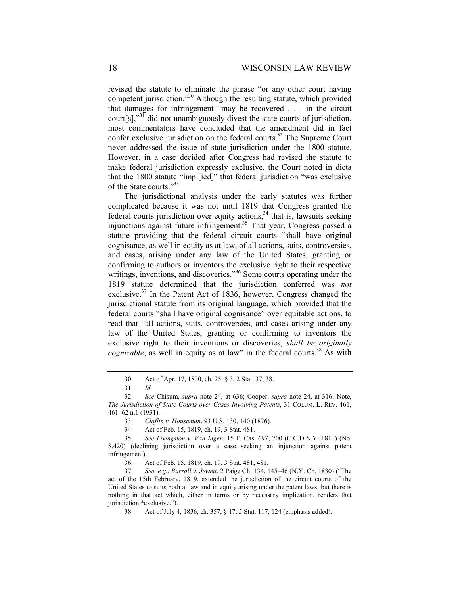revised the statute to eliminate the phrase "or any other court having competent jurisdiction."30 Although the resulting statute, which provided that damages for infringement "may be recovered . . . in the circuit court[s],"31 did not unambiguously divest the state courts of jurisdiction, most commentators have concluded that the amendment did in fact confer exclusive jurisdiction on the federal courts.<sup>32</sup> The Supreme Court never addressed the issue of state jurisdiction under the 1800 statute. However, in a case decided after Congress had revised the statute to make federal jurisdiction expressly exclusive, the Court noted in dicta that the 1800 statute "impl[ied]" that federal jurisdiction "was exclusive of the State courts."33

The jurisdictional analysis under the early statutes was further complicated because it was not until 1819 that Congress granted the federal courts jurisdiction over equity actions,  $34$  that is, lawsuits seeking injunctions against future infringement.<sup>35</sup> That year, Congress passed a statute providing that the federal circuit courts "shall have original cognisance, as well in equity as at law, of all actions, suits, controversies, and cases, arising under any law of the United States, granting or confirming to authors or inventors the exclusive right to their respective writings, inventions, and discoveries."<sup>36</sup> Some courts operating under the 1819 statute determined that the jurisdiction conferred was *not* exclusive.37 In the Patent Act of 1836, however, Congress changed the jurisdictional statute from its original language, which provided that the federal courts "shall have original cognisance" over equitable actions, to read that "all actions, suits, controversies, and cases arising under any law of the United States, granting or confirming to inventors the exclusive right to their inventions or discoveries, *shall be originally cognizable*, as well in equity as at law" in the federal courts.<sup>38</sup> As with

 <sup>30.</sup> Act of Apr. 17, 1800, ch. 25, § 3, 2 Stat. 37, 38.

 <sup>31.</sup> *Id.*

 <sup>32.</sup> *See* Chisum, *supra* note 24, at 636; Cooper, *supra* note 24, at 316; Note, *The Jurisdiction of State Courts over Cases Involving Patents*, 31 COLUM. L. REV. 461, 461–62 n.1 (1931).

 <sup>33.</sup> *Claflin v. Houseman*, 93 U.S. 130, 140 (1876).

 <sup>34.</sup> Act of Feb. 15, 1819, ch. 19, 3 Stat. 481.

 <sup>35.</sup> *See Livingston v. Van Ingen*, 15 F. Cas. 697, 700 (C.C.D.N.Y. 1811) (No. 8,420) (declining jurisdiction over a case seeking an injunction against patent infringement).

 <sup>36.</sup> Act of Feb. 15, 1819, ch. 19, 3 Stat. 481, 481.

 <sup>37.</sup> *See, e.g.*, *Burrall v. Jewett*, 2 Paige Ch. 134, 145–46 (N.Y. Ch. 1830) ("The act of the 15th February, 1819, extended the jurisdiction of the circuit courts of the United States to suits both at law and in equity arising under the patent laws; but there is nothing in that act which, either in terms or by necessary implication, renders that jurisdiction \*exclusive.").

 <sup>38.</sup> Act of July 4, 1836, ch. 357, § 17, 5 Stat. 117, 124 (emphasis added).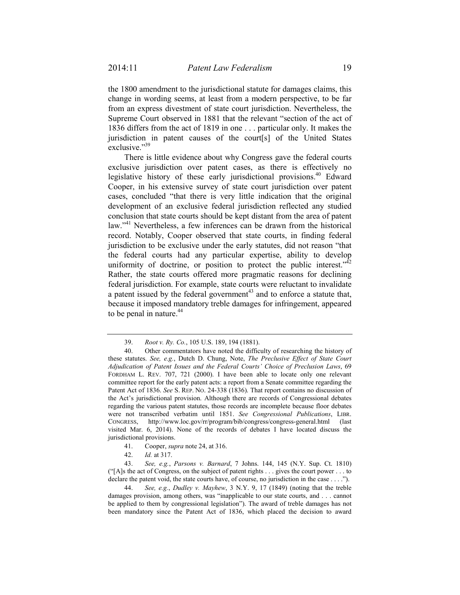the 1800 amendment to the jurisdictional statute for damages claims, this change in wording seems, at least from a modern perspective, to be far from an express divestment of state court jurisdiction. Nevertheless, the Supreme Court observed in 1881 that the relevant "section of the act of 1836 differs from the act of 1819 in one . . . particular only. It makes the jurisdiction in patent causes of the court[s] of the United States exclusive."39

There is little evidence about why Congress gave the federal courts exclusive jurisdiction over patent cases, as there is effectively no legislative history of these early jurisdictional provisions.<sup>40</sup> Edward Cooper, in his extensive survey of state court jurisdiction over patent cases, concluded "that there is very little indication that the original development of an exclusive federal jurisdiction reflected any studied conclusion that state courts should be kept distant from the area of patent law."<sup>41</sup> Nevertheless, a few inferences can be drawn from the historical record. Notably, Cooper observed that state courts, in finding federal jurisdiction to be exclusive under the early statutes, did not reason "that the federal courts had any particular expertise, ability to develop uniformity of doctrine, or position to protect the public interest." $\hat{A}^2$ Rather, the state courts offered more pragmatic reasons for declining federal jurisdiction. For example, state courts were reluctant to invalidate a patent issued by the federal government<sup>43</sup> and to enforce a statute that, because it imposed mandatory treble damages for infringement, appeared to be penal in nature. $44$ 

- 41. Cooper, *supra* note 24, at 316.
- 42. *Id.* at 317.

 43. *See, e.g.*, *Parsons v. Barnard*, 7 Johns. 144, 145 (N.Y. Sup. Ct. 1810) ("[A]s the act of Congress, on the subject of patent rights . . . gives the court power . . . to declare the patent void, the state courts have, of course, no jurisdiction in the case . . . .").

 44. *See, e.g.*, *Dudley v. Mayhew*, 3 N.Y. 9, 17 (1849) (noting that the treble damages provision, among others, was "inapplicable to our state courts, and . . . cannot be applied to them by congressional legislation"). The award of treble damages has not been mandatory since the Patent Act of 1836, which placed the decision to award

 <sup>39.</sup> *Root v. Ry. Co.*, 105 U.S. 189, 194 (1881).

 <sup>40.</sup> Other commentators have noted the difficulty of researching the history of these statutes. *See, e.g.*, Dutch D. Chung, Note, *The Preclusive Effect of State Court Adjudication of Patent Issues and the Federal Courts' Choice of Preclusion Laws*, 69 FORDHAM L. REV. 707, 721 (2000). I have been able to locate only one relevant committee report for the early patent acts: a report from a Senate committee regarding the Patent Act of 1836. *See* S. REP. NO. 24-338 (1836). That report contains no discussion of the Act's jurisdictional provision. Although there are records of Congressional debates regarding the various patent statutes, those records are incomplete because floor debates were not transcribed verbatim until 1851. *See Congressional Publications*, LIBR. CONGRESS, http://www.loc.gov/rr/program/bib/congress/congress-general.html (last visited Mar. 6, 2014). None of the records of debates I have located discuss the jurisdictional provisions.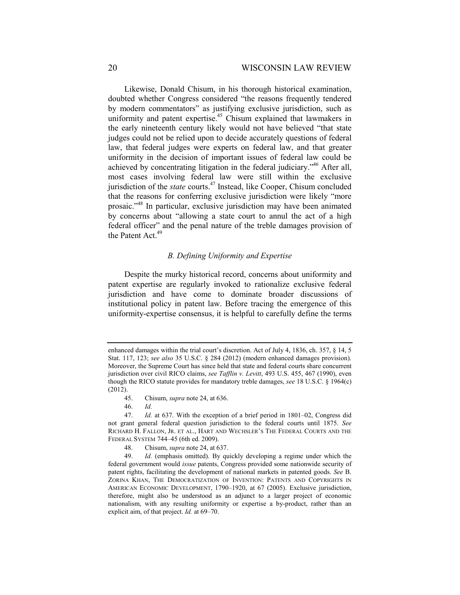Likewise, Donald Chisum, in his thorough historical examination, doubted whether Congress considered "the reasons frequently tendered by modern commentators" as justifying exclusive jurisdiction, such as uniformity and patent expertise.<sup>45</sup> Chisum explained that lawmakers in the early nineteenth century likely would not have believed "that state judges could not be relied upon to decide accurately questions of federal law, that federal judges were experts on federal law, and that greater uniformity in the decision of important issues of federal law could be achieved by concentrating litigation in the federal judiciary."46 After all, most cases involving federal law were still within the exclusive jurisdiction of the *state* courts.47 Instead, like Cooper, Chisum concluded that the reasons for conferring exclusive jurisdiction were likely "more prosaic."48 In particular, exclusive jurisdiction may have been animated by concerns about "allowing a state court to annul the act of a high federal officer" and the penal nature of the treble damages provision of the Patent Act.<sup>49</sup>

## *B. Defining Uniformity and Expertise*

Despite the murky historical record, concerns about uniformity and patent expertise are regularly invoked to rationalize exclusive federal jurisdiction and have come to dominate broader discussions of institutional policy in patent law. Before tracing the emergence of this uniformity-expertise consensus, it is helpful to carefully define the terms

46. *Id.* 

enhanced damages within the trial court's discretion. Act of July 4, 1836, ch. 357, § 14, 5 Stat. 117, 123; *see also* 35 U.S.C. § 284 (2012) (modern enhanced damages provision). Moreover, the Supreme Court has since held that state and federal courts share concurrent jurisdiction over civil RICO claims, *see Tafflin v. Levitt*, 493 U.S. 455, 467 (1990), even though the RICO statute provides for mandatory treble damages, *see* 18 U.S.C. § 1964(c) (2012).

 <sup>45.</sup> Chisum, *supra* note 24, at 636.

 <sup>47.</sup> *Id.* at 637. With the exception of a brief period in 1801–02, Congress did not grant general federal question jurisdiction to the federal courts until 1875. *See*  RICHARD H. FALLON, JR. ET AL., HART AND WECHSLER'S THE FEDERAL COURTS AND THE FEDERAL SYSTEM 744–45 (6th ed. 2009).

 <sup>48.</sup> Chisum, *supra* note 24, at 637.

 <sup>49.</sup> *Id.* (emphasis omitted). By quickly developing a regime under which the federal government would *issue* patents, Congress provided some nationwide security of patent rights, facilitating the development of national markets in patented goods. *See* B. ZORINA KHAN, THE DEMOCRATIZATION OF INVENTION: PATENTS AND COPYRIGHTS IN AMERICAN ECONOMIC DEVELOPMENT, 1790–1920, at 67 (2005). Exclusive jurisdiction, therefore, might also be understood as an adjunct to a larger project of economic nationalism, with any resulting uniformity or expertise a by-product, rather than an explicit aim, of that project. *Id.* at 69–70.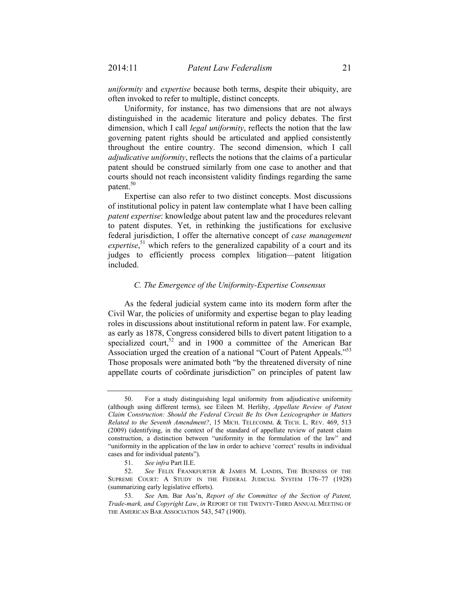*uniformity* and *expertise* because both terms, despite their ubiquity, are often invoked to refer to multiple, distinct concepts.

Uniformity, for instance, has two dimensions that are not always distinguished in the academic literature and policy debates. The first dimension, which I call *legal uniformity*, reflects the notion that the law governing patent rights should be articulated and applied consistently throughout the entire country. The second dimension, which I call *adjudicative uniformity*, reflects the notions that the claims of a particular patent should be construed similarly from one case to another and that courts should not reach inconsistent validity findings regarding the same patent.<sup>50</sup>

Expertise can also refer to two distinct concepts. Most discussions of institutional policy in patent law contemplate what I have been calling *patent expertise*: knowledge about patent law and the procedures relevant to patent disputes. Yet, in rethinking the justifications for exclusive federal jurisdiction, I offer the alternative concept of *case management*  expertise,<sup>51</sup> which refers to the generalized capability of a court and its judges to efficiently process complex litigation—patent litigation included.

#### *C. The Emergence of the Uniformity-Expertise Consensus*

As the federal judicial system came into its modern form after the Civil War, the policies of uniformity and expertise began to play leading roles in discussions about institutional reform in patent law. For example, as early as 1878, Congress considered bills to divert patent litigation to a specialized court,<sup>52</sup> and in 1900 a committee of the American Bar Association urged the creation of a national "Court of Patent Appeals."<sup>53</sup> Those proposals were animated both "by the threatened diversity of nine appellate courts of coördinate jurisdiction" on principles of patent law

 <sup>50.</sup> For a study distinguishing legal uniformity from adjudicative uniformity (although using different terms), see Eileen M. Herlihy, *Appellate Review of Patent Claim Construction: Should the Federal Circuit Be Its Own Lexicographer in Matters Related to the Seventh Amendment?*, 15 MICH. TELECOMM. & TECH. L. REV. 469, 513 (2009) (identifying, in the context of the standard of appellate review of patent claim construction, a distinction between "uniformity in the formulation of the law" and "uniformity in the application of the law in order to achieve 'correct' results in individual cases and for individual patents").

 <sup>51.</sup> *See infra* Part II.E.

 <sup>52.</sup> *See* FELIX FRANKFURTER & JAMES M. LANDIS, THE BUSINESS OF THE SUPREME COURT: A STUDY IN THE FEDERAL JUDICIAL SYSTEM 176–77 (1928) (summarizing early legislative efforts).

 <sup>53.</sup> *See* Am. Bar Ass'n, *Report of the Committee of the Section of Patent, Trade-mark, and Copyright Law*, *in* REPORT OF THE TWENTY-THIRD ANNUAL MEETING OF THE AMERICAN BAR ASSOCIATION 543, 547 (1900).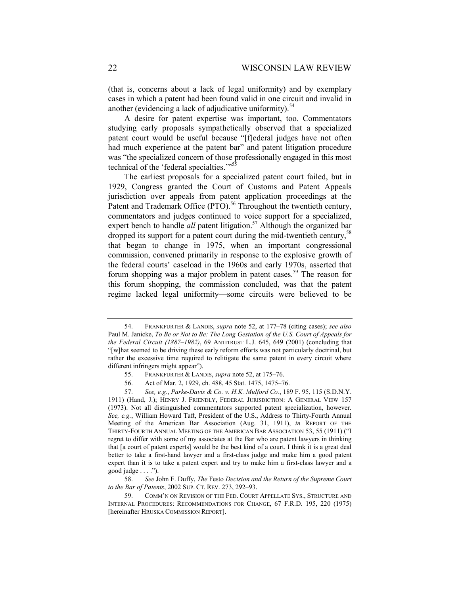(that is, concerns about a lack of legal uniformity) and by exemplary cases in which a patent had been found valid in one circuit and invalid in another (evidencing a lack of adjudicative uniformity). $^{54}$ 

A desire for patent expertise was important, too. Commentators studying early proposals sympathetically observed that a specialized patent court would be useful because "[f]ederal judges have not often had much experience at the patent bar" and patent litigation procedure was "the specialized concern of those professionally engaged in this most technical of the 'federal specialties.'"<sup>55</sup>

The earliest proposals for a specialized patent court failed, but in 1929, Congress granted the Court of Customs and Patent Appeals jurisdiction over appeals from patent application proceedings at the Patent and Trademark Office (PTO).<sup>56</sup> Throughout the twentieth century, commentators and judges continued to voice support for a specialized, expert bench to handle *all* patent litigation.<sup>57</sup> Although the organized bar dropped its support for a patent court during the mid-twentieth century,  $58$ that began to change in 1975, when an important congressional commission, convened primarily in response to the explosive growth of the federal courts' caseload in the 1960s and early 1970s, asserted that forum shopping was a major problem in patent cases.<sup>59</sup> The reason for this forum shopping, the commission concluded, was that the patent regime lacked legal uniformity—some circuits were believed to be

 <sup>54.</sup> FRANKFURTER & LANDIS, *supra* note 52, at 177–78 (citing cases); *see also*  Paul M. Janicke, *To Be or Not to Be: The Long Gestation of the U.S. Court of Appeals for the Federal Circuit (1887–1982)*, 69 ANTITRUST L.J. 645, 649 (2001) (concluding that "[w]hat seemed to be driving these early reform efforts was not particularly doctrinal, but rather the excessive time required to relitigate the same patent in every circuit where different infringers might appear").

 <sup>55.</sup> FRANKFURTER & LANDIS, *supra* note 52, at 175–76.

 <sup>56.</sup> Act of Mar. 2, 1929, ch. 488, 45 Stat. 1475, 1475–76.

 <sup>57.</sup> *See, e.g.*, *Parke-Davis & Co. v. H.K. Mulford Co.*, 189 F. 95, 115 (S.D.N.Y. 1911) (Hand, J.); HENRY J. FRIENDLY, FEDERAL JURISDICTION: A GENERAL VIEW 157 (1973). Not all distinguished commentators supported patent specialization, however. *See, e.g.*, William Howard Taft, President of the U.S., Address to Thirty-Fourth Annual Meeting of the American Bar Association (Aug. 31, 1911), *in* REPORT OF THE THIRTY-FOURTH ANNUAL MEETING OF THE AMERICAN BAR ASSOCIATION 53, 55 (1911) ("I regret to differ with some of my associates at the Bar who are patent lawyers in thinking that [a court of patent experts] would be the best kind of a court. I think it is a great deal better to take a first-hand lawyer and a first-class judge and make him a good patent expert than it is to take a patent expert and try to make him a first-class lawyer and a good judge  $\dots$ .").

 <sup>58.</sup> *See* John F. Duffy, *The* Festo *Decision and the Return of the Supreme Court to the Bar of Patents*, 2002 SUP. CT. REV. 273, 292–93.

 <sup>59.</sup> COMM'N ON REVISION OF THE FED. COURT APPELLATE SYS., STRUCTURE AND INTERNAL PROCEDURES: RECOMMENDATIONS FOR CHANGE, 67 F.R.D. 195, 220 (1975) [hereinafter HRUSKA COMMISSION REPORT].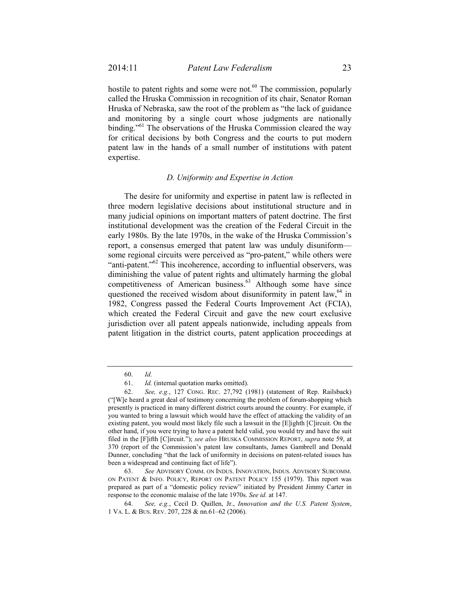hostile to patent rights and some were not.<sup>60</sup> The commission, popularly called the Hruska Commission in recognition of its chair, Senator Roman Hruska of Nebraska, saw the root of the problem as "the lack of guidance

and monitoring by a single court whose judgments are nationally binding."<sup>61</sup> The observations of the Hruska Commission cleared the way for critical decisions by both Congress and the courts to put modern patent law in the hands of a small number of institutions with patent expertise.

## *D. Uniformity and Expertise in Action*

The desire for uniformity and expertise in patent law is reflected in three modern legislative decisions about institutional structure and in many judicial opinions on important matters of patent doctrine. The first institutional development was the creation of the Federal Circuit in the early 1980s. By the late 1970s, in the wake of the Hruska Commission's report, a consensus emerged that patent law was unduly disuniform some regional circuits were perceived as "pro-patent," while others were "anti-patent."<sup>62</sup> This incoherence, according to influential observers, was diminishing the value of patent rights and ultimately harming the global competitiveness of American business.<sup>63</sup> Although some have since questioned the received wisdom about disuniformity in patent law,  $64$  in 1982, Congress passed the Federal Courts Improvement Act (FCIA), which created the Federal Circuit and gave the new court exclusive jurisdiction over all patent appeals nationwide, including appeals from patent litigation in the district courts, patent application proceedings at

 <sup>60.</sup> *Id.* 

 <sup>61.</sup> *Id.* (internal quotation marks omitted).

 <sup>62.</sup> *See, e.g.*, 127 CONG. REC. 27,792 (1981) (statement of Rep. Railsback) ("[W]e heard a great deal of testimony concerning the problem of forum-shopping which presently is practiced in many different district courts around the country. For example, if you wanted to bring a lawsuit which would have the effect of attacking the validity of an existing patent, you would most likely file such a lawsuit in the [E]ighth [C]ircuit. On the other hand, if you were trying to have a patent held valid, you would try and have the suit filed in the [F]ifth [C]ircuit."); *see also* HRUSKA COMMISSION REPORT, *supra* note 59, at 370 (report of the Commission's patent law consultants, James Gambrell and Donald Dunner, concluding "that the lack of uniformity in decisions on patent-related issues has been a widespread and continuing fact of life").

 <sup>63.</sup> *See* ADVISORY COMM. ON INDUS. INNOVATION, INDUS. ADVISORY SUBCOMM. ON PATENT & INFO. POLICY, REPORT ON PATENT POLICY 155 (1979). This report was prepared as part of a "domestic policy review" initiated by President Jimmy Carter in response to the economic malaise of the late 1970s. *See id.* at 147.

 <sup>64.</sup> *See, e.g.*, Cecil D. Quillen, Jr., *Innovation and the U.S. Patent System*, 1 VA. L. & BUS. REV. 207, 228 & nn.61–62 (2006).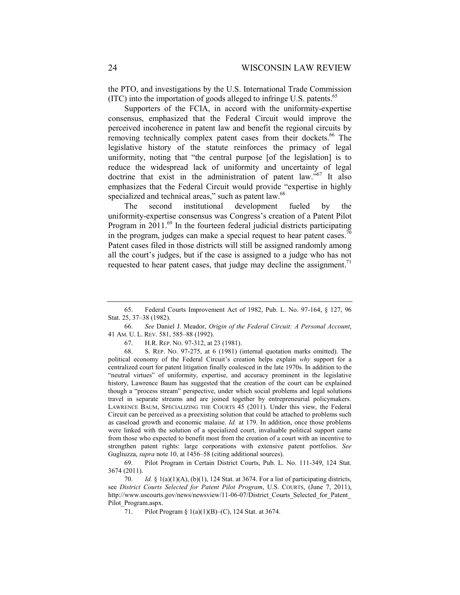the PTO, and investigations by the U.S. International Trade Commission  $(ITC)$  into the importation of goods alleged to infringe U.S. patents.<sup>65</sup>

Supporters of the FCIA, in accord with the uniformity-expertise consensus, emphasized that the Federal Circuit would improve the perceived incoherence in patent law and benefit the regional circuits by removing technically complex patent cases from their dockets.<sup>66</sup> The legislative history of the statute reinforces the primacy of legal uniformity, noting that "the central purpose [of the legislation] is to reduce the widespread lack of uniformity and uncertainty of legal doctrine that exist in the administration of patent law."<sup>67</sup> It also emphasizes that the Federal Circuit would provide "expertise in highly specialized and technical areas," such as patent law.<sup>68</sup>

The second institutional development fueled by the uniformity-expertise consensus was Congress's creation of a Patent Pilot Program in  $2011$ <sup>69</sup>. In the fourteen federal judicial districts participating in the program, judges can make a special request to hear patent cases.<sup>70</sup> Patent cases filed in those districts will still be assigned randomly among all the court's judges, but if the case is assigned to a judge who has not requested to hear patent cases, that judge may decline the assignment.<sup>71</sup>

 <sup>65.</sup> Federal Courts Improvement Act of 1982, Pub. L. No. 97-164, § 127, 96 Stat. 25, 37–38 (1982).

 <sup>66.</sup> *See* Daniel J. Meador, *Origin of the Federal Circuit: A Personal Account*, 41 AM. U. L. REV. 581, 585–88 (1992).

 <sup>67.</sup> H.R. REP. NO. 97-312, at 23 (1981).

 <sup>68.</sup> S. REP. NO. 97-275, at 6 (1981) (internal quotation marks omitted). The political economy of the Federal Circuit's creation helps explain *why* support for a centralized court for patent litigation finally coalesced in the late 1970s. In addition to the "neutral virtues" of uniformity, expertise, and accuracy prominent in the legislative history, Lawrence Baum has suggested that the creation of the court can be explained though a "process stream" perspective, under which social problems and legal solutions travel in separate streams and are joined together by entrepreneurial policymakers. LAWRENCE BAUM, SPECIALIZING THE COURTS 45 (2011). Under this view, the Federal Circuit can be perceived as a preexisting solution that could be attached to problems such as caseload growth and economic malaise. *Id.* at 179. In addition, once those problems were linked with the solution of a specialized court, invaluable political support came from those who expected to benefit most from the creation of a court with an incentive to strengthen patent rights: large corporations with extensive patent portfolios. *See*  Gugliuzza, *supra* note 10, at 1456–58 (citing additional sources).

 <sup>69.</sup> Pilot Program in Certain District Courts, Pub. L. No. 111-349, 124 Stat. 3674 (2011).

 <sup>70.</sup> *Id.* § 1(a)(1)(A), (b)(1), 124 Stat. at 3674. For a list of participating districts, see *District Courts Selected for Patent Pilot Program*, U.S. COURTS, (June 7, 2011), http://www.uscourts.gov/news/newsview/11-06-07/District\_Courts\_Selected\_for\_Patent\_ Pilot\_Program.aspx.

 <sup>71.</sup> Pilot Program § 1(a)(1)(B)–(C), 124 Stat. at 3674.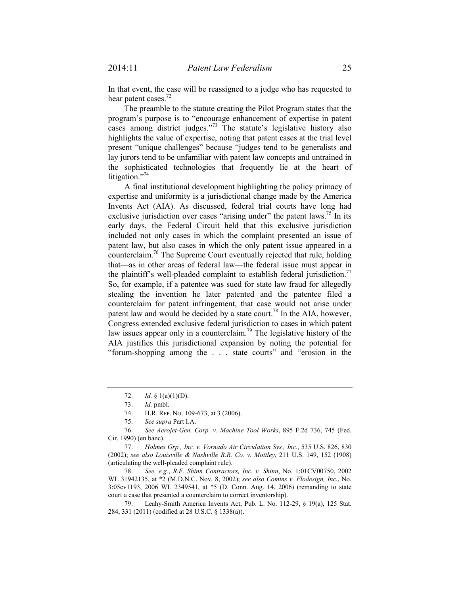In that event, the case will be reassigned to a judge who has requested to hear patent cases.<sup>72</sup>

The preamble to the statute creating the Pilot Program states that the program's purpose is to "encourage enhancement of expertise in patent cases among district judges."<sup>73</sup> The statute's legislative history also highlights the value of expertise, noting that patent cases at the trial level present "unique challenges" because "judges tend to be generalists and lay jurors tend to be unfamiliar with patent law concepts and untrained in the sophisticated technologies that frequently lie at the heart of litigation." $74$ 

A final institutional development highlighting the policy primacy of expertise and uniformity is a jurisdictional change made by the America Invents Act (AIA). As discussed, federal trial courts have long had exclusive jurisdiction over cases "arising under" the patent laws.<sup>75</sup> In its early days, the Federal Circuit held that this exclusive jurisdiction included not only cases in which the complaint presented an issue of patent law, but also cases in which the only patent issue appeared in a counterclaim.76 The Supreme Court eventually rejected that rule, holding that—as in other areas of federal law—the federal issue must appear in the plaintiff's well-pleaded complaint to establish federal jurisdiction.<sup>77</sup> So, for example, if a patentee was sued for state law fraud for allegedly stealing the invention he later patented and the patentee filed a counterclaim for patent infringement, that case would not arise under patent law and would be decided by a state court.<sup>78</sup> In the AIA, however, Congress extended exclusive federal jurisdiction to cases in which patent law issues appear only in a counterclaim.79 The legislative history of the AIA justifies this jurisdictional expansion by noting the potential for "forum-shopping among the . . . state courts" and "erosion in the

 <sup>72.</sup> *Id.* § 1(a)(1)(D).

 <sup>73.</sup> *Id.* pmbl.

 <sup>74.</sup> H.R. REP. NO. 109-673, at 3 (2006).

 <sup>75.</sup> *See supra* Part I.A.

 <sup>76.</sup> *See Aerojet-Gen. Corp. v. Machine Tool Works*, 895 F.2d 736, 745 (Fed. Cir. 1990) (en banc).

 <sup>77.</sup> *Holmes Grp., Inc. v. Vornado Air Circulation Sys., Inc.*, 535 U.S. 826, 830 (2002); *see also Louisville & Nashville R.R. Co. v. Mottley*, 211 U.S. 149, 152 (1908) (articulating the well-pleaded complaint rule).

 <sup>78.</sup> *See, e.g.*, *R.F. Shinn Contractors, Inc. v. Shinn*, No. 1:01CV00750, 2002 WL 31942135, at \*2 (M.D.N.C. Nov. 8, 2002); *see also Comins v. Flodesign, Inc.*, No. 3:05cv1193, 2006 WL 2349541, at \*5 (D. Conn. Aug. 14, 2006) (remanding to state court a case that presented a counterclaim to correct inventorship).

 <sup>79.</sup> Leahy-Smith America Invents Act, Pub. L. No. 112-29, § 19(a), 125 Stat. 284, 331 (2011) (codified at 28 U.S.C. § 1338(a)).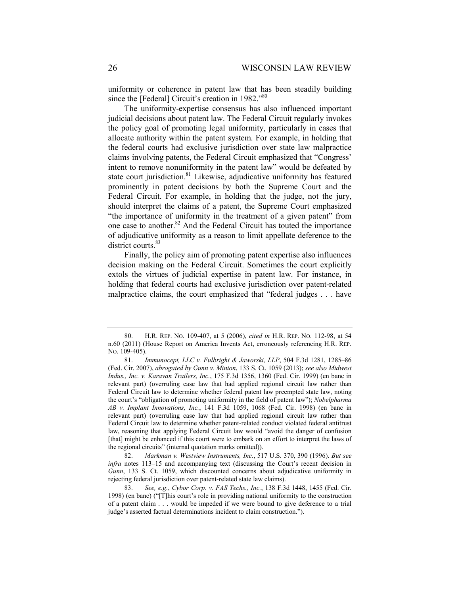uniformity or coherence in patent law that has been steadily building since the [Federal] Circuit's creation in 1982."80

The uniformity-expertise consensus has also influenced important judicial decisions about patent law. The Federal Circuit regularly invokes the policy goal of promoting legal uniformity, particularly in cases that allocate authority within the patent system. For example, in holding that the federal courts had exclusive jurisdiction over state law malpractice claims involving patents, the Federal Circuit emphasized that "Congress' intent to remove nonuniformity in the patent law" would be defeated by state court jurisdiction. $81$  Likewise, adjudicative uniformity has featured prominently in patent decisions by both the Supreme Court and the Federal Circuit. For example, in holding that the judge, not the jury, should interpret the claims of a patent, the Supreme Court emphasized "the importance of uniformity in the treatment of a given patent" from one case to another.82 And the Federal Circuit has touted the importance of adjudicative uniformity as a reason to limit appellate deference to the district courts.<sup>83</sup>

Finally, the policy aim of promoting patent expertise also influences decision making on the Federal Circuit. Sometimes the court explicitly extols the virtues of judicial expertise in patent law. For instance, in holding that federal courts had exclusive jurisdiction over patent-related malpractice claims, the court emphasized that "federal judges . . . have

 <sup>80.</sup> H.R. REP. NO. 109-407, at 5 (2006), *cited in* H.R. REP. NO. 112-98, at 54 n.60 (2011) (House Report on America Invents Act, erroneously referencing H.R. REP. NO. 109-405).

 <sup>81.</sup> *Immunocept, LLC v. Fulbright & Jaworski, LLP*, 504 F.3d 1281, 1285–86 (Fed. Cir. 2007), *abrogated by Gunn v. Minton*, 133 S. Ct. 1059 (2013); *see also Midwest Indus., Inc. v. Karavan Trailers, Inc.*, 175 F.3d 1356, 1360 (Fed. Cir. 1999) (en banc in relevant part) (overruling case law that had applied regional circuit law rather than Federal Circuit law to determine whether federal patent law preempted state law, noting the court's "obligation of promoting uniformity in the field of patent law"); *Nobelpharma AB v. Implant Innovations, Inc.*, 141 F.3d 1059, 1068 (Fed. Cir. 1998) (en banc in relevant part) (overruling case law that had applied regional circuit law rather than Federal Circuit law to determine whether patent-related conduct violated federal antitrust law, reasoning that applying Federal Circuit law would "avoid the danger of confusion [that] might be enhanced if this court were to embark on an effort to interpret the laws of the regional circuits" (internal quotation marks omitted)).

 <sup>82.</sup> *Markman v. Westview Instruments, Inc.*, 517 U.S. 370, 390 (1996). *But see infra* notes 113–15 and accompanying text (discussing the Court's recent decision in *Gunn*, 133 S. Ct. 1059, which discounted concerns about adjudicative uniformity in rejecting federal jurisdiction over patent-related state law claims).

 <sup>83.</sup> *See, e.g.*, *Cybor Corp. v. FAS Techs., Inc.*, 138 F.3d 1448, 1455 (Fed. Cir. 1998) (en banc) ("[T]his court's role in providing national uniformity to the construction of a patent claim . . . would be impeded if we were bound to give deference to a trial judge's asserted factual determinations incident to claim construction.").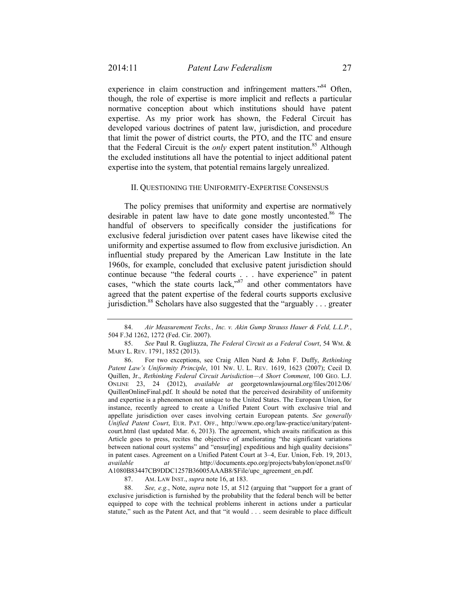experience in claim construction and infringement matters.<sup>84</sup> Often, though, the role of expertise is more implicit and reflects a particular normative conception about which institutions should have patent expertise. As my prior work has shown, the Federal Circuit has developed various doctrines of patent law, jurisdiction, and procedure that limit the power of district courts, the PTO, and the ITC and ensure that the Federal Circuit is the *only* expert patent institution.<sup>85</sup> Although the excluded institutions all have the potential to inject additional patent expertise into the system, that potential remains largely unrealized.

## II. QUESTIONING THE UNIFORMITY-EXPERTISE CONSENSUS

The policy premises that uniformity and expertise are normatively desirable in patent law have to date gone mostly uncontested.<sup>86</sup> The handful of observers to specifically consider the justifications for exclusive federal jurisdiction over patent cases have likewise cited the uniformity and expertise assumed to flow from exclusive jurisdiction. An influential study prepared by the American Law Institute in the late 1960s, for example, concluded that exclusive patent jurisdiction should continue because "the federal courts . . . have experience" in patent cases, "which the state courts lack,"<sup>87</sup> and other commentators have agreed that the patent expertise of the federal courts supports exclusive jurisdiction.<sup>88</sup> Scholars have also suggested that the "arguably . . . greater

87. AM. LAW INST., *supra* note 16, at 183.

 88. *See, e.g.*, Note, *supra* note 15, at 512 (arguing that "support for a grant of exclusive jurisdiction is furnished by the probability that the federal bench will be better equipped to cope with the technical problems inherent in actions under a particular statute," such as the Patent Act, and that "it would . . . seem desirable to place difficult

 <sup>84.</sup> *Air Measurement Techs., Inc. v. Akin Gump Strauss Hauer & Feld, L.L.P.*, 504 F.3d 1262, 1272 (Fed. Cir. 2007).

 <sup>85.</sup> *See* Paul R. Gugliuzza, *The Federal Circuit as a Federal Court*, 54 WM. & MARY L. REV. 1791, 1852 (2013).

 <sup>86.</sup> For two exceptions, see Craig Allen Nard & John F. Duffy, *Rethinking Patent Law's Uniformity Principle*, 101 NW. U. L. REV. 1619, 1623 (2007); Cecil D. Quillen, Jr., *Rethinking Federal Circuit Jurisdiction—A Short Comment*, 100 GEO. L.J. ONLINE 23, 24 (2012), *available at* georgetownlawjournal.org/files/2012/06/ QuillenOnlineFinal.pdf. It should be noted that the perceived desirability of uniformity and expertise is a phenomenon not unique to the United States. The European Union, for instance, recently agreed to create a Unified Patent Court with exclusive trial and appellate jurisdiction over cases involving certain European patents. *See generally Unified Patent Court*, EUR. PAT. OFF., http://www.epo.org/law-practice/unitary/patentcourt.html (last updated Mar. 6, 2013). The agreement, which awaits ratification as this Article goes to press, recites the objective of ameliorating "the significant variations between national court systems" and "ensur[ing] expeditious and high quality decisions" in patent cases. Agreement on a Unified Patent Court at 3–4, Eur. Union, Feb. 19, 2013, *available at* http://documents.epo.org/projects/babylon/eponet.nsf/0/ A1080B83447CB9DDC1257B36005AAAB8/\$File/upc\_agreement\_en.pdf.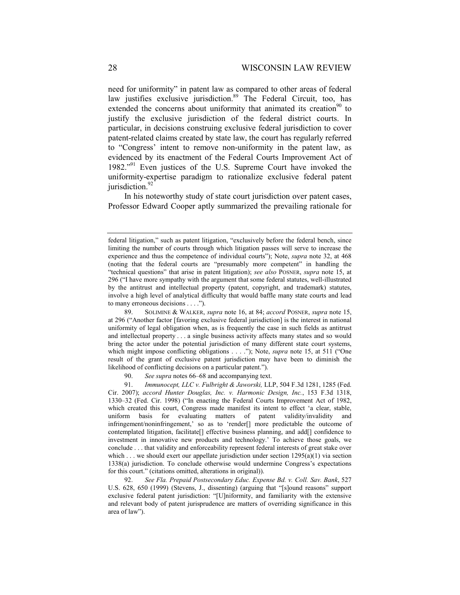need for uniformity" in patent law as compared to other areas of federal law justifies exclusive jurisdiction.<sup>89</sup> The Federal Circuit, too, has extended the concerns about uniformity that animated its creation<sup>90</sup> to justify the exclusive jurisdiction of the federal district courts. In particular, in decisions construing exclusive federal jurisdiction to cover patent-related claims created by state law, the court has regularly referred to "Congress' intent to remove non-uniformity in the patent law, as evidenced by its enactment of the Federal Courts Improvement Act of 1982."91 Even justices of the U.S. Supreme Court have invoked the uniformity-expertise paradigm to rationalize exclusive federal patent jurisdiction.<sup>92</sup>

In his noteworthy study of state court jurisdiction over patent cases, Professor Edward Cooper aptly summarized the prevailing rationale for

federal litigation," such as patent litigation, "exclusively before the federal bench, since limiting the number of courts through which litigation passes will serve to increase the experience and thus the competence of individual courts"); Note, *supra* note 32, at 468 (noting that the federal courts are "presumably more competent" in handling the "technical questions" that arise in patent litigation); *see also* POSNER, *supra* note 15, at 296 ("I have more sympathy with the argument that some federal statutes, well-illustrated by the antitrust and intellectual property (patent, copyright, and trademark) statutes, involve a high level of analytical difficulty that would baffle many state courts and lead to many erroneous decisions . . . .").

 <sup>89.</sup> SOLIMINE & WALKER, *supra* note 16, at 84; *accord* POSNER, *supra* note 15, at 296 ("Another factor [favoring exclusive federal jurisdiction] is the interest in national uniformity of legal obligation when, as is frequently the case in such fields as antitrust and intellectual property . . . a single business activity affects many states and so would bring the actor under the potential jurisdiction of many different state court systems, which might impose conflicting obligations . . . ."); Note, *supra* note 15, at 511 ("One result of the grant of exclusive patent jurisdiction may have been to diminish the likelihood of conflicting decisions on a particular patent.").

 <sup>90.</sup> *See supra* notes 66–68 and accompanying text.

 <sup>91.</sup> *Immunocept, LLC v. Fulbright & Jaworski,* LLP, 504 F.3d 1281, 1285 (Fed. Cir. 2007); *accord Hunter Douglas, Inc. v. Harmonic Design, Inc.*, 153 F.3d 1318, 1330–32 (Fed. Cir. 1998) ("In enacting the Federal Courts Improvement Act of 1982, which created this court, Congress made manifest its intent to effect 'a clear, stable, uniform basis for evaluating matters of patent validity/invalidity and infringement/noninfringement,' so as to 'render[] more predictable the outcome of contemplated litigation, facilitate[] effective business planning, and add[] confidence to investment in innovative new products and technology.' To achieve those goals, we conclude . . . that validity and enforceability represent federal interests of great stake over which  $\ldots$  we should exert our appellate jurisdiction under section 1295(a)(1) via section 1338(a) jurisdiction. To conclude otherwise would undermine Congress's expectations for this court." (citations omitted, alterations in original)).

 <sup>92.</sup> *See Fla. Prepaid Postsecondary Educ. Expense Bd. v. Coll. Sav. Bank*, 527 U.S. 628, 650 (1999) (Stevens, J., dissenting) (arguing that "[s]ound reasons" support exclusive federal patent jurisdiction: "[U]niformity, and familiarity with the extensive and relevant body of patent jurisprudence are matters of overriding significance in this area of law").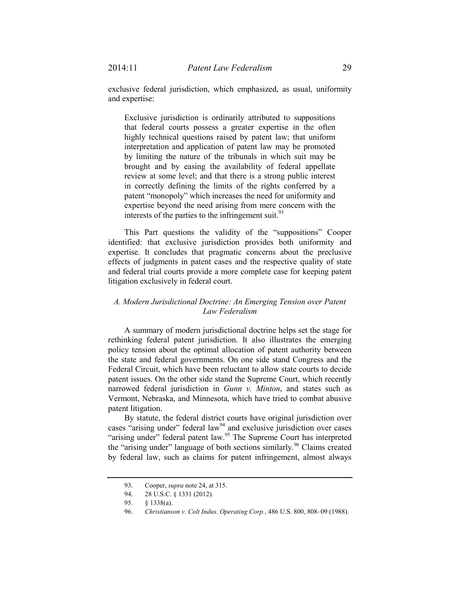exclusive federal jurisdiction, which emphasized, as usual, uniformity and expertise:

Exclusive jurisdiction is ordinarily attributed to suppositions that federal courts possess a greater expertise in the often highly technical questions raised by patent law; that uniform interpretation and application of patent law may be promoted by limiting the nature of the tribunals in which suit may be brought and by easing the availability of federal appellate review at some level; and that there is a strong public interest in correctly defining the limits of the rights conferred by a patent "monopoly" which increases the need for uniformity and expertise beyond the need arising from mere concern with the interests of the parties to the infringement suit. $93$ 

This Part questions the validity of the "suppositions" Cooper identified: that exclusive jurisdiction provides both uniformity and expertise. It concludes that pragmatic concerns about the preclusive effects of judgments in patent cases and the respective quality of state and federal trial courts provide a more complete case for keeping patent litigation exclusively in federal court.

# *A. Modern Jurisdictional Doctrine: An Emerging Tension over Patent Law Federalism*

A summary of modern jurisdictional doctrine helps set the stage for rethinking federal patent jurisdiction. It also illustrates the emerging policy tension about the optimal allocation of patent authority between the state and federal governments. On one side stand Congress and the Federal Circuit, which have been reluctant to allow state courts to decide patent issues. On the other side stand the Supreme Court, which recently narrowed federal jurisdiction in *Gunn v. Minton*, and states such as Vermont, Nebraska, and Minnesota, which have tried to combat abusive patent litigation.

By statute, the federal district courts have original jurisdiction over cases "arising under" federal law<sup>94</sup> and exclusive jurisdiction over cases "arising under" federal patent law.<sup>95</sup> The Supreme Court has interpreted the "arising under" language of both sections similarly.<sup>96</sup> Claims created by federal law, such as claims for patent infringement, almost always

 <sup>93.</sup> Cooper, *supra* note 24, at 315.

 <sup>94. 28</sup> U.S.C. § 1331 (2012).

 <sup>95. § 1338(</sup>a).

 <sup>96.</sup> *Christianson v. Colt Indus. Operating Corp.*, 486 U.S. 800, 808–09 (1988).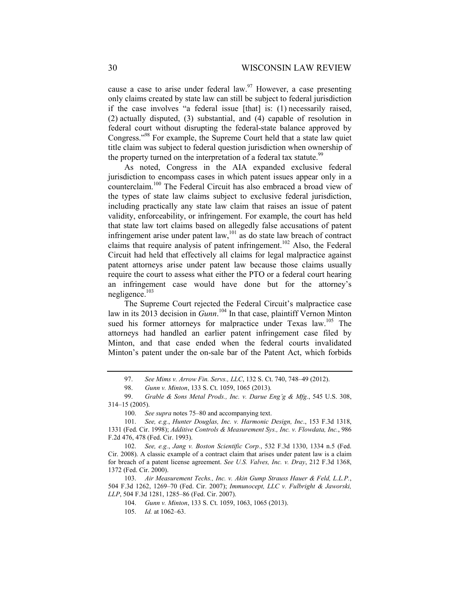cause a case to arise under federal law.  $97$  However, a case presenting only claims created by state law can still be subject to federal jurisdiction if the case involves "a federal issue [that] is: (1) necessarily raised, (2) actually disputed, (3) substantial, and (4) capable of resolution in federal court without disrupting the federal-state balance approved by Congress."98 For example, the Supreme Court held that a state law quiet title claim was subject to federal question jurisdiction when ownership of the property turned on the interpretation of a federal tax statute.<sup>99</sup>

As noted, Congress in the AIA expanded exclusive federal jurisdiction to encompass cases in which patent issues appear only in a counterclaim.100 The Federal Circuit has also embraced a broad view of the types of state law claims subject to exclusive federal jurisdiction, including practically any state law claim that raises an issue of patent validity, enforceability, or infringement. For example, the court has held that state law tort claims based on allegedly false accusations of patent infringement arise under patent law, $101$  as do state law breach of contract claims that require analysis of patent infringement.<sup>102</sup> Also, the Federal Circuit had held that effectively all claims for legal malpractice against patent attorneys arise under patent law because those claims usually require the court to assess what either the PTO or a federal court hearing an infringement case would have done but for the attorney's negligence.103

The Supreme Court rejected the Federal Circuit's malpractice case law in its 2013 decision in *Gunn*. 104 In that case, plaintiff Vernon Minton sued his former attorneys for malpractice under Texas law.<sup>105</sup> The attorneys had handled an earlier patent infringement case filed by Minton, and that case ended when the federal courts invalidated Minton's patent under the on-sale bar of the Patent Act, which forbids

 <sup>97.</sup> *See Mims v. Arrow Fin. Servs., LLC*, 132 S. Ct. 740, 748–49 (2012).

 <sup>98.</sup> *Gunn v. Minton*, 133 S. Ct. 1059, 1065 (2013).

 <sup>99.</sup> *Grable & Sons Metal Prods., Inc. v. Darue Eng'g & Mfg.*, 545 U.S. 308, 314–15 (2005).

 <sup>100.</sup> *See supra* notes 75–80 and accompanying text.

 <sup>101.</sup> *See, e.g.*, *Hunter Douglas, Inc. v. Harmonic Design, Inc*., 153 F.3d 1318, 1331 (Fed. Cir. 1998); *Additive Controls & Measurement Sys., Inc. v. Flowdata, Inc.*, 986 F.2d 476, 478 (Fed. Cir. 1993).

 <sup>102.</sup> *See, e.g.*, *Jang v. Boston Scientific Corp.*, 532 F.3d 1330, 1334 n.5 (Fed. Cir. 2008). A classic example of a contract claim that arises under patent law is a claim for breach of a patent license agreement. *See U.S. Valves, Inc. v. Dray*, 212 F.3d 1368, 1372 (Fed. Cir. 2000).

 <sup>103.</sup> *Air Measurement Techs., Inc. v. Akin Gump Strauss Hauer & Feld, L.L.P.*, 504 F.3d 1262, 1269–70 (Fed. Cir. 2007); *Immunocept, LLC v. Fulbright & Jaworski, LLP*, 504 F.3d 1281, 1285–86 (Fed. Cir. 2007).

 <sup>104.</sup> *Gunn v. Minton*, 133 S. Ct. 1059, 1063, 1065 (2013).

 <sup>105.</sup> *Id.* at 1062–63.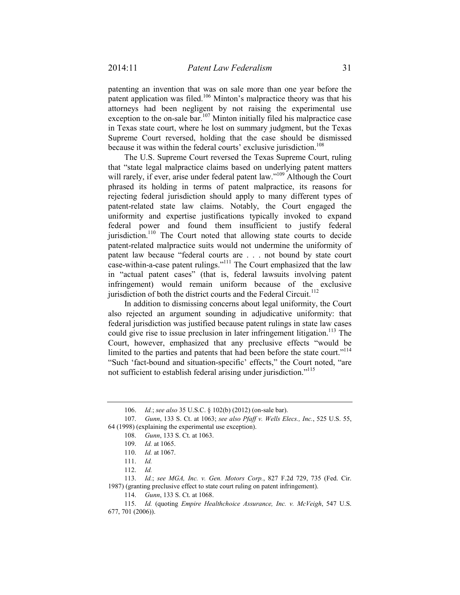patenting an invention that was on sale more than one year before the patent application was filed.106 Minton's malpractice theory was that his attorneys had been negligent by not raising the experimental use exception to the on-sale bar.<sup>107</sup> Minton initially filed his malpractice case in Texas state court, where he lost on summary judgment, but the Texas Supreme Court reversed, holding that the case should be dismissed because it was within the federal courts' exclusive jurisdiction.<sup>108</sup>

The U.S. Supreme Court reversed the Texas Supreme Court, ruling that "state legal malpractice claims based on underlying patent matters will rarely, if ever, arise under federal patent law."<sup>109</sup> Although the Court phrased its holding in terms of patent malpractice, its reasons for rejecting federal jurisdiction should apply to many different types of patent-related state law claims. Notably, the Court engaged the uniformity and expertise justifications typically invoked to expand federal power and found them insufficient to justify federal jurisdiction.<sup>110</sup> The Court noted that allowing state courts to decide patent-related malpractice suits would not undermine the uniformity of patent law because "federal courts are . . . not bound by state court case-within-a-case patent rulings."111 The Court emphasized that the law in "actual patent cases" (that is, federal lawsuits involving patent infringement) would remain uniform because of the exclusive jurisdiction of both the district courts and the Federal Circuit.<sup>112</sup>

In addition to dismissing concerns about legal uniformity, the Court also rejected an argument sounding in adjudicative uniformity: that federal jurisdiction was justified because patent rulings in state law cases could give rise to issue preclusion in later infringement litigation.<sup>113</sup> The Court, however, emphasized that any preclusive effects "would be limited to the parties and patents that had been before the state court."<sup>114</sup> "Such 'fact-bound and situation-specific' effects," the Court noted, "are not sufficient to establish federal arising under jurisdiction."<sup>115</sup>

 <sup>106.</sup> *Id.*; *see also* 35 U.S.C. § 102(b) (2012) (on-sale bar).

 <sup>107.</sup> *Gunn*, 133 S. Ct. at 1063; *see also Pfaff v. Wells Elecs., Inc.*, 525 U.S. 55, 64 (1998) (explaining the experimental use exception).

 <sup>108.</sup> *Gunn*, 133 S. Ct. at 1063.

 <sup>109.</sup> *Id.* at 1065.

 <sup>110.</sup> *Id.* at 1067.

 <sup>111.</sup> *Id.*

 <sup>112.</sup> *Id.* 

 <sup>113.</sup> *Id.*; *see MGA, Inc. v. Gen. Motors Corp.*, 827 F.2d 729, 735 (Fed. Cir. 1987) (granting preclusive effect to state court ruling on patent infringement).

 <sup>114.</sup> *Gunn*, 133 S. Ct. at 1068.

 <sup>115.</sup> *Id.* (quoting *Empire Healthchoice Assurance, Inc. v. McVeigh*, 547 U.S. 677, 701 (2006)).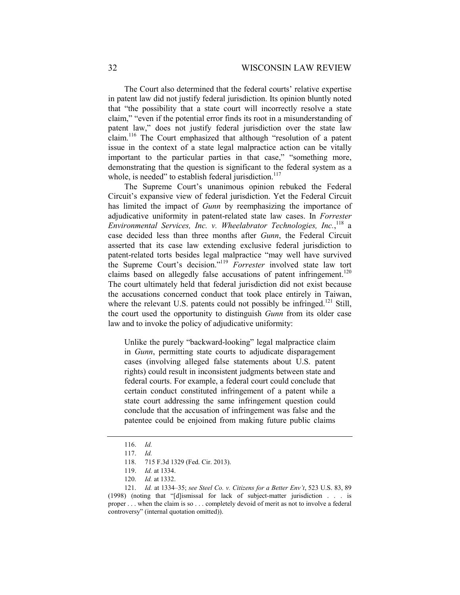The Court also determined that the federal courts' relative expertise in patent law did not justify federal jurisdiction. Its opinion bluntly noted that "the possibility that a state court will incorrectly resolve a state claim," "even if the potential error finds its root in a misunderstanding of patent law," does not justify federal jurisdiction over the state law claim.116 The Court emphasized that although "resolution of a patent issue in the context of a state legal malpractice action can be vitally important to the particular parties in that case," "something more, demonstrating that the question is significant to the federal system as a whole, is needed" to establish federal jurisdiction. $117$ 

The Supreme Court's unanimous opinion rebuked the Federal Circuit's expansive view of federal jurisdiction. Yet the Federal Circuit has limited the impact of *Gunn* by reemphasizing the importance of adjudicative uniformity in patent-related state law cases. In *Forrester Environmental Services, Inc. v. Wheelabrator Technologies, Inc.*, 118 a case decided less than three months after *Gunn*, the Federal Circuit asserted that its case law extending exclusive federal jurisdiction to patent-related torts besides legal malpractice "may well have survived the Supreme Court's decision."119 *Forrester* involved state law tort claims based on allegedly false accusations of patent infringement.<sup>120</sup> The court ultimately held that federal jurisdiction did not exist because the accusations concerned conduct that took place entirely in Taiwan, where the relevant U.S. patents could not possibly be infringed.<sup>121</sup> Still, the court used the opportunity to distinguish *Gunn* from its older case law and to invoke the policy of adjudicative uniformity:

Unlike the purely "backward-looking" legal malpractice claim in *Gunn*, permitting state courts to adjudicate disparagement cases (involving alleged false statements about U.S. patent rights) could result in inconsistent judgments between state and federal courts. For example, a federal court could conclude that certain conduct constituted infringement of a patent while a state court addressing the same infringement question could conclude that the accusation of infringement was false and the patentee could be enjoined from making future public claims

 <sup>116.</sup> *Id.* 

 <sup>117.</sup> *Id.* 

 <sup>118. 715</sup> F.3d 1329 (Fed. Cir. 2013).

 <sup>119.</sup> *Id.* at 1334.

 <sup>120.</sup> *Id.* at 1332.

 <sup>121.</sup> *Id.* at 1334–35; *see Steel Co. v. Citizens for a Better Env't*, 523 U.S. 83, 89 (1998) (noting that "[d]ismissal for lack of subject-matter jurisdiction . . . is proper . . . when the claim is so . . . completely devoid of merit as not to involve a federal controversy" (internal quotation omitted)).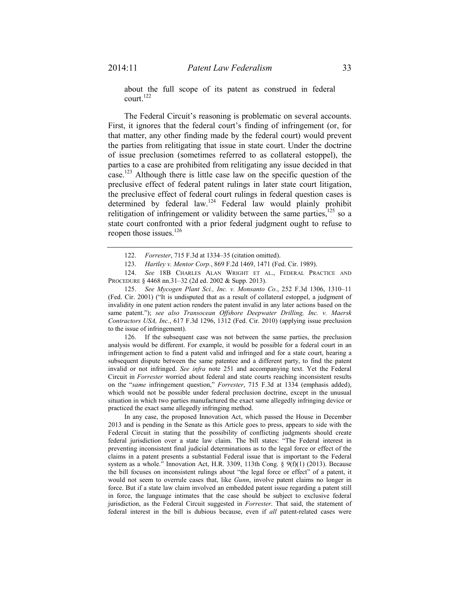about the full scope of its patent as construed in federal court.122

The Federal Circuit's reasoning is problematic on several accounts. First, it ignores that the federal court's finding of infringement (or, for that matter, any other finding made by the federal court) would prevent the parties from relitigating that issue in state court. Under the doctrine of issue preclusion (sometimes referred to as collateral estoppel), the parties to a case are prohibited from relitigating any issue decided in that case.<sup>123</sup> Although there is little case law on the specific question of the preclusive effect of federal patent rulings in later state court litigation, the preclusive effect of federal court rulings in federal question cases is determined by federal law.<sup>124</sup> Federal law would plainly prohibit relitigation of infringement or validity between the same parties, $125$  so a state court confronted with a prior federal judgment ought to refuse to reopen those issues.<sup>126</sup>

 124. *See* 18B CHARLES ALAN WRIGHT ET AL., FEDERAL PRACTICE AND PROCEDURE § 4468 nn.31–32 (2d ed. 2002 & Supp. 2013).

 125. *See Mycogen Plant Sci., Inc. v. Monsanto Co.*, 252 F.3d 1306, 1310–11 (Fed. Cir. 2001) ("It is undisputed that as a result of collateral estoppel, a judgment of invalidity in one patent action renders the patent invalid in any later actions based on the same patent."); *see also Transocean Offshore Deepwater Drilling, Inc. v. Maersk Contractors USA, Inc.*, 617 F.3d 1296, 1312 (Fed. Cir. 2010) (applying issue preclusion to the issue of infringement).

 126. If the subsequent case was not between the same parties, the preclusion analysis would be different. For example, it would be possible for a federal court in an infringement action to find a patent valid and infringed and for a state court, hearing a subsequent dispute between the same patentee and a different party, to find the patent invalid or not infringed. *See infra* note 251 and accompanying text. Yet the Federal Circuit in *Forrester* worried about federal and state courts reaching inconsistent results on the "*same* infringement question," *Forrester*, 715 F.3d at 1334 (emphasis added), which would not be possible under federal preclusion doctrine, except in the unusual situation in which two parties manufactured the exact same allegedly infringing device or practiced the exact same allegedly infringing method.

 In any case, the proposed Innovation Act, which passed the House in December 2013 and is pending in the Senate as this Article goes to press, appears to side with the Federal Circuit in stating that the possibility of conflicting judgments should create federal jurisdiction over a state law claim. The bill states: "The Federal interest in preventing inconsistent final judicial determinations as to the legal force or effect of the claims in a patent presents a substantial Federal issue that is important to the Federal system as a whole." Innovation Act, H.R. 3309, 113th Cong.  $\S$  9(f)(1) (2013). Because the bill focuses on inconsistent rulings about "the legal force or effect" of a patent, it would not seem to overrule cases that, like *Gunn*, involve patent claims no longer in force. But if a state law claim involved an embedded patent issue regarding a patent still in force, the language intimates that the case should be subject to exclusive federal jurisdiction, as the Federal Circuit suggested in *Forrester*. That said, the statement of federal interest in the bill is dubious because, even if *all* patent-related cases were

 <sup>122.</sup> *Forrester*, 715 F.3d at 1334–35 (citation omitted).

 <sup>123.</sup> *Hartley v. Mentor Corp.*, 869 F.2d 1469, 1471 (Fed. Cir. 1989).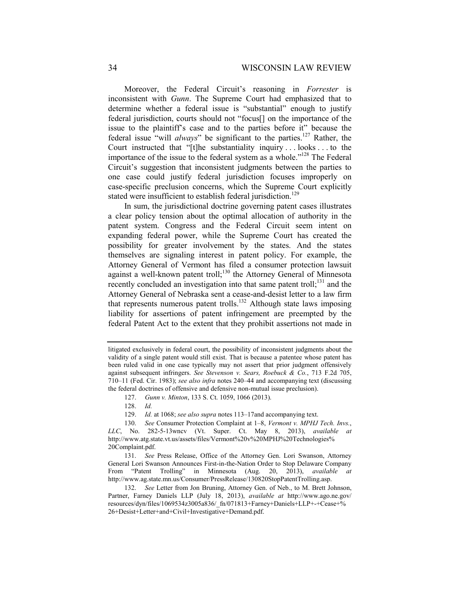Moreover, the Federal Circuit's reasoning in *Forrester* is inconsistent with *Gunn*. The Supreme Court had emphasized that to determine whether a federal issue is "substantial" enough to justify federal jurisdiction, courts should not "focus[] on the importance of the issue to the plaintiff's case and to the parties before it" because the federal issue "will *always*" be significant to the parties.<sup>127</sup> Rather, the Court instructed that "[t]he substantiality inquiry . . . looks . . . to the importance of the issue to the federal system as a whole."<sup>128</sup> The Federal Circuit's suggestion that inconsistent judgments between the parties to one case could justify federal jurisdiction focuses improperly on case-specific preclusion concerns, which the Supreme Court explicitly stated were insufficient to establish federal jurisdiction.<sup>129</sup>

In sum, the jurisdictional doctrine governing patent cases illustrates a clear policy tension about the optimal allocation of authority in the patent system. Congress and the Federal Circuit seem intent on expanding federal power, while the Supreme Court has created the possibility for greater involvement by the states. And the states themselves are signaling interest in patent policy. For example, the Attorney General of Vermont has filed a consumer protection lawsuit against a well-known patent troll;<sup>130</sup> the Attorney General of Minnesota recently concluded an investigation into that same patent troll;<sup>131</sup> and the Attorney General of Nebraska sent a cease-and-desist letter to a law firm that represents numerous patent trolls.<sup>132</sup> Although state laws imposing liability for assertions of patent infringement are preempted by the federal Patent Act to the extent that they prohibit assertions not made in

litigated exclusively in federal court, the possibility of inconsistent judgments about the validity of a single patent would still exist. That is because a patentee whose patent has been ruled valid in one case typically may not assert that prior judgment offensively against subsequent infringers. *See Stevenson v. Sears, Roebuck & Co.*, 713 F.2d 705, 710–11 (Fed. Cir. 1983); *see also infra* notes 240–44 and accompanying text (discussing the federal doctrines of offensive and defensive non-mutual issue preclusion).

 <sup>127.</sup> *Gunn v. Minton*, 133 S. Ct. 1059, 1066 (2013).

 <sup>128.</sup> *Id.* 

 <sup>129.</sup> *Id.* at 1068; *see also supra* notes 113–17and accompanying text.

 <sup>130.</sup> *See* Consumer Protection Complaint at 1–8, *Vermont v. MPHJ Tech. Invs.*, *LLC*, No. 282-5-13wncv (Vt. Super. Ct. May 8, 2013), *available at* http://www.atg.state.vt.us/assets/files/Vermont%20v%20MPHJ%20Technologies% 20Complaint.pdf.

 <sup>131.</sup> *See* Press Release, Office of the Attorney Gen. Lori Swanson, Attorney General Lori Swanson Announces First-in-the-Nation Order to Stop Delaware Company From "Patent Trolling" in Minnesota (Aug. 20, 2013), *available* http://www.ag.state.mn.us/Consumer/PressRelease/130820StopPatentTrolling.asp.

 <sup>132.</sup> *See* Letter from Jon Bruning, Attorney Gen. of Neb., to M. Brett Johnson, Partner, Farney Daniels LLP (July 18, 2013), *available at* http://www.ago.ne.gov/ resources/dyn/files/1069534z3005a836/\_fn/071813+Farney+Daniels+LLP+-+Cease+% 26+Desist+Letter+and+Civil+Investigative+Demand.pdf.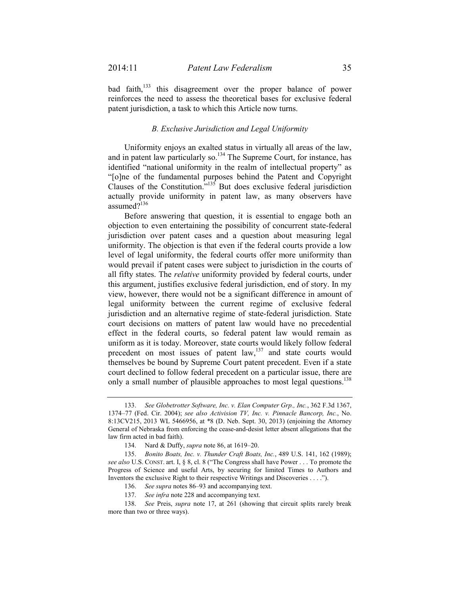bad faith,<sup>133</sup> this disagreement over the proper balance of power reinforces the need to assess the theoretical bases for exclusive federal patent jurisdiction, a task to which this Article now turns.

## *B. Exclusive Jurisdiction and Legal Uniformity*

Uniformity enjoys an exalted status in virtually all areas of the law, and in patent law particularly so.<sup>134</sup> The Supreme Court, for instance, has identified "national uniformity in the realm of intellectual property" as "[o]ne of the fundamental purposes behind the Patent and Copyright Clauses of the Constitution."135 But does exclusive federal jurisdiction actually provide uniformity in patent law, as many observers have assumed?<sup>136</sup>

Before answering that question, it is essential to engage both an objection to even entertaining the possibility of concurrent state-federal jurisdiction over patent cases and a question about measuring legal uniformity. The objection is that even if the federal courts provide a low level of legal uniformity, the federal courts offer more uniformity than would prevail if patent cases were subject to jurisdiction in the courts of all fifty states. The *relative* uniformity provided by federal courts, under this argument, justifies exclusive federal jurisdiction, end of story. In my view, however, there would not be a significant difference in amount of legal uniformity between the current regime of exclusive federal jurisdiction and an alternative regime of state-federal jurisdiction. State court decisions on matters of patent law would have no precedential effect in the federal courts, so federal patent law would remain as uniform as it is today. Moreover, state courts would likely follow federal precedent on most issues of patent law,<sup>137</sup> and state courts would themselves be bound by Supreme Court patent precedent. Even if a state court declined to follow federal precedent on a particular issue, there are only a small number of plausible approaches to most legal questions.<sup>138</sup>

 <sup>133.</sup> *See Globetrotter Software, Inc. v. Elan Computer Grp., Inc.*, 362 F.3d 1367, 1374–77 (Fed. Cir. 2004); *see also Activision TV, Inc. v. Pinnacle Bancorp, Inc.*, No. 8:13CV215, 2013 WL 5466956, at \*8 (D. Neb. Sept. 30, 2013) (enjoining the Attorney General of Nebraska from enforcing the cease-and-desist letter absent allegations that the law firm acted in bad faith).

 <sup>134.</sup> Nard & Duffy, *supra* note 86, at 1619–20.

 <sup>135.</sup> *Bonito Boats, Inc. v. Thunder Craft Boats, Inc.*, 489 U.S. 141, 162 (1989); *see also* U.S. CONST. art. I, § 8, cl. 8 ("The Congress shall have Power . . . To promote the Progress of Science and useful Arts, by securing for limited Times to Authors and Inventors the exclusive Right to their respective Writings and Discoveries . . . .").

 <sup>136.</sup> *See supra* notes 86–93 and accompanying text.

 <sup>137.</sup> *See infra* note 228 and accompanying text.

 <sup>138.</sup> *See* Preis, *supra* note 17, at 261 (showing that circuit splits rarely break more than two or three ways).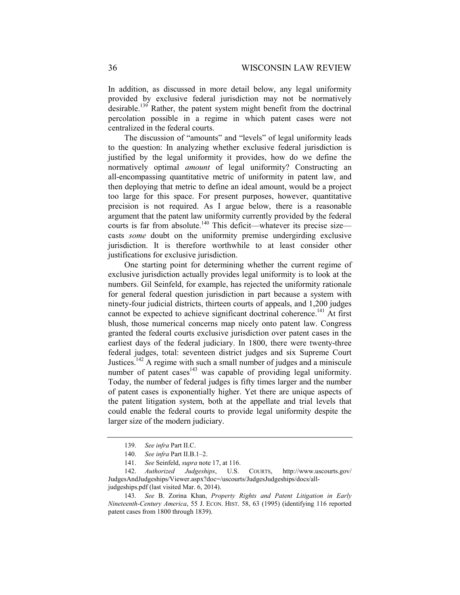In addition, as discussed in more detail below, any legal uniformity provided by exclusive federal jurisdiction may not be normatively desirable.<sup>139</sup> Rather, the patent system might benefit from the doctrinal percolation possible in a regime in which patent cases were not centralized in the federal courts.

The discussion of "amounts" and "levels" of legal uniformity leads to the question: In analyzing whether exclusive federal jurisdiction is justified by the legal uniformity it provides, how do we define the normatively optimal *amount* of legal uniformity? Constructing an all-encompassing quantitative metric of uniformity in patent law, and then deploying that metric to define an ideal amount, would be a project too large for this space. For present purposes, however, quantitative precision is not required. As I argue below, there is a reasonable argument that the patent law uniformity currently provided by the federal courts is far from absolute.<sup>140</sup> This deficit—whatever its precise size casts *some* doubt on the uniformity premise undergirding exclusive jurisdiction. It is therefore worthwhile to at least consider other justifications for exclusive jurisdiction.

One starting point for determining whether the current regime of exclusive jurisdiction actually provides legal uniformity is to look at the numbers. Gil Seinfeld, for example, has rejected the uniformity rationale for general federal question jurisdiction in part because a system with ninety-four judicial districts, thirteen courts of appeals, and 1,200 judges cannot be expected to achieve significant doctrinal coherence.<sup>141</sup> At first blush, those numerical concerns map nicely onto patent law. Congress granted the federal courts exclusive jurisdiction over patent cases in the earliest days of the federal judiciary. In 1800, there were twenty-three federal judges, total: seventeen district judges and six Supreme Court Justices.142 A regime with such a small number of judges and a miniscule number of patent cases $143$  was capable of providing legal uniformity. Today, the number of federal judges is fifty times larger and the number of patent cases is exponentially higher. Yet there are unique aspects of the patent litigation system, both at the appellate and trial levels that could enable the federal courts to provide legal uniformity despite the larger size of the modern judiciary.

 <sup>139.</sup> *See infra* Part II.C.

 <sup>140.</sup> *See infra* Part II.B.1–2.

 <sup>141.</sup> *See* Seinfeld, *supra* note 17, at 116.

 <sup>142.</sup> *Authorized Judgeships*, U.S. COURTS, http://www.uscourts.gov/ JudgesAndJudgeships/Viewer.aspx?doc=/uscourts/JudgesJudgeships/docs/alljudgeships.pdf (last visited Mar. 6, 2014).

 <sup>143.</sup> *See* B. Zorina Khan, *Property Rights and Patent Litigation in Early Nineteenth-Century America*, 55 J. ECON. HIST. 58, 63 (1995) (identifying 116 reported patent cases from 1800 through 1839).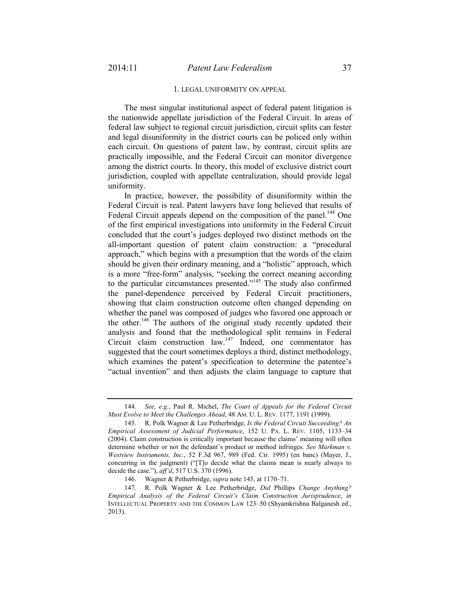#### 1. LEGAL UNIFORMITY ON APPEAL

The most singular institutional aspect of federal patent litigation is the nationwide appellate jurisdiction of the Federal Circuit. In areas of federal law subject to regional circuit jurisdiction, circuit splits can fester and legal disuniformity in the district courts can be policed only within each circuit. On questions of patent law, by contrast, circuit splits are practically impossible, and the Federal Circuit can monitor divergence among the district courts. In theory, this model of exclusive district court jurisdiction, coupled with appellate centralization, should provide legal uniformity.

In practice, however, the possibility of disuniformity within the Federal Circuit is real. Patent lawyers have long believed that results of Federal Circuit appeals depend on the composition of the panel.<sup>144</sup> One of the first empirical investigations into uniformity in the Federal Circuit concluded that the court's judges deployed two distinct methods on the all-important question of patent claim construction: a "procedural approach," which begins with a presumption that the words of the claim should be given their ordinary meaning, and a "holistic" approach, which is a more "free-form" analysis, "seeking the correct meaning according to the particular circumstances presented."145 The study also confirmed the panel-dependence perceived by Federal Circuit practitioners, showing that claim construction outcome often changed depending on whether the panel was composed of judges who favored one approach or the other.<sup>146</sup> The authors of the original study recently updated their analysis and found that the methodological split remains in Federal Circuit claim construction law.147 Indeed, one commentator has suggested that the court sometimes deploys a third, distinct methodology, which examines the patent's specification to determine the patentee's "actual invention" and then adjusts the claim language to capture that

 <sup>144.</sup> *See, e.g.*, Paul R. Michel, *The Court of Appeals for the Federal Circuit Must Evolve to Meet the Challenges Ahead*, 48 AM. U. L. REV. 1177, 1191 (1999).

 <sup>145.</sup> R. Polk Wagner & Lee Petherbridge, *Is the Federal Circuit Succeeding? An Empirical Assessment of Judicial Performance*, 152 U. PA. L. REV. 1105, 1133–34 (2004). Claim construction is critically important because the claims' meaning will often determine whether or not the defendant's product or method infringes. *See Markman v. Westview Instruments, Inc.*, 52 F.3d 967, 989 (Fed. Cir. 1995) (en banc) (Mayer, J., concurring in the judgment) ("[T]o decide what the claims mean is nearly always to decide the case."), *aff'd*, 517 U.S. 370 (1996).

 <sup>146.</sup> Wagner & Petherbridge, *supra* note 145, at 1170–71.

 <sup>147.</sup> R. Polk Wagner & Lee Petherbridge, *Did* Phillips *Change Anything? Empirical Analysis of the Federal Circuit's Claim Construction Jurisprudence*, *in* INTELLECTUAL PROPERTY AND THE COMMON LAW 123–50 (Shyamkrishna Balganesh ed., 2013).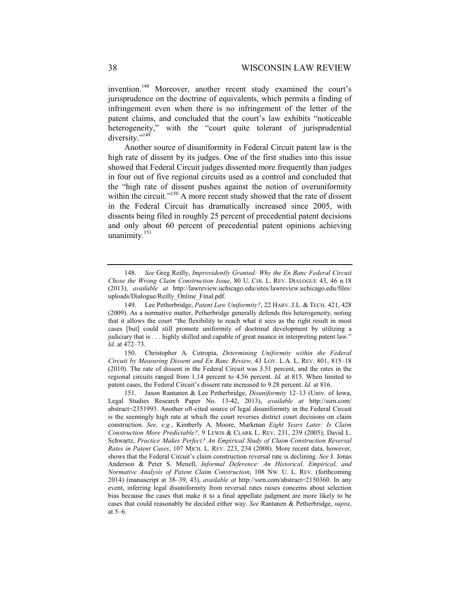invention.<sup>148</sup> Moreover, another recent study examined the court's jurisprudence on the doctrine of equivalents, which permits a finding of infringement even when there is no infringement of the letter of the patent claims, and concluded that the court's law exhibits "noticeable heterogeneity," with the "court quite tolerant of jurisprudential diversity."149

Another source of disuniformity in Federal Circuit patent law is the high rate of dissent by its judges. One of the first studies into this issue showed that Federal Circuit judges dissented more frequently than judges in four out of five regional circuits used as a control and concluded that the "high rate of dissent pushes against the notion of overuniformity within the circuit."<sup>150</sup> A more recent study showed that the rate of dissent in the Federal Circuit has dramatically increased since 2005, with dissents being filed in roughly 25 percent of precedential patent decisions and only about 60 percent of precedential patent opinions achieving unanimity.<sup>151</sup>

 <sup>148.</sup> *See* Greg Reilly, *Improvidently Granted: Why the En Banc Federal Circuit Chose the Wrong Claim Construction Issue*, 80 U. CHI. L. REV. DIALOGUE 43, 46 n.18 (2013), *available at* http://lawreview.uchicago.edu/sites/lawreview.uchicago.edu/files/ uploads/Dialogue/Reilly\_Online\_Final.pdf.

 <sup>149.</sup> Lee Petherbridge, *Patent Law Uniformity?*, 22 HARV. J.L. & TECH. 421, 428 (2009). As a normative matter, Petherbridge generally defends this heterogeneity, noting that it allows the court "the flexibility to reach what it sees as the right result in most cases [but] could still promote uniformity of doctrinal development by utilizing a judiciary that is . . . highly skilled and capable of great nuance in interpreting patent law." *Id.* at 472–73.

 <sup>150.</sup> Christopher A. Cotropia, *Determining Uniformity within the Federal Circuit by Measuring Dissent and En Banc Review*, 43 LOY. L.A. L. REV. 801, 815–18 (2010). The rate of dissent in the Federal Circuit was 3.51 percent, and the rates in the regional circuits ranged from 1.14 percent to 4.56 percent. *Id.* at 815. When limited to patent cases, the Federal Circuit's dissent rate increased to 9.28 percent. *Id.* at 816.

 <sup>151.</sup> Jason Rantanen & Lee Petherbridge, *Disuniformity* 12–13 (Univ. of Iowa, Legal Studies Research Paper No. 13-42, 2013), *available at* http://ssrn.com/ abstract=2351993. Another oft-cited source of legal disuniformity in the Federal Circuit is the seemingly high rate at which the court reverses district court decisions on claim construction. *See, e.g.*, Kimberly A. Moore, Markman *Eight Years Later: Is Claim Construction More Predictable?*, 9 LEWIS & CLARK L. REV. 231, 239 (2005); David L. Schwartz, *Practice Makes Perfect? An Empirical Study of Claim Construction Reversal Rates in Patent Cases*, 107 MICH. L. REV. 223, 234 (2008). More recent data, however, shows that the Federal Circuit's claim construction reversal rate is declining. *See* J. Jonas Anderson & Peter S. Menell, *Informal Deference: An Historical, Empirical, and Normative Analysis of Patent Claim Construction*, 108 NW. U. L. REV. (forthcoming 2014) (manuscript at 38–39, 43), *available at* http://ssrn.com/abstract=2150360. In any event, inferring legal disuniformity from reversal rates raises concerns about selection bias because the cases that make it to a final appellate judgment are more likely to be cases that could reasonably be decided either way. *See* Rantanen & Petherbridge, *supra*, at 5–6.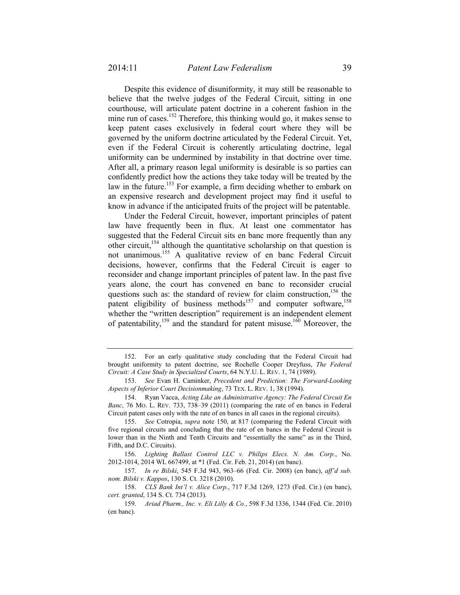Despite this evidence of disuniformity, it may still be reasonable to believe that the twelve judges of the Federal Circuit, sitting in one courthouse, will articulate patent doctrine in a coherent fashion in the mine run of cases.<sup>152</sup> Therefore, this thinking would go, it makes sense to keep patent cases exclusively in federal court where they will be governed by the uniform doctrine articulated by the Federal Circuit. Yet, even if the Federal Circuit is coherently articulating doctrine, legal uniformity can be undermined by instability in that doctrine over time. After all, a primary reason legal uniformity is desirable is so parties can confidently predict how the actions they take today will be treated by the law in the future.<sup>153</sup> For example, a firm deciding whether to embark on an expensive research and development project may find it useful to know in advance if the anticipated fruits of the project will be patentable.

Under the Federal Circuit, however, important principles of patent law have frequently been in flux. At least one commentator has suggested that the Federal Circuit sits en banc more frequently than any other circuit,154 although the quantitative scholarship on that question is not unanimous.155 A qualitative review of en banc Federal Circuit decisions, however, confirms that the Federal Circuit is eager to reconsider and change important principles of patent law. In the past five years alone, the court has convened en banc to reconsider crucial questions such as: the standard of review for claim construction,  $156$  the patent eligibility of business methods<sup>157</sup> and computer software,<sup>158</sup> whether the "written description" requirement is an independent element of patentability,<sup>159</sup> and the standard for patent misuse.<sup>160</sup> Moreover, the

 156. *Lighting Ballast Control LLC v. Philips Elecs. N. Am. Corp.*, No. 2012-1014, 2014 WL 667499, at \*1 (Fed. Cir. Feb. 21, 2014) (en banc).

 157. *In re Bilski*, 545 F.3d 943, 963–66 (Fed. Cir. 2008) (en banc), *aff'd sub. nom. Bilski v. Kappos*, 130 S. Ct. 3218 (2010).

 158. *CLS Bank Int'l v. Alice Corp.*, 717 F.3d 1269, 1273 (Fed. Cir.) (en banc), *cert. granted*, 134 S. Ct. 734 (2013).

 <sup>152.</sup> For an early qualitative study concluding that the Federal Circuit had brought uniformity to patent doctrine, see Rochelle Cooper Dreyfuss, *The Federal Circuit: A Case Study in Specialized Courts*, 64 N.Y.U. L. REV. 1, 74 (1989).

 <sup>153.</sup> *See* Evan H. Caminker, *Precedent and Prediction: The Forward-Looking Aspects of Inferior Court Decisionmaking*, 73 TEX. L. REV. 1, 38 (1994).

 <sup>154.</sup> Ryan Vacca, *Acting Like an Administrative Agency: The Federal Circuit En Banc*, 76 MO. L. REV. 733, 738–39 (2011) (comparing the rate of en bancs in Federal Circuit patent cases only with the rate of en bancs in all cases in the regional circuits).

 <sup>155.</sup> *See* Cotropia, *supra* note 150, at 817 (comparing the Federal Circuit with five regional circuits and concluding that the rate of en bancs in the Federal Circuit is lower than in the Ninth and Tenth Circuits and "essentially the same" as in the Third, Fifth, and D.C. Circuits).

 <sup>159.</sup> *Ariad Pharm., Inc. v. Eli Lilly & Co.*, 598 F.3d 1336, 1344 (Fed. Cir. 2010) (en banc).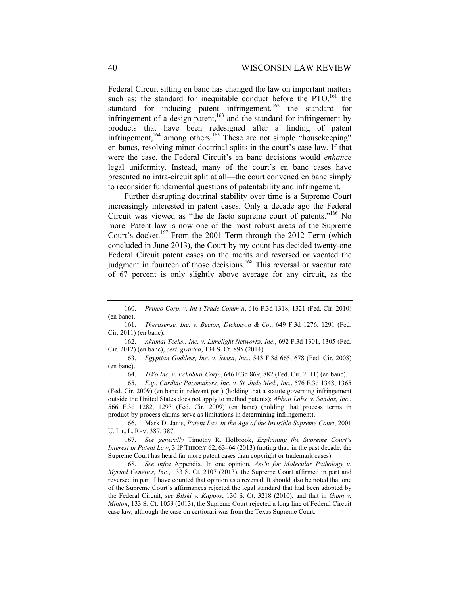Federal Circuit sitting en banc has changed the law on important matters such as: the standard for inequitable conduct before the  $PTO<sub>161</sub>$  the standard for inducing patent infringement,  $162$  the standard for infringement of a design patent,<sup>163</sup> and the standard for infringement by products that have been redesigned after a finding of patent infringement, $164$  among others.<sup>165</sup> These are not simple "housekeeping" en bancs, resolving minor doctrinal splits in the court's case law. If that were the case, the Federal Circuit's en banc decisions would *enhance* legal uniformity. Instead, many of the court's en banc cases have presented no intra-circuit split at all—the court convened en banc simply to reconsider fundamental questions of patentability and infringement.

Further disrupting doctrinal stability over time is a Supreme Court increasingly interested in patent cases. Only a decade ago the Federal Circuit was viewed as "the de facto supreme court of patents."166 No more. Patent law is now one of the most robust areas of the Supreme Court's docket.<sup>167</sup> From the 2001 Term through the 2012 Term (which concluded in June 2013), the Court by my count has decided twenty-one Federal Circuit patent cases on the merits and reversed or vacated the judgment in fourteen of those decisions.<sup>168</sup> This reversal or vacatur rate of 67 percent is only slightly above average for any circuit, as the

 162. *Akamai Techs., Inc. v. Limelight Networks, Inc.*, 692 F.3d 1301, 1305 (Fed. Cir. 2012) (en banc), *cert. granted*, 134 S. Ct. 895 (2014).

 163. *Egyptian Goddess, Inc. v. Swisa, Inc.*, 543 F.3d 665, 678 (Fed. Cir. 2008) (en banc).

164. *TiVo Inc. v. EchoStar Corp.*, 646 F.3d 869, 882 (Fed. Cir. 2011) (en banc).

 165. *E.g.*, *Cardiac Pacemakers, Inc. v. St. Jude Med., Inc.*, 576 F.3d 1348, 1365 (Fed. Cir. 2009) (en banc in relevant part) (holding that a statute governing infringement outside the United States does not apply to method patents); *Abbott Labs. v. Sandoz, Inc.*, 566 F.3d 1282, 1293 (Fed. Cir. 2009) (en banc) (holding that process terms in product-by-process claims serve as limitations in determining infringement).

 166. Mark D. Janis, *Patent Law in the Age of the Invisible Supreme Court*, 2001 U. ILL. L. REV. 387, 387.

 167. *See generally* Timothy R. Holbrook, *Explaining the Supreme Court's Interest in Patent Law*, 3 IP THEORY 62, 63–64 (2013) (noting that, in the past decade, the Supreme Court has heard far more patent cases than copyright or trademark cases).

 168. *See infra* Appendix. In one opinion, *Ass'n for Molecular Pathology v. Myriad Genetics, Inc.*, 133 S. Ct. 2107 (2013), the Supreme Court affirmed in part and reversed in part. I have counted that opinion as a reversal. It should also be noted that one of the Supreme Court's affirmances rejected the legal standard that had been adopted by the Federal Circuit, *see Bilski v. Kappos*, 130 S. Ct. 3218 (2010), and that in *Gunn v. Minton*, 133 S. Ct. 1059 (2013), the Supreme Court rejected a long line of Federal Circuit case law, although the case on certiorari was from the Texas Supreme Court.

 <sup>160.</sup> *Princo Corp. v. Int'l Trade Comm'n*, 616 F.3d 1318, 1321 (Fed. Cir. 2010) (en banc).

 <sup>161.</sup> *Therasense, Inc. v. Becton, Dickinson & Co*., 649 F.3d 1276, 1291 (Fed. Cir. 2011) (en banc).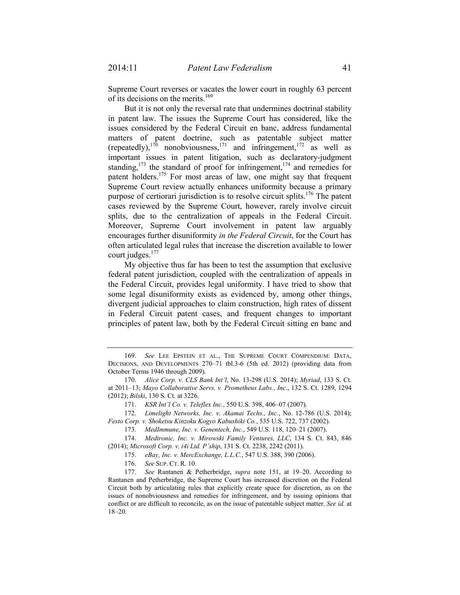Supreme Court reverses or vacates the lower court in roughly 63 percent of its decisions on the merits.<sup>169</sup>

But it is not only the reversal rate that undermines doctrinal stability in patent law. The issues the Supreme Court has considered, like the issues considered by the Federal Circuit en banc, address fundamental matters of patent doctrine, such as patentable subject matter (repeatedly), $170$  nonobviousness, $171$  and infringement, $172$  as well as important issues in patent litigation, such as declaratory-judgment standing, $173$  the standard of proof for infringement,  $174$  and remedies for patent holders.175 For most areas of law, one might say that frequent Supreme Court review actually enhances uniformity because a primary purpose of certiorari jurisdiction is to resolve circuit splits.176 The patent cases reviewed by the Supreme Court, however, rarely involve circuit splits, due to the centralization of appeals in the Federal Circuit. Moreover, Supreme Court involvement in patent law arguably encourages further disuniformity *in the Federal Circuit*, for the Court has often articulated legal rules that increase the discretion available to lower court judges. $177$ 

My objective thus far has been to test the assumption that exclusive federal patent jurisdiction, coupled with the centralization of appeals in the Federal Circuit, provides legal uniformity. I have tried to show that some legal disuniformity exists as evidenced by, among other things, divergent judicial approaches to claim construction, high rates of dissent in Federal Circuit patent cases, and frequent changes to important principles of patent law, both by the Federal Circuit sitting en banc and

171. *KSR Int'l Co. v. Teleflex Inc.*, 550 U.S. 398, 406–07 (2007).

 172. *Limelight Networks, Inc. v. Akamai Techs., Inc.*, No. 12-786 (U.S. 2014); *Festo Corp. v. Shoketsu Kinzoku Kogyo Kabushiki Co.*, 535 U.S. 722, 737 (2002).

173. *MedImmune, Inc. v. Genentech, Inc.*, 549 U.S. 118, 120–21 (2007).

 174. *Medtronic, Inc. v. Mirowski Family Ventures, LLC*, 134 S. Ct. 843, 846 (2014); *Microsoft Corp. v. i4i Ltd. P'ship*, 131 S. Ct. 2238, 2242 (2011).

175. *eBay, Inc. v. MercExchange, L.L.C.*, 547 U.S. 388, 390 (2006).

176. *See* SUP. CT. R. 10.

 177. *See* Rantanen & Petherbridge, *supra* note 151, at 19–20. According to Rantanen and Petherbridge, the Supreme Court has increased discretion on the Federal Circuit both by articulating rules that explicitly create space for discretion, as on the issues of nonobviousness and remedies for infringement, and by issuing opinions that conflict or are difficult to reconcile, as on the issue of patentable subject matter. *See id.* at 18–20.

 <sup>169.</sup> *See* LEE EPSTEIN ET AL., THE SUPREME COURT COMPENDIUM: DATA, DECISIONS, AND DEVELOPMENTS 270–71 tbl.3-6 (5th ed. 2012) (providing data from October Terms 1946 through 2009).

 <sup>170.</sup> *Alice Corp. v. CLS Bank Int'l*, No. 13-298 (U.S. 2014); *Myriad*, 133 S. Ct. at 2011–13; *Mayo Collaborative Servs. v. Prometheus Labs., Inc*., 132 S. Ct. 1289, 1294 (2012); *Bilski*, 130 S. Ct. at 3226.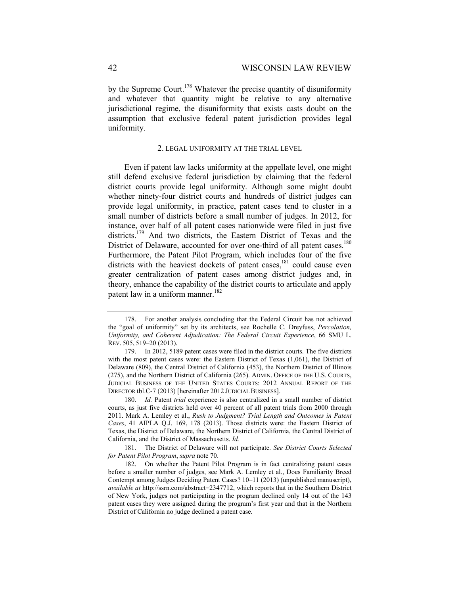by the Supreme Court.<sup>178</sup> Whatever the precise quantity of disuniformity and whatever that quantity might be relative to any alternative jurisdictional regime, the disuniformity that exists casts doubt on the assumption that exclusive federal patent jurisdiction provides legal uniformity.

#### 2. LEGAL UNIFORMITY AT THE TRIAL LEVEL

Even if patent law lacks uniformity at the appellate level, one might still defend exclusive federal jurisdiction by claiming that the federal district courts provide legal uniformity. Although some might doubt whether ninety-four district courts and hundreds of district judges can provide legal uniformity, in practice, patent cases tend to cluster in a small number of districts before a small number of judges. In 2012, for instance, over half of all patent cases nationwide were filed in just five districts.<sup>179</sup> And two districts, the Eastern District of Texas and the District of Delaware, accounted for over one-third of all patent cases.<sup>180</sup> Furthermore, the Patent Pilot Program, which includes four of the five districts with the heaviest dockets of patent cases, $181$  could cause even greater centralization of patent cases among district judges and, in theory, enhance the capability of the district courts to articulate and apply patent law in a uniform manner.<sup>182</sup>

 <sup>178.</sup> For another analysis concluding that the Federal Circuit has not achieved the "goal of uniformity" set by its architects, see Rochelle C. Dreyfuss, *Percolation, Uniformity, and Coherent Adjudication: The Federal Circuit Experience*, 66 SMU L. REV. 505, 519–20 (2013).

 <sup>179.</sup> In 2012, 5189 patent cases were filed in the district courts. The five districts with the most patent cases were: the Eastern District of Texas (1,061), the District of Delaware (809), the Central District of California (453), the Northern District of Illinois (275), and the Northern District of California (265). ADMIN. OFFICE OF THE U.S. COURTS, JUDICIAL BUSINESS OF THE UNITED STATES COURTS: 2012 ANNUAL REPORT OF THE DIRECTOR tbl.C-7 (2013) [hereinafter 2012 JUDICIAL BUSINESS].

 <sup>180.</sup> *Id.* Patent *trial* experience is also centralized in a small number of district courts, as just five districts held over 40 percent of all patent trials from 2000 through 2011. Mark A. Lemley et al., *Rush to Judgment? Trial Length and Outcomes in Patent Cases*, 41 AIPLA Q.J. 169, 178 (2013). Those districts were: the Eastern District of Texas, the District of Delaware, the Northern District of California, the Central District of California, and the District of Massachusetts. *Id.*

 <sup>181.</sup> The District of Delaware will not participate. *See District Courts Selected for Patent Pilot Program*, *supra* note 70.

 <sup>182.</sup> On whether the Patent Pilot Program is in fact centralizing patent cases before a smaller number of judges, see Mark A. Lemley et al., Does Familiarity Breed Contempt among Judges Deciding Patent Cases? 10–11 (2013) (unpublished manuscript), *available at* http://ssrn.com/abstract=2347712, which reports that in the Southern District of New York, judges not participating in the program declined only 14 out of the 143 patent cases they were assigned during the program's first year and that in the Northern District of California no judge declined a patent case.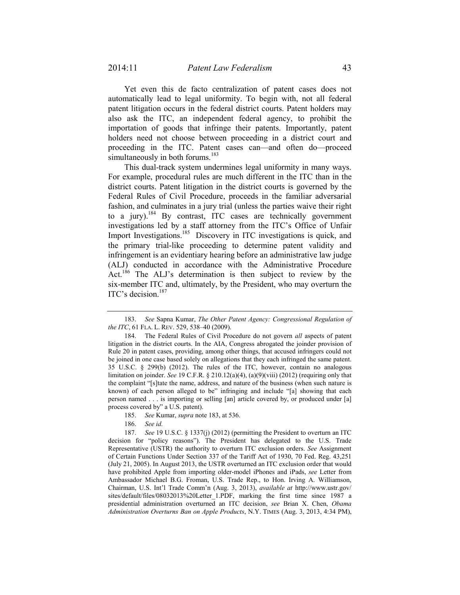Yet even this de facto centralization of patent cases does not automatically lead to legal uniformity. To begin with, not all federal patent litigation occurs in the federal district courts. Patent holders may also ask the ITC, an independent federal agency, to prohibit the importation of goods that infringe their patents. Importantly, patent holders need not choose between proceeding in a district court and proceeding in the ITC. Patent cases can—and often do—proceed simultaneously in both forums.<sup>183</sup>

This dual-track system undermines legal uniformity in many ways. For example, procedural rules are much different in the ITC than in the district courts. Patent litigation in the district courts is governed by the Federal Rules of Civil Procedure, proceeds in the familiar adversarial fashion, and culminates in a jury trial (unless the parties waive their right to a jury).<sup>184</sup> By contrast, ITC cases are technically government investigations led by a staff attorney from the ITC's Office of Unfair Import Investigations.<sup>185</sup> Discovery in ITC investigations is quick, and the primary trial-like proceeding to determine patent validity and infringement is an evidentiary hearing before an administrative law judge (ALJ) conducted in accordance with the Administrative Procedure Act.<sup>186</sup> The ALJ's determination is then subject to review by the six-member ITC and, ultimately, by the President, who may overturn the ITC's decision.<sup>187</sup>

 <sup>183.</sup> *See* Sapna Kumar, *The Other Patent Agency: Congressional Regulation of the ITC*, 61 FLA. L. REV. 529, 538–40 (2009).

 <sup>184.</sup> The Federal Rules of Civil Procedure do not govern *all* aspects of patent litigation in the district courts. In the AIA, Congress abrogated the joinder provision of Rule 20 in patent cases, providing, among other things, that accused infringers could not be joined in one case based solely on allegations that they each infringed the same patent. 35 U.S.C. § 299(b) (2012). The rules of the ITC, however, contain no analogous limitation on joinder. *See* 19 C.F.R. § 210.12(a)(4), (a)(9)(viii) (2012) (requiring only that the complaint "[s]tate the name, address, and nature of the business (when such nature is known) of each person alleged to be" infringing and include "[a] showing that each person named . . . is importing or selling [an] article covered by, or produced under [a] process covered by" a U.S. patent).

 <sup>185.</sup> *See* Kumar, *supra* note 183, at 536.

 <sup>186.</sup> *See id.*

 <sup>187.</sup> *See* 19 U.S.C. § 1337(j) (2012) (permitting the President to overturn an ITC decision for "policy reasons"). The President has delegated to the U.S. Trade Representative (USTR) the authority to overturn ITC exclusion orders. *See* Assignment of Certain Functions Under Section 337 of the Tariff Act of 1930, 70 Fed. Reg. 43,251 (July 21, 2005). In August 2013, the USTR overturned an ITC exclusion order that would have prohibited Apple from importing older-model iPhones and iPads, *see* Letter from Ambassador Michael B.G. Froman, U.S. Trade Rep., to Hon. Irving A. Williamson, Chairman, U.S. Int'l Trade Comm'n (Aug. 3, 2013), *available at* http://www.ustr.gov/ sites/default/files/08032013%20Letter\_1.PDF, marking the first time since 1987 a presidential administration overturned an ITC decision, *see* Brian X. Chen, *Obama Administration Overturns Ban on Apple Products*, N.Y. TIMES (Aug. 3, 2013, 4:34 PM),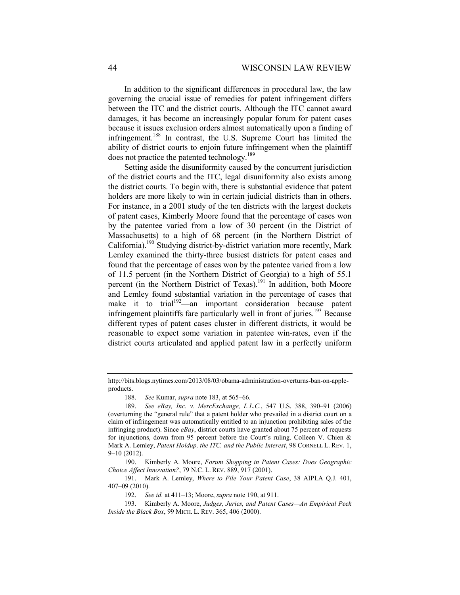In addition to the significant differences in procedural law, the law governing the crucial issue of remedies for patent infringement differs between the ITC and the district courts. Although the ITC cannot award damages, it has become an increasingly popular forum for patent cases because it issues exclusion orders almost automatically upon a finding of infringement.<sup>188</sup> In contrast, the U.S. Supreme Court has limited the ability of district courts to enjoin future infringement when the plaintiff does not practice the patented technology.<sup>189</sup>

Setting aside the disuniformity caused by the concurrent jurisdiction of the district courts and the ITC, legal disuniformity also exists among the district courts. To begin with, there is substantial evidence that patent holders are more likely to win in certain judicial districts than in others. For instance, in a 2001 study of the ten districts with the largest dockets of patent cases, Kimberly Moore found that the percentage of cases won by the patentee varied from a low of 30 percent (in the District of Massachusetts) to a high of 68 percent (in the Northern District of California).190 Studying district-by-district variation more recently, Mark Lemley examined the thirty-three busiest districts for patent cases and found that the percentage of cases won by the patentee varied from a low of 11.5 percent (in the Northern District of Georgia) to a high of 55.1 percent (in the Northern District of Texas).<sup>191</sup> In addition, both Moore and Lemley found substantial variation in the percentage of cases that make it to trial<sup> $192$ </sup>—an important consideration because patent infringement plaintiffs fare particularly well in front of juries.<sup>193</sup> Because different types of patent cases cluster in different districts, it would be reasonable to expect some variation in patentee win-rates, even if the district courts articulated and applied patent law in a perfectly uniform

 191. Mark A. Lemley, *Where to File Your Patent Case*, 38 AIPLA Q.J. 401, 407–09 (2010).

http://bits.blogs.nytimes.com/2013/08/03/obama-administration-overturns-ban-on-appleproducts.

 <sup>188.</sup> *See* Kumar, *supra* note 183, at 565–66.

 <sup>189.</sup> *See eBay, Inc. v. MercExchange, L.L.C.*, 547 U.S. 388, 390–91 (2006) (overturning the "general rule" that a patent holder who prevailed in a district court on a claim of infringement was automatically entitled to an injunction prohibiting sales of the infringing product). Since *eBay*, district courts have granted about 75 percent of requests for injunctions, down from 95 percent before the Court's ruling. Colleen V. Chien & Mark A. Lemley, *Patent Holdup, the ITC, and the Public Interest*, 98 CORNELL L. REV. 1, 9–10 (2012).

 <sup>190.</sup> Kimberly A. Moore, *Forum Shopping in Patent Cases: Does Geographic Choice Affect Innovation?*, 79 N.C. L. REV. 889, 917 (2001).

 <sup>192.</sup> *See id.* at 411–13; Moore, *supra* note 190, at 911.

 <sup>193.</sup> Kimberly A. Moore, *Judges, Juries, and Patent Cases—An Empirical Peek Inside the Black Box*, 99 MICH. L. REV. 365, 406 (2000).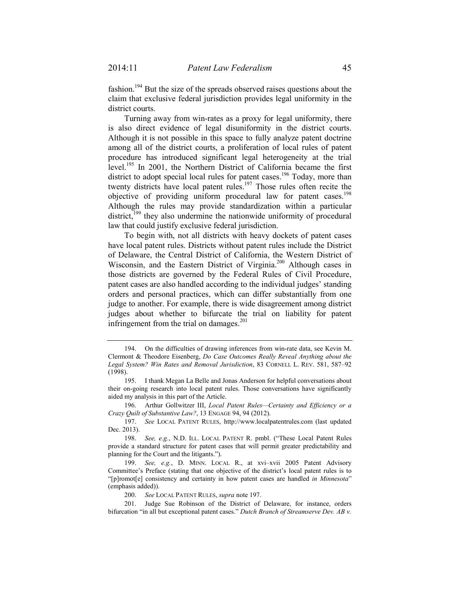fashion.<sup>194</sup> But the size of the spreads observed raises questions about the claim that exclusive federal jurisdiction provides legal uniformity in the district courts.

Turning away from win-rates as a proxy for legal uniformity, there is also direct evidence of legal disuniformity in the district courts. Although it is not possible in this space to fully analyze patent doctrine among all of the district courts, a proliferation of local rules of patent procedure has introduced significant legal heterogeneity at the trial level.<sup>195</sup> In 2001, the Northern District of California became the first district to adopt special local rules for patent cases.<sup>196</sup> Today, more than twenty districts have local patent rules.<sup>197</sup> Those rules often recite the objective of providing uniform procedural law for patent cases.<sup>198</sup> Although the rules may provide standardization within a particular district.<sup>199</sup> they also undermine the nationwide uniformity of procedural law that could justify exclusive federal jurisdiction.

To begin with, not all districts with heavy dockets of patent cases have local patent rules. Districts without patent rules include the District of Delaware, the Central District of California, the Western District of Wisconsin, and the Eastern District of Virginia.<sup>200</sup> Although cases in those districts are governed by the Federal Rules of Civil Procedure, patent cases are also handled according to the individual judges' standing orders and personal practices, which can differ substantially from one judge to another. For example, there is wide disagreement among district judges about whether to bifurcate the trial on liability for patent infringement from the trial on damages. $201$ 

 196. Arthur Gollwitzer III, *Local Patent Rules—Certainty and Efficiency or a Crazy Quilt of Substantive Law?*, 13 ENGAGE 94, 94 (2012).

 <sup>194.</sup> On the difficulties of drawing inferences from win-rate data, see Kevin M. Clermont & Theodore Eisenberg, *Do Case Outcomes Really Reveal Anything about the Legal System? Win Rates and Removal Jurisdiction*, 83 CORNELL L. REV. 581, 587–92 (1998).

 <sup>195.</sup> I thank Megan La Belle and Jonas Anderson for helpful conversations about their on-going research into local patent rules. Those conversations have significantly aided my analysis in this part of the Article.

 <sup>197.</sup> *See* LOCAL PATENT RULES, http://www.localpatentrules.com (last updated Dec. 2013).

 <sup>198.</sup> *See, e.g.*, N.D. ILL. LOCAL PATENT R. pmbl. ("These Local Patent Rules provide a standard structure for patent cases that will permit greater predictability and planning for the Court and the litigants.").

 <sup>199.</sup> *See, e.g.*, D. MINN. LOCAL R., at xvi–xvii 2005 Patent Advisory Committee's Preface (stating that one objective of the district's local patent rules is to "[p]romot[e] consistency and certainty in how patent cases are handled *in Minnesota*" (emphasis added)).

 <sup>200.</sup> *See* LOCAL PATENT RULES, *supra* note 197.

 <sup>201.</sup> Judge Sue Robinson of the District of Delaware, for instance, orders bifurcation "in all but exceptional patent cases." *Dutch Branch of Streamserve Dev. AB v.*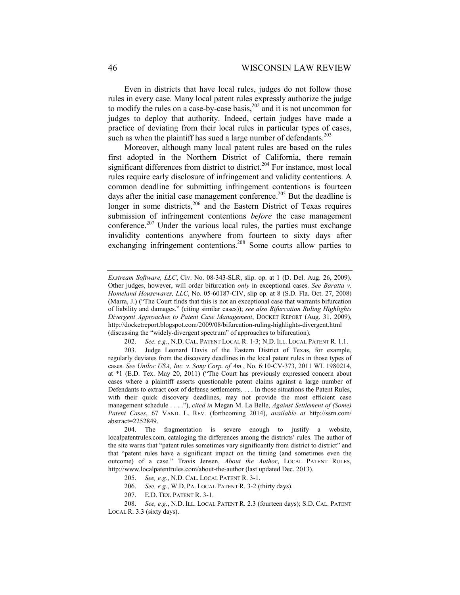Even in districts that have local rules, judges do not follow those rules in every case. Many local patent rules expressly authorize the judge to modify the rules on a case-by-case basis,  $202$  and it is not uncommon for judges to deploy that authority. Indeed, certain judges have made a practice of deviating from their local rules in particular types of cases, such as when the plaintiff has sued a large number of defendants.<sup>203</sup>

Moreover, although many local patent rules are based on the rules first adopted in the Northern District of California, there remain significant differences from district to district.<sup>204</sup> For instance, most local rules require early disclosure of infringement and validity contentions. A common deadline for submitting infringement contentions is fourteen days after the initial case management conference.<sup>205</sup> But the deadline is longer in some districts,<sup>206</sup> and the Eastern District of Texas requires submission of infringement contentions *before* the case management conference.<sup>207</sup> Under the various local rules, the parties must exchange invalidity contentions anywhere from fourteen to sixty days after exchanging infringement contentions.<sup>208</sup> Some courts allow parties to

*Exstream Software, LLC*, Civ. No. 08-343-SLR, slip. op. at 1 (D. Del. Aug. 26, 2009). Other judges, however, will order bifurcation *only* in exceptional cases. *See Baratta v. Homeland Housewares, LLC*, No. 05-60187-CIV, slip op. at 8 (S.D. Fla. Oct. 27, 2008) (Marra, J.) ("The Court finds that this is not an exceptional case that warrants bifurcation of liability and damages." (citing similar cases)); *see also Bifurcation Ruling Highlights Divergent Approaches to Patent Case Management*, DOCKET REPORT (Aug. 31, 2009), http://docketreport.blogspot.com/2009/08/bifurcation-ruling-highlights-divergent.html (discussing the "widely-divergent spectrum" of approaches to bifurcation).

 <sup>202.</sup> *See, e.g.*, N.D. CAL. PATENT LOCAL R. 1-3; N.D. ILL. LOCAL PATENT R. 1.1.

 <sup>203.</sup> Judge Leonard Davis of the Eastern District of Texas, for example, regularly deviates from the discovery deadlines in the local patent rules in those types of cases. *See Uniloc USA, Inc. v. Sony Corp. of Am.*, No. 6:10-CV-373, 2011 WL 1980214, at \*1 (E.D. Tex. May 20, 2011) ("The Court has previously expressed concern about cases where a plaintiff asserts questionable patent claims against a large number of Defendants to extract cost of defense settlements. . . . In those situations the Patent Rules, with their quick discovery deadlines, may not provide the most efficient case management schedule . . . ."), *cited in* Megan M. La Belle, *Against Settlement of (Some) Patent Cases*, 67 VAND. L. REV. (forthcoming 2014), *available at* http://ssrn.com/ abstract=2252849.

 <sup>204.</sup> The fragmentation is severe enough to justify a website, localpatentrules.com, cataloging the differences among the districts' rules. The author of the site warns that "patent rules sometimes vary significantly from district to district" and that "patent rules have a significant impact on the timing (and sometimes even the outcome) of a case." Travis Jensen, *About the Author*, LOCAL PATENT RULES, http://www.localpatentrules.com/about-the-author (last updated Dec. 2013).

 <sup>205.</sup> *See, e.g.*, N.D. CAL. LOCAL PATENT R. 3-1.

 <sup>206.</sup> *See, e.g.*, W.D. PA. LOCAL PATENT R. 3-2 (thirty days).

 <sup>207.</sup> E.D. TEX. PATENT R. 3-1.

<sup>208.</sup> *See, e.g.*, N.D. ILL. LOCAL PATENT R. 2.3 (fourteen days); S.D. CAL. PATENT LOCAL R. 3.3 (sixty days).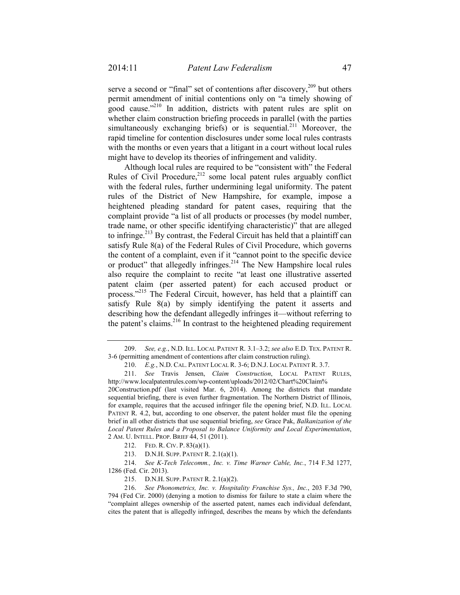serve a second or "final" set of contentions after discovery,  $209$  but others permit amendment of initial contentions only on "a timely showing of good cause."<sup>210</sup> In addition, districts with patent rules are split on whether claim construction briefing proceeds in parallel (with the parties simultaneously exchanging briefs) or is sequential.<sup>211</sup> Moreover, the rapid timeline for contention disclosures under some local rules contrasts with the months or even years that a litigant in a court without local rules might have to develop its theories of infringement and validity.

Although local rules are required to be "consistent with" the Federal Rules of Civil Procedure,<sup>212</sup> some local patent rules arguably conflict with the federal rules, further undermining legal uniformity. The patent rules of the District of New Hampshire, for example, impose a heightened pleading standard for patent cases, requiring that the complaint provide "a list of all products or processes (by model number, trade name, or other specific identifying characteristic)" that are alleged to infringe.<sup>213</sup> By contrast, the Federal Circuit has held that a plaintiff can satisfy Rule 8(a) of the Federal Rules of Civil Procedure, which governs the content of a complaint, even if it "cannot point to the specific device or product" that allegedly infringes.<sup>214</sup> The New Hampshire local rules also require the complaint to recite "at least one illustrative asserted patent claim (per asserted patent) for each accused product or process."<sup>215</sup> The Federal Circuit, however, has held that a plaintiff can satisfy Rule 8(a) by simply identifying the patent it asserts and describing how the defendant allegedly infringes it—without referring to the patent's claims. $2^{16}$  In contrast to the heightened pleading requirement

20Construction.pdf (last visited Mar. 6, 2014). Among the districts that mandate sequential briefing, there is even further fragmentation. The Northern District of Illinois, for example, requires that the accused infringer file the opening brief, N.D. ILL. LOCAL PATENT R. 4.2, but, according to one observer, the patent holder must file the opening brief in all other districts that use sequential briefing, *see* Grace Pak, *Balkanization of the Local Patent Rules and a Proposal to Balance Uniformity and Local Experimentation*, 2 AM. U. INTELL. PROP. BRIEF 44, 51 (2011).

212. FED. R. CIV. P. 83(a)(1).

213. D.N.H. SUPP. PATENT R. 2.1(a)(1).

 214. *See K-Tech Telecomm., Inc. v. Time Warner Cable, Inc.*, 714 F.3d 1277, 1286 (Fed. Cir. 2013).

215. D.N.H. SUPP. PATENT R. 2.1(a)(2).

 216. *See Phonometrics, Inc. v. Hospitality Franchise Sys., Inc.*, 203 F.3d 790, 794 (Fed Cir. 2000) (denying a motion to dismiss for failure to state a claim where the "complaint alleges ownership of the asserted patent, names each individual defendant, cites the patent that is allegedly infringed, describes the means by which the defendants

 <sup>209.</sup> *See, e.g.*, N.D. ILL. LOCAL PATENT R. 3.1–3.2; *see also* E.D. TEX. PATENT R. 3-6 (permitting amendment of contentions after claim construction ruling).

 <sup>210.</sup> *E.g.*, N.D. CAL. PATENT LOCAL R. 3-6; D.N.J. LOCAL PATENT R. 3.7.

 <sup>211.</sup> *See* Travis Jensen, *Claim Construction*, LOCAL PATENT RULES, http://www.localpatentrules.com/wp-content/uploads/2012/02/Chart%20Claim%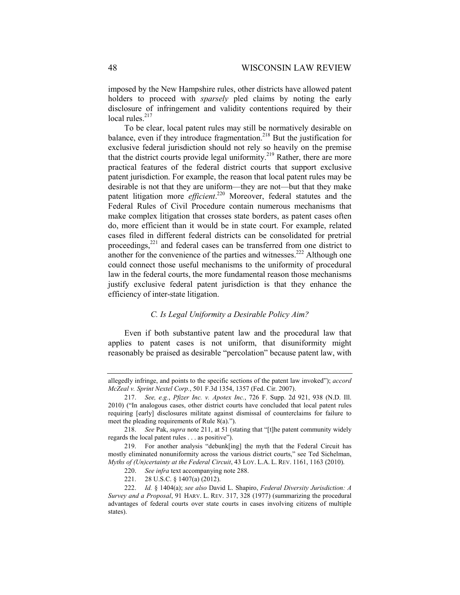imposed by the New Hampshire rules, other districts have allowed patent holders to proceed with *sparsely* pled claims by noting the early disclosure of infringement and validity contentions required by their local rules. $217$ 

To be clear, local patent rules may still be normatively desirable on balance, even if they introduce fragmentation.<sup>218</sup> But the justification for exclusive federal jurisdiction should not rely so heavily on the premise that the district courts provide legal uniformity.219 Rather, there are more practical features of the federal district courts that support exclusive patent jurisdiction. For example, the reason that local patent rules may be desirable is not that they are uniform—they are not—but that they make patent litigation more *efficient*. 220 Moreover, federal statutes and the Federal Rules of Civil Procedure contain numerous mechanisms that make complex litigation that crosses state borders, as patent cases often do, more efficient than it would be in state court. For example, related cases filed in different federal districts can be consolidated for pretrial proceedings,221 and federal cases can be transferred from one district to another for the convenience of the parties and witnesses.<sup>222</sup> Although one could connect those useful mechanisms to the uniformity of procedural law in the federal courts, the more fundamental reason those mechanisms justify exclusive federal patent jurisdiction is that they enhance the efficiency of inter-state litigation.

#### *C. Is Legal Uniformity a Desirable Policy Aim?*

Even if both substantive patent law and the procedural law that applies to patent cases is not uniform, that disuniformity might reasonably be praised as desirable "percolation" because patent law, with

allegedly infringe, and points to the specific sections of the patent law invoked"); *accord McZeal v. Sprint Nextel Corp.*, 501 F.3d 1354, 1357 (Fed. Cir. 2007).

 <sup>217.</sup> *See, e.g.*, *Pfizer Inc. v. Apotex Inc.*, 726 F. Supp. 2d 921, 938 (N.D. Ill. 2010) ("In analogous cases, other district courts have concluded that local patent rules requiring [early] disclosures militate against dismissal of counterclaims for failure to meet the pleading requirements of Rule 8(a).").

 <sup>218.</sup> *See* Pak, *supra* note 211, at 51 (stating that "[t]he patent community widely regards the local patent rules . . . as positive").

 <sup>219.</sup> For another analysis "debunk[ing] the myth that the Federal Circuit has mostly eliminated nonuniformity across the various district courts," see Ted Sichelman, *Myths of (Un)certainty at the Federal Circuit*, 43 LOY. L.A. L. REV. 1161, 1163 (2010).

 <sup>220.</sup> *See infra* text accompanying note 288.

 <sup>221. 28</sup> U.S.C. § 1407(a) (2012).

 <sup>222.</sup> *Id.* § 1404(a); *see also* David L. Shapiro, *Federal Diversity Jurisdiction: A Survey and a Proposal*, 91 HARV. L. REV. 317, 328 (1977) (summarizing the procedural advantages of federal courts over state courts in cases involving citizens of multiple states).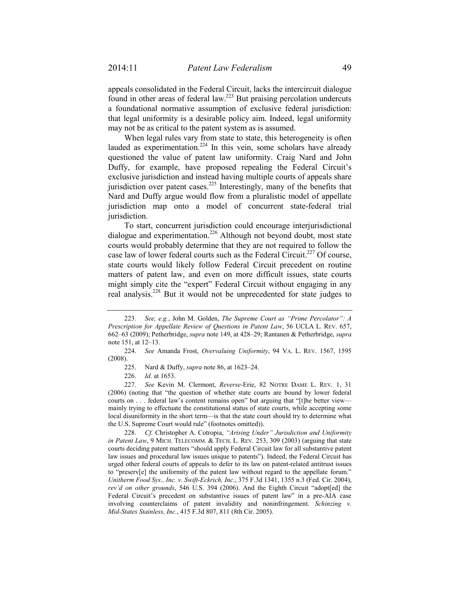appeals consolidated in the Federal Circuit, lacks the intercircuit dialogue found in other areas of federal law.223 But praising percolation undercuts a foundational normative assumption of exclusive federal jurisdiction: that legal uniformity is a desirable policy aim. Indeed, legal uniformity may not be as critical to the patent system as is assumed.

When legal rules vary from state to state, this heterogeneity is often lauded as experimentation.<sup>224</sup> In this vein, some scholars have already questioned the value of patent law uniformity. Craig Nard and John Duffy, for example, have proposed repealing the Federal Circuit's exclusive jurisdiction and instead having multiple courts of appeals share jurisdiction over patent cases.<sup>225</sup> Interestingly, many of the benefits that Nard and Duffy argue would flow from a pluralistic model of appellate jurisdiction map onto a model of concurrent state-federal trial jurisdiction.

To start, concurrent jurisdiction could encourage interjurisdictional dialogue and experimentation.<sup>226</sup> Although not beyond doubt, most state courts would probably determine that they are not required to follow the case law of lower federal courts such as the Federal Circuit.<sup>227</sup> Of course, state courts would likely follow Federal Circuit precedent on routine matters of patent law, and even on more difficult issues, state courts might simply cite the "expert" Federal Circuit without engaging in any real analysis.228 But it would not be unprecedented for state judges to

 227. *See* Kevin M. Clermont, *Reverse-*Erie, 82 NOTRE DAME L. REV. 1, 31 (2006) (noting that "the question of whether state courts are bound by lower federal courts on . . . federal law's content remains open" but arguing that "[t]he better view mainly trying to effectuate the constitutional status of state courts, while accepting some local disuniformity in the short term—is that the state court should try to determine what the U.S. Supreme Court would rule" (footnotes omitted)).

 228. *Cf.* Christopher A. Cotropia, *"Arising Under" Jurisdiction and Uniformity in Patent Law*, 9 MICH. TELECOMM. & TECH. L. REV. 253, 309 (2003) (arguing that state courts deciding patent matters "should apply Federal Circuit law for all substantive patent law issues and procedural law issues unique to patents"). Indeed, the Federal Circuit has urged other federal courts of appeals to defer to its law on patent-related antitrust issues to "preserv[e] the uniformity of the patent law without regard to the appellate forum." *Unitherm Food Sys., Inc. v. Swift-Eckrich, Inc.*, 375 F.3d 1341, 1355 n.3 (Fed. Cir. 2004), *rev'd on other grounds*, 546 U.S. 394 (2006). And the Eighth Circuit "adopt[ed] the Federal Circuit's precedent on substantive issues of patent law" in a pre-AIA case involving counterclaims of patent invalidity and noninfringement. *Schinzing v. Mid-States Stainless, Inc.*, 415 F.3d 807, 811 (8th Cir. 2005).

 <sup>223.</sup> *See, e.g.*, John M. Golden, *The Supreme Court as "Prime Percolator": A Prescription for Appellate Review of Questions in Patent Law*, 56 UCLA L. REV. 657, 662–63 (2009); Petherbridge, *supra* note 149, at 428–29; Rantanen & Petherbridge, *supra* note 151, at 12–13.

 <sup>224.</sup> *See* Amanda Frost, *Overvaluing Uniformity*, 94 VA. L. REV. 1567, 1595 (2008).

 <sup>225.</sup> Nard & Duffy, *supra* note 86, at 1623–24.

 <sup>226.</sup> *Id.* at 1653.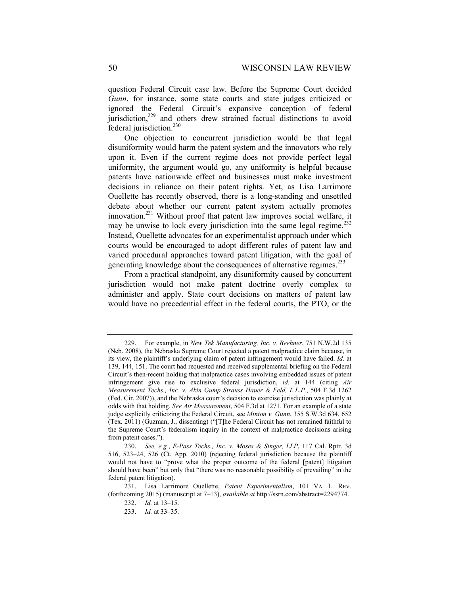question Federal Circuit case law. Before the Supreme Court decided *Gunn*, for instance, some state courts and state judges criticized or ignored the Federal Circuit's expansive conception of federal jurisdiction, $229$  and others drew strained factual distinctions to avoid federal jurisdiction.<sup>230</sup>

One objection to concurrent jurisdiction would be that legal disuniformity would harm the patent system and the innovators who rely upon it. Even if the current regime does not provide perfect legal uniformity, the argument would go, any uniformity is helpful because patents have nationwide effect and businesses must make investment decisions in reliance on their patent rights. Yet, as Lisa Larrimore Ouellette has recently observed, there is a long-standing and unsettled debate about whether our current patent system actually promotes innovation.231 Without proof that patent law improves social welfare, it may be unwise to lock every jurisdiction into the same legal regime.<sup>232</sup> Instead, Ouellette advocates for an experimentalist approach under which courts would be encouraged to adopt different rules of patent law and varied procedural approaches toward patent litigation, with the goal of generating knowledge about the consequences of alternative regimes.<sup>233</sup>

From a practical standpoint, any disuniformity caused by concurrent jurisdiction would not make patent doctrine overly complex to administer and apply. State court decisions on matters of patent law would have no precedential effect in the federal courts, the PTO, or the

 <sup>229.</sup> For example, in *New Tek Manufacturing, Inc. v. Beehner*, 751 N.W.2d 135 (Neb. 2008), the Nebraska Supreme Court rejected a patent malpractice claim because, in its view, the plaintiff's underlying claim of patent infringement would have failed. *Id.* at 139, 144, 151. The court had requested and received supplemental briefing on the Federal Circuit's then-recent holding that malpractice cases involving embedded issues of patent infringement give rise to exclusive federal jurisdiction, *id.* at 144 (citing *Air Measurement Techs., Inc. v. Akin Gump Strauss Hauer & Feld, L.L.P.*, 504 F.3d 1262 (Fed. Cir. 2007)), and the Nebraska court's decision to exercise jurisdiction was plainly at odds with that holding. *See Air Measurement*, 504 F.3d at 1271*.* For an example of a state judge explicitly criticizing the Federal Circuit, see *Minton v. Gunn*, 355 S.W.3d 634, 652 (Tex. 2011) (Guzman, J., dissenting) ("[T]he Federal Circuit has not remained faithful to the Supreme Court's federalism inquiry in the context of malpractice decisions arising from patent cases.").

 <sup>230.</sup> *See, e.g.*, *E-Pass Techs., Inc. v. Moses & Singer, LLP*, 117 Cal. Rptr. 3d 516, 523–24, 526 (Ct. App. 2010) (rejecting federal jurisdiction because the plaintiff would not have to "prove what the proper outcome of the federal [patent] litigation should have been" but only that "there was no reasonable possibility of prevailing" in the federal patent litigation).

 <sup>231.</sup> Lisa Larrimore Ouellette, *Patent Experimentalism*, 101 VA. L. REV. (forthcoming 2015) (manuscript at 7–13), *available at* http://ssrn.com/abstract=2294774. 232. *Id.* at 13–15.

 <sup>233.</sup> *Id.* at 33–35.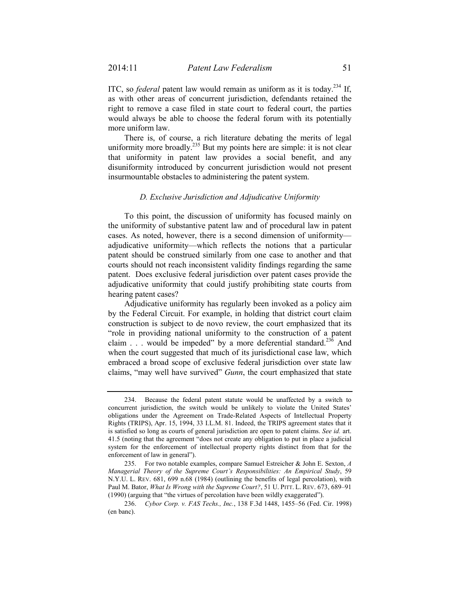ITC, so *federal* patent law would remain as uniform as it is today.234 If, as with other areas of concurrent jurisdiction, defendants retained the right to remove a case filed in state court to federal court, the parties would always be able to choose the federal forum with its potentially more uniform law.

There is, of course, a rich literature debating the merits of legal uniformity more broadly.<sup>235</sup> But my points here are simple: it is not clear that uniformity in patent law provides a social benefit, and any disuniformity introduced by concurrent jurisdiction would not present insurmountable obstacles to administering the patent system.

#### *D. Exclusive Jurisdiction and Adjudicative Uniformity*

To this point, the discussion of uniformity has focused mainly on the uniformity of substantive patent law and of procedural law in patent cases. As noted, however, there is a second dimension of uniformity adjudicative uniformity—which reflects the notions that a particular patent should be construed similarly from one case to another and that courts should not reach inconsistent validity findings regarding the same patent. Does exclusive federal jurisdiction over patent cases provide the adjudicative uniformity that could justify prohibiting state courts from hearing patent cases?

Adjudicative uniformity has regularly been invoked as a policy aim by the Federal Circuit. For example, in holding that district court claim construction is subject to de novo review, the court emphasized that its "role in providing national uniformity to the construction of a patent claim  $\ldots$  would be impeded" by a more deferential standard.<sup>236</sup> And when the court suggested that much of its jurisdictional case law, which embraced a broad scope of exclusive federal jurisdiction over state law claims, "may well have survived" *Gunn*, the court emphasized that state

 <sup>234.</sup> Because the federal patent statute would be unaffected by a switch to concurrent jurisdiction, the switch would be unlikely to violate the United States' obligations under the Agreement on Trade-Related Aspects of Intellectual Property Rights (TRIPS), Apr. 15, 1994, 33 I.L.M. 81. Indeed, the TRIPS agreement states that it is satisfied so long as courts of general jurisdiction are open to patent claims. *See id.* art. 41.5 (noting that the agreement "does not create any obligation to put in place a judicial system for the enforcement of intellectual property rights distinct from that for the enforcement of law in general").

 <sup>235.</sup> For two notable examples, compare Samuel Estreicher & John E. Sexton, *A Managerial Theory of the Supreme Court's Responsibilities: An Empirical Study*, 59 N.Y.U. L. REV. 681, 699 n.68 (1984) (outlining the benefits of legal percolation), with Paul M. Bator, *What Is Wrong with the Supreme Court?*, 51 U. PITT. L. REV. 673, 689–91 (1990) (arguing that "the virtues of percolation have been wildly exaggerated").

 <sup>236.</sup> *Cybor Corp. v. FAS Techs., Inc.*, 138 F.3d 1448, 1455–56 (Fed. Cir. 1998) (en banc).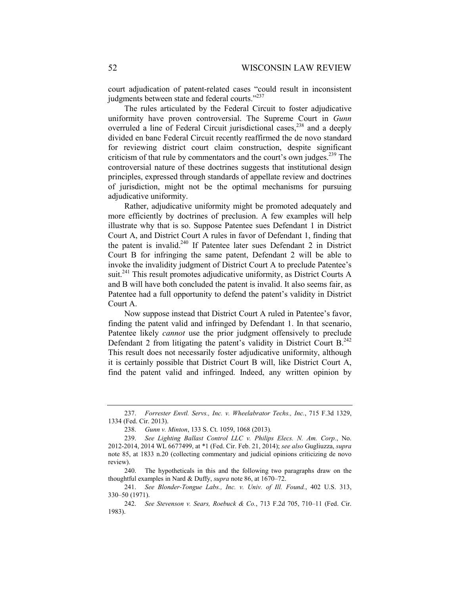court adjudication of patent-related cases "could result in inconsistent judgments between state and federal courts."<sup>237</sup>

The rules articulated by the Federal Circuit to foster adjudicative uniformity have proven controversial. The Supreme Court in *Gunn* overruled a line of Federal Circuit jurisdictional cases,<sup>238</sup> and a deeply divided en banc Federal Circuit recently reaffirmed the de novo standard for reviewing district court claim construction, despite significant criticism of that rule by commentators and the court's own judges.<sup>239</sup> The controversial nature of these doctrines suggests that institutional design principles, expressed through standards of appellate review and doctrines of jurisdiction, might not be the optimal mechanisms for pursuing adjudicative uniformity.

Rather, adjudicative uniformity might be promoted adequately and more efficiently by doctrines of preclusion. A few examples will help illustrate why that is so. Suppose Patentee sues Defendant 1 in District Court A, and District Court A rules in favor of Defendant 1, finding that the patent is invalid.<sup>240</sup> If Patentee later sues Defendant 2 in District Court B for infringing the same patent, Defendant 2 will be able to invoke the invalidity judgment of District Court A to preclude Patentee's suit.<sup>241</sup> This result promotes adjudicative uniformity, as District Courts A and B will have both concluded the patent is invalid. It also seems fair, as Patentee had a full opportunity to defend the patent's validity in District Court A.

Now suppose instead that District Court A ruled in Patentee's favor, finding the patent valid and infringed by Defendant 1. In that scenario, Patentee likely *cannot* use the prior judgment offensively to preclude Defendant 2 from litigating the patent's validity in District Court  $B<sup>242</sup>$ . This result does not necessarily foster adjudicative uniformity, although it is certainly possible that District Court B will, like District Court A, find the patent valid and infringed. Indeed, any written opinion by

 <sup>237.</sup> *Forrester Envtl. Servs., Inc. v. Wheelabrator Techs., Inc.*, 715 F.3d 1329, 1334 (Fed. Cir. 2013).

 <sup>238.</sup> *Gunn v. Minton*, 133 S. Ct. 1059, 1068 (2013).

 <sup>239.</sup> *See Lighting Ballast Control LLC v. Philips Elecs. N. Am. Corp.*, No. 2012-2014, 2014 WL 6677499, at \*1 (Fed. Cir. Feb. 21, 2014); *see also* Gugliuzza, *supra* note 85, at 1833 n.20 (collecting commentary and judicial opinions criticizing de novo review).

 <sup>240.</sup> The hypotheticals in this and the following two paragraphs draw on the thoughtful examples in Nard & Duffy, *supra* note 86, at 1670–72.

 <sup>241.</sup> *See Blonder-Tongue Labs., Inc. v. Univ. of Ill. Found.*, 402 U.S. 313, 330–50 (1971).

 <sup>242.</sup> *See Stevenson v. Sears, Roebuck & Co.*, 713 F.2d 705, 710–11 (Fed. Cir. 1983).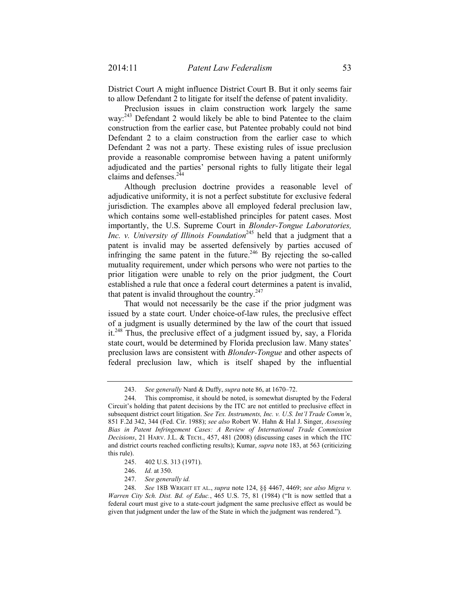District Court A might influence District Court B. But it only seems fair to allow Defendant 2 to litigate for itself the defense of patent invalidity.

Preclusion issues in claim construction work largely the same way:<sup>243</sup> Defendant 2 would likely be able to bind Patentee to the claim construction from the earlier case, but Patentee probably could not bind Defendant 2 to a claim construction from the earlier case to which Defendant 2 was not a party. These existing rules of issue preclusion provide a reasonable compromise between having a patent uniformly adjudicated and the parties' personal rights to fully litigate their legal claims and defenses.<sup>244</sup>

Although preclusion doctrine provides a reasonable level of adjudicative uniformity, it is not a perfect substitute for exclusive federal jurisdiction. The examples above all employed federal preclusion law, which contains some well-established principles for patent cases. Most importantly, the U.S. Supreme Court in *Blonder-Tongue Laboratories, Inc. v. University of Illinois Foundation*<sup>245</sup> held that a judgment that a patent is invalid may be asserted defensively by parties accused of infringing the same patent in the future.<sup>246</sup> By rejecting the so-called mutuality requirement, under which persons who were not parties to the prior litigation were unable to rely on the prior judgment, the Court established a rule that once a federal court determines a patent is invalid, that patent is invalid throughout the country. $247$ 

That would not necessarily be the case if the prior judgment was issued by a state court. Under choice-of-law rules, the preclusive effect of a judgment is usually determined by the law of the court that issued it.248 Thus, the preclusive effect of a judgment issued by, say, a Florida state court, would be determined by Florida preclusion law. Many states' preclusion laws are consistent with *Blonder-Tongue* and other aspects of federal preclusion law, which is itself shaped by the influential

- 246. *Id.* at 350.
- 247. *See generally id.*

 <sup>243.</sup> *See generally* Nard & Duffy, *supra* note 86, at 1670–72.

 <sup>244.</sup> This compromise, it should be noted, is somewhat disrupted by the Federal Circuit's holding that patent decisions by the ITC are not entitled to preclusive effect in subsequent district court litigation. *See Tex. Instruments, Inc. v. U.S. Int'l Trade Comm'n*, 851 F.2d 342, 344 (Fed. Cir. 1988); *see also* Robert W. Hahn & Hal J. Singer, *Assessing Bias in Patent Infringement Cases: A Review of International Trade Commission Decisions*, 21 HARV. J.L. & TECH., 457, 481 (2008) (discussing cases in which the ITC and district courts reached conflicting results); Kumar, *supra* note 183, at 563 (criticizing this rule).

 <sup>245. 402</sup> U.S. 313 (1971).

 <sup>248.</sup> *See* 18B WRIGHT ET AL., *supra* note 124, §§ 4467, 4469; *see also Migra v. Warren City Sch. Dist. Bd. of Educ.*, 465 U.S. 75, 81 (1984) ("It is now settled that a federal court must give to a state-court judgment the same preclusive effect as would be given that judgment under the law of the State in which the judgment was rendered.").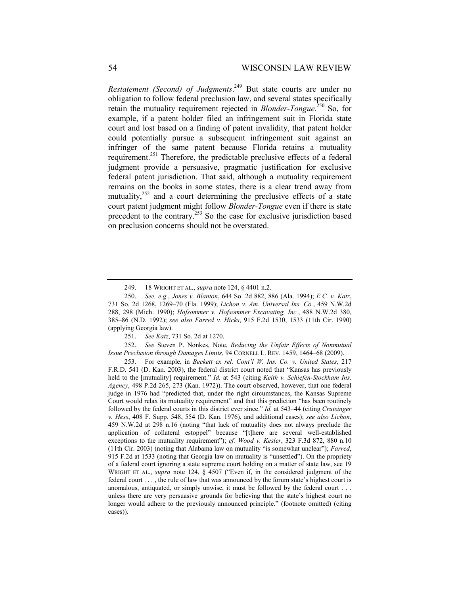*Restatement (Second) of Judgments*. 249 But state courts are under no obligation to follow federal preclusion law, and several states specifically retain the mutuality requirement rejected in *Blonder-Tongue*.<sup>250</sup> So, for example, if a patent holder filed an infringement suit in Florida state court and lost based on a finding of patent invalidity, that patent holder could potentially pursue a subsequent infringement suit against an infringer of the same patent because Florida retains a mutuality requirement.251 Therefore, the predictable preclusive effects of a federal judgment provide a persuasive, pragmatic justification for exclusive federal patent jurisdiction. That said, although a mutuality requirement remains on the books in some states, there is a clear trend away from mutuality, $252$  and a court determining the preclusive effects of a state court patent judgment might follow *Blonder-Tongue* even if there is state precedent to the contrary.253 So the case for exclusive jurisdiction based on preclusion concerns should not be overstated.

251. *See Katz*, 731 So. 2d at 1270.

 252. *See* Steven P. Nonkes, Note, *Reducing the Unfair Effects of Nonmutual Issue Preclusion through Damages Limits*, 94 CORNELL L. REV. 1459, 1464–68 (2009).

 <sup>249. 18</sup> WRIGHT ET AL., *supra* note 124, § 4401 n.2.

 <sup>250.</sup> *See, e.g.*, *Jones v. Blanton*, 644 So. 2d 882, 886 (Ala. 1994); *E.C. v. Katz*, 731 So. 2d 1268, 1269–70 (Fla. 1999); *Lichon v. Am. Universal Ins. Co.*, 459 N.W.2d 288, 298 (Mich. 1990); *Hofsommer v. Hofsommer Excavating, Inc.*, 488 N.W.2d 380, 385–86 (N.D. 1992); *see also Farred v. Hicks*, 915 F.2d 1530, 1533 (11th Cir. 1990) (applying Georgia law).

 <sup>253.</sup> For example, in *Beckett ex rel. Cont'l W. Ins. Co. v. United States*, 217 F.R.D. 541 (D. Kan. 2003), the federal district court noted that "Kansas has previously held to the [mutuality] requirement." *Id.* at 543 (citing *Keith v. Schiefen-Stockham Ins. Agency*, 498 P.2d 265, 273 (Kan. 1972)). The court observed, however, that one federal judge in 1976 had "predicted that, under the right circumstances, the Kansas Supreme Court would relax its mutuality requirement" and that this prediction "has been routinely followed by the federal courts in this district ever since." *Id.* at 543–44 (citing *Crutsinger v. Hess*, 408 F. Supp. 548, 554 (D. Kan. 1976), and additional cases); *see also Lichon*, 459 N.W.2d at 298 n.16 (noting "that lack of mutuality does not always preclude the application of collateral estoppel" because "[t]here are several well-established exceptions to the mutuality requirement"); *cf. Wood v. Kesler*, 323 F.3d 872, 880 n.10 (11th Cir. 2003) (noting that Alabama law on mutuality "is somewhat unclear"); *Farred*, 915 F.2d at 1533 (noting that Georgia law on mutuality is "unsettled"). On the propriety of a federal court ignoring a state supreme court holding on a matter of state law, see 19 WRIGHT ET AL., *supra* note 124, § 4507 ("Even if, in the considered judgment of the federal court . . . , the rule of law that was announced by the forum state's highest court is anomalous, antiquated, or simply unwise, it must be followed by the federal court . . . unless there are very persuasive grounds for believing that the state's highest court no longer would adhere to the previously announced principle." (footnote omitted) (citing cases)).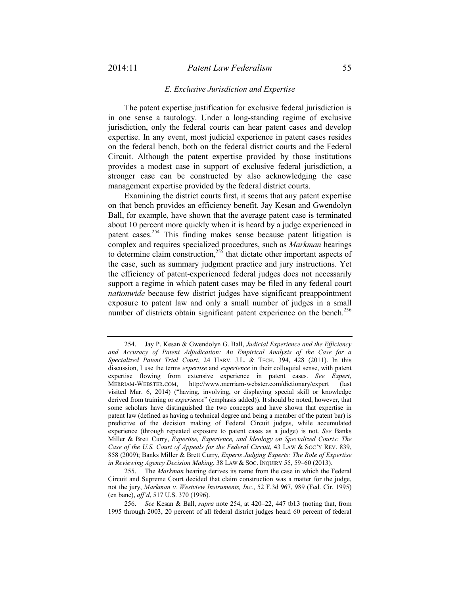#### *E. Exclusive Jurisdiction and Expertise*

The patent expertise justification for exclusive federal jurisdiction is in one sense a tautology. Under a long-standing regime of exclusive jurisdiction, only the federal courts can hear patent cases and develop expertise. In any event, most judicial experience in patent cases resides on the federal bench, both on the federal district courts and the Federal Circuit. Although the patent expertise provided by those institutions provides a modest case in support of exclusive federal jurisdiction, a stronger case can be constructed by also acknowledging the case management expertise provided by the federal district courts.

Examining the district courts first, it seems that any patent expertise on that bench provides an efficiency benefit. Jay Kesan and Gwendolyn Ball, for example, have shown that the average patent case is terminated about 10 percent more quickly when it is heard by a judge experienced in patent cases.254 This finding makes sense because patent litigation is complex and requires specialized procedures, such as *Markman* hearings to determine claim construction,<sup>255</sup> that dictate other important aspects of the case, such as summary judgment practice and jury instructions. Yet the efficiency of patent-experienced federal judges does not necessarily support a regime in which patent cases may be filed in any federal court *nationwide* because few district judges have significant preappointment exposure to patent law and only a small number of judges in a small number of districts obtain significant patent experience on the bench.<sup>256</sup>

 255. The *Markman* hearing derives its name from the case in which the Federal Circuit and Supreme Court decided that claim construction was a matter for the judge, not the jury, *Markman v. Westview Instruments, Inc.*, 52 F.3d 967, 989 (Fed. Cir. 1995) (en banc), *aff'd*, 517 U.S. 370 (1996).

 <sup>254.</sup> Jay P. Kesan & Gwendolyn G. Ball, *Judicial Experience and the Efficiency and Accuracy of Patent Adjudication: An Empirical Analysis of the Case for a Specialized Patent Trial Court*, 24 HARV. J.L. & TECH. 394, 428 (2011). In this discussion, I use the terms *expertise* and *experience* in their colloquial sense, with patent expertise flowing from extensive experience in patent cases. *See Expert*, MERRIAM-WEBSTER.COM, http://www.merriam-webster.com/dictionary/expert (last visited Mar. 6, 2014) ("having, involving, or displaying special skill or knowledge derived from training or *experience*" (emphasis added)). It should be noted, however, that some scholars have distinguished the two concepts and have shown that expertise in patent law (defined as having a technical degree and being a member of the patent bar) is predictive of the decision making of Federal Circuit judges, while accumulated experience (through repeated exposure to patent cases as a judge) is not. *See* Banks Miller & Brett Curry, *Expertise, Experience, and Ideology on Specialized Courts: The Case of the U.S. Court of Appeals for the Federal Circuit*, 43 LAW & SOC'Y REV. 839, 858 (2009); Banks Miller & Brett Curry, *Experts Judging Experts: The Role of Expertise in Reviewing Agency Decision Making*, 38 LAW & SOC. INQUIRY 55, 59–60 (2013).

 <sup>256.</sup> *See* Kesan & Ball, *supra* note 254, at 420–22, 447 tbl.3 (noting that, from 1995 through 2003, 20 percent of all federal district judges heard 60 percent of federal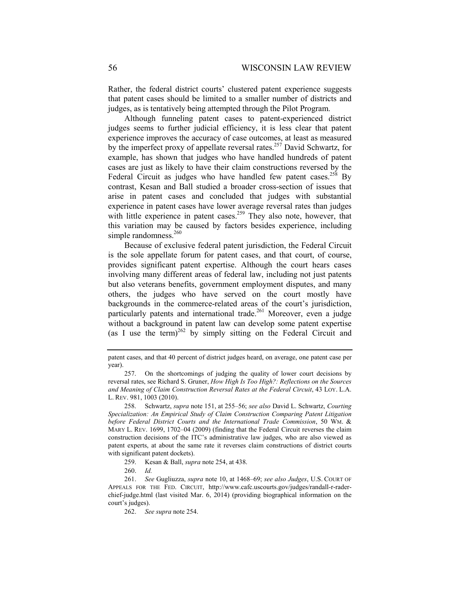Rather, the federal district courts' clustered patent experience suggests that patent cases should be limited to a smaller number of districts and judges, as is tentatively being attempted through the Pilot Program.

Although funneling patent cases to patent-experienced district judges seems to further judicial efficiency, it is less clear that patent experience improves the accuracy of case outcomes, at least as measured by the imperfect proxy of appellate reversal rates.<sup>257</sup> David Schwartz, for example, has shown that judges who have handled hundreds of patent cases are just as likely to have their claim constructions reversed by the Federal Circuit as judges who have handled few patent cases.<sup>258</sup> By contrast, Kesan and Ball studied a broader cross-section of issues that arise in patent cases and concluded that judges with substantial experience in patent cases have lower average reversal rates than judges with little experience in patent cases.<sup>259</sup> They also note, however, that this variation may be caused by factors besides experience, including simple randomness.<sup>260</sup>

Because of exclusive federal patent jurisdiction, the Federal Circuit is the sole appellate forum for patent cases, and that court, of course, provides significant patent expertise. Although the court hears cases involving many different areas of federal law, including not just patents but also veterans benefits, government employment disputes, and many others, the judges who have served on the court mostly have backgrounds in the commerce-related areas of the court's jurisdiction, particularly patents and international trade.<sup>261</sup> Moreover, even a judge without a background in patent law can develop some patent expertise (as I use the term)<sup>262</sup> by simply sitting on the Federal Circuit and

260. *Id.* 

patent cases, and that 40 percent of district judges heard, on average, one patent case per year).

 <sup>257.</sup> On the shortcomings of judging the quality of lower court decisions by reversal rates, see Richard S. Gruner, *How High Is Too High?: Reflections on the Sources and Meaning of Claim Construction Reversal Rates at the Federal Circuit*, 43 LOY. L.A. L. REV. 981, 1003 (2010).

 <sup>258.</sup> Schwartz, *supra* note 151, at 255–56; *see also* David L. Schwartz, *Courting Specialization: An Empirical Study of Claim Construction Comparing Patent Litigation before Federal District Courts and the International Trade Commission*, 50 WM. & MARY L. REV. 1699, 1702–04 (2009) (finding that the Federal Circuit reverses the claim construction decisions of the ITC's administrative law judges, who are also viewed as patent experts, at about the same rate it reverses claim constructions of district courts with significant patent dockets).

 <sup>259.</sup> Kesan & Ball, *supra* note 254, at 438.

 <sup>261.</sup> *See* Gugliuzza, *supra* note 10, at 1468–69; *see also Judges*, U.S. COURT OF APPEALS FOR THE FED. CIRCUIT, http://www.cafc.uscourts.gov/judges/randall-r-raderchief-judge.html (last visited Mar. 6, 2014) (providing biographical information on the court's judges).

 <sup>262.</sup> *See supra* note 254.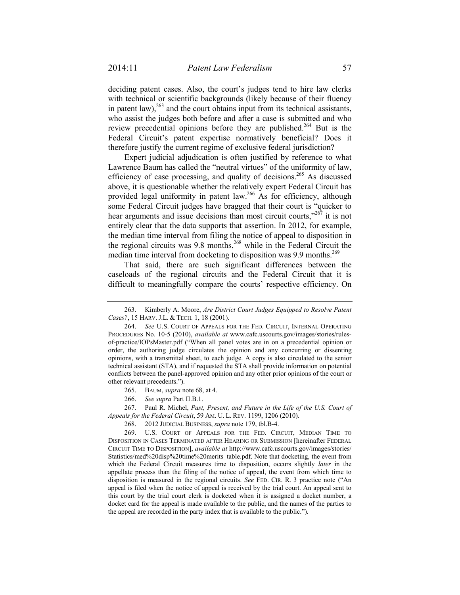deciding patent cases. Also, the court's judges tend to hire law clerks with technical or scientific backgrounds (likely because of their fluency in patent law), $^{263}$  and the court obtains input from its technical assistants, who assist the judges both before and after a case is submitted and who review precedential opinions before they are published.<sup>264</sup> But is the Federal Circuit's patent expertise normatively beneficial? Does it therefore justify the current regime of exclusive federal jurisdiction?

Expert judicial adjudication is often justified by reference to what Lawrence Baum has called the "neutral virtues" of the uniformity of law, efficiency of case processing, and quality of decisions.<sup>265</sup> As discussed above, it is questionable whether the relatively expert Federal Circuit has provided legal uniformity in patent law.<sup>266</sup> As for efficiency, although some Federal Circuit judges have bragged that their court is "quicker to hear arguments and issue decisions than most circuit courts,"<sup>267</sup> it is not entirely clear that the data supports that assertion. In 2012, for example, the median time interval from filing the notice of appeal to disposition in the regional circuits was 9.8 months,<sup>268</sup> while in the Federal Circuit the median time interval from docketing to disposition was 9.9 months.<sup>269</sup>

That said, there are such significant differences between the caseloads of the regional circuits and the Federal Circuit that it is difficult to meaningfully compare the courts' respective efficiency. On

265. BAUM, *supra* note 68, at 4.

 267. Paul R. Michel, *Past, Present, and Future in the Life of the U.S. Court of Appeals for the Federal Circuit*, 59 AM. U. L. REV. 1199, 1206 (2010).

 <sup>263.</sup> Kimberly A. Moore, *Are District Court Judges Equipped to Resolve Patent Cases?*, 15 HARV. J.L. & TECH. 1, 18 (2001).

 <sup>264.</sup> *See* U.S. COURT OF APPEALS FOR THE FED. CIRCUIT, INTERNAL OPERATING PROCEDURES No. 10-5 (2010), *available at* www.cafc.uscourts.gov/images/stories/rulesof-practice/IOPsMaster.pdf ("When all panel votes are in on a precedential opinion or order, the authoring judge circulates the opinion and any concurring or dissenting opinions, with a transmittal sheet, to each judge. A copy is also circulated to the senior technical assistant (STA), and if requested the STA shall provide information on potential conflicts between the panel-approved opinion and any other prior opinions of the court or other relevant precedents.").

 <sup>266.</sup> *See supra* Part II.B.1.

 <sup>268. 2012</sup> JUDICIAL BUSINESS, *supra* note 179, tbl.B-4.

 <sup>269.</sup> U.S. COURT OF APPEALS FOR THE FED. CIRCUIT, MEDIAN TIME TO DISPOSITION IN CASES TERMINATED AFTER HEARING OR SUBMISSION [hereinafter FEDERAL CIRCUIT TIME TO DISPOSITION], *available at* http://www.cafc.uscourts.gov/images/stories/ Statistics/med%20disp%20time%20merits\_table.pdf. Note that docketing, the event from which the Federal Circuit measures time to disposition, occurs slightly *later* in the appellate process than the filing of the notice of appeal, the event from which time to disposition is measured in the regional circuits. *See* FED. CIR. R. 3 practice note ("An appeal is filed when the notice of appeal is received by the trial court. An appeal sent to this court by the trial court clerk is docketed when it is assigned a docket number, a docket card for the appeal is made available to the public, and the names of the parties to the appeal are recorded in the party index that is available to the public.").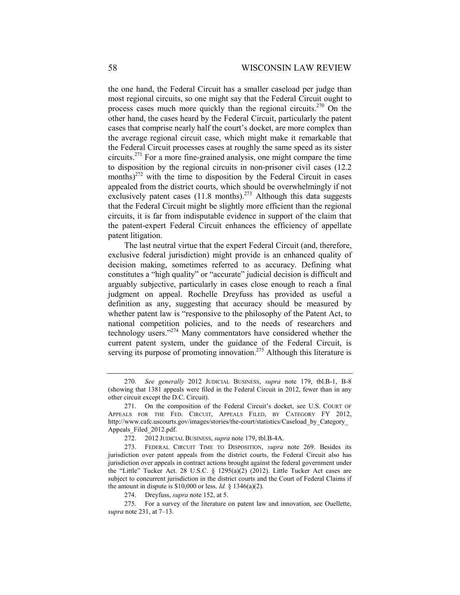the one hand, the Federal Circuit has a smaller caseload per judge than most regional circuits, so one might say that the Federal Circuit ought to process cases much more quickly than the regional circuits.<sup>270</sup> On the other hand, the cases heard by the Federal Circuit, particularly the patent cases that comprise nearly half the court's docket, are more complex than the average regional circuit case, which might make it remarkable that the Federal Circuit processes cases at roughly the same speed as its sister circuits.271 For a more fine-grained analysis, one might compare the time to disposition by the regional circuits in non-prisoner civil cases (12.2 months) $^{272}$  with the time to disposition by the Federal Circuit in cases appealed from the district courts, which should be overwhelmingly if not exclusively patent cases  $(11.8 \text{ months})^{273}$  Although this data suggests that the Federal Circuit might be slightly more efficient than the regional circuits, it is far from indisputable evidence in support of the claim that the patent-expert Federal Circuit enhances the efficiency of appellate patent litigation.

The last neutral virtue that the expert Federal Circuit (and, therefore, exclusive federal jurisdiction) might provide is an enhanced quality of decision making, sometimes referred to as accuracy. Defining what constitutes a "high quality" or "accurate" judicial decision is difficult and arguably subjective, particularly in cases close enough to reach a final judgment on appeal. Rochelle Dreyfuss has provided as useful a definition as any, suggesting that accuracy should be measured by whether patent law is "responsive to the philosophy of the Patent Act, to national competition policies, and to the needs of researchers and technology users."274 Many commentators have considered whether the current patent system, under the guidance of the Federal Circuit, is serving its purpose of promoting innovation.<sup>275</sup> Although this literature is

 <sup>270.</sup> *See generally* 2012 JUDICIAL BUSINESS, *supra* note 179, tbl.B-1, B-8 (showing that 1381 appeals were filed in the Federal Circuit in 2012, fewer than in any other circuit except the D.C. Circuit).

 <sup>271.</sup> On the composition of the Federal Circuit's docket, see U.S. COURT OF APPEALS FOR THE FED. CIRCUIT, APPEALS FILED, BY CATEGORY FY 2012, http://www.cafc.uscourts.gov/images/stories/the-court/statistics/Caseload\_by\_Category\_ Appeals\_Filed\_2012.pdf.

 <sup>272. 2012</sup> JUDICIAL BUSINESS, *supra* note 179, tbl.B-4A.

 <sup>273.</sup> FEDERAL CIRCUIT TIME TO DISPOSITION, *supra* note 269. Besides its jurisdiction over patent appeals from the district courts, the Federal Circuit also has jurisdiction over appeals in contract actions brought against the federal government under the "Little" Tucker Act. 28 U.S.C. § 1295(a)(2) (2012). Little Tucker Act cases are subject to concurrent jurisdiction in the district courts and the Court of Federal Claims if the amount in dispute is \$10,000 or less. *Id.* § 1346(a)(2).

 <sup>274.</sup> Dreyfuss, *supra* note 152, at 5.

 <sup>275.</sup> For a survey of the literature on patent law and innovation, see Ouellette, *supra* note 231, at 7–13.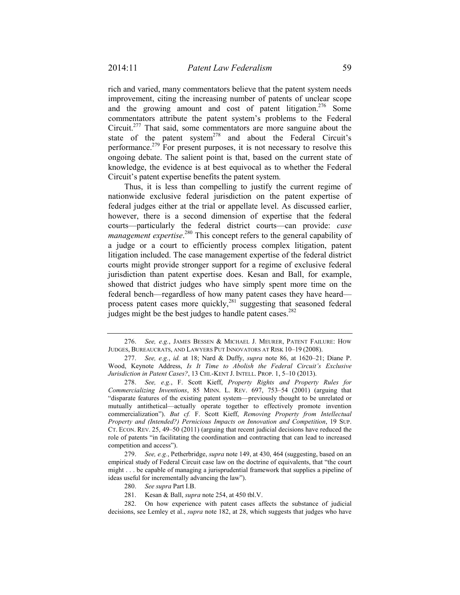rich and varied, many commentators believe that the patent system needs improvement, citing the increasing number of patents of unclear scope and the growing amount and cost of patent litigation.<sup>276</sup> Some commentators attribute the patent system's problems to the Federal Circuit.277 That said, some commentators are more sanguine about the state of the patent system $^{278}$  and about the Federal Circuit's performance.<sup>279</sup> For present purposes, it is not necessary to resolve this ongoing debate. The salient point is that, based on the current state of knowledge, the evidence is at best equivocal as to whether the Federal Circuit's patent expertise benefits the patent system.

Thus, it is less than compelling to justify the current regime of nationwide exclusive federal jurisdiction on the patent expertise of federal judges either at the trial or appellate level. As discussed earlier, however, there is a second dimension of expertise that the federal courts—particularly the federal district courts—can provide: *case management expertise*. 280 This concept refers to the general capability of a judge or a court to efficiently process complex litigation, patent litigation included. The case management expertise of the federal district courts might provide stronger support for a regime of exclusive federal jurisdiction than patent expertise does. Kesan and Ball, for example, showed that district judges who have simply spent more time on the federal bench—regardless of how many patent cases they have heard process patent cases more quickly, $281$  suggesting that seasoned federal judges might be the best judges to handle patent cases.<sup>282</sup>

 <sup>276.</sup> *See, e.g.*, JAMES BESSEN & MICHAEL J. MEURER, PATENT FAILURE: HOW JUDGES, BUREAUCRATS, AND LAWYERS PUT INNOVATORS AT RISK 10–19 (2008).

 <sup>277.</sup> *See, e.g.*, *id.* at 18; Nard & Duffy, *supra* note 86, at 1620–21; Diane P. Wood, Keynote Address, *Is It Time to Abolish the Federal Circuit's Exclusive Jurisdiction in Patent Cases?*, 13 CHI.-KENT J. INTELL. PROP. 1, 5–10 (2013).

 <sup>278.</sup> *See, e.g.*, F. Scott Kieff, *Property Rights and Property Rules for Commercializing Inventions*, 85 MINN. L. REV. 697, 753–54 (2001) (arguing that "disparate features of the existing patent system—previously thought to be unrelated or mutually antithetical—actually operate together to effectively promote invention commercialization"). *But cf.* F. Scott Kieff, *Removing Property from Intellectual Property and (Intended?) Pernicious Impacts on Innovation and Competition*, 19 SUP. CT. ECON. REV. 25, 49–50 (2011) (arguing that recent judicial decisions have reduced the role of patents "in facilitating the coordination and contracting that can lead to increased competition and access").

 <sup>279.</sup> *See, e.g.*, Petherbridge, *supra* note 149, at 430, 464 (suggesting, based on an empirical study of Federal Circuit case law on the doctrine of equivalents, that "the court might . . . be capable of managing a jurisprudential framework that supplies a pipeline of ideas useful for incrementally advancing the law").

 <sup>280.</sup> *See supra* Part I.B.

 <sup>281.</sup> Kesan & Ball, *supra* note 254, at 450 tbl.V.

 <sup>282.</sup> On how experience with patent cases affects the substance of judicial decisions, see Lemley et al., *supra* note 182, at 28, which suggests that judges who have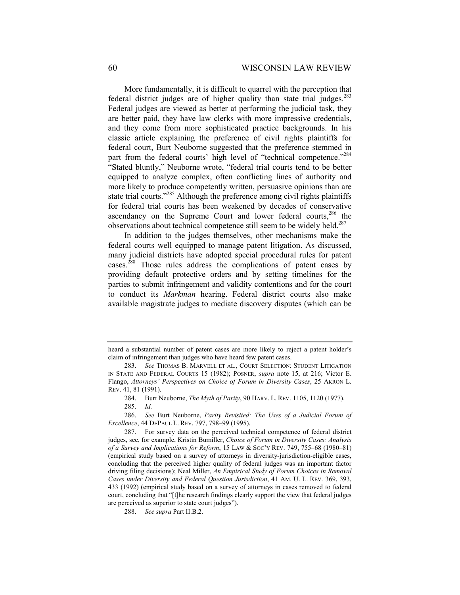More fundamentally, it is difficult to quarrel with the perception that federal district judges are of higher quality than state trial judges.<sup>283</sup> Federal judges are viewed as better at performing the judicial task, they are better paid, they have law clerks with more impressive credentials, and they come from more sophisticated practice backgrounds. In his classic article explaining the preference of civil rights plaintiffs for federal court, Burt Neuborne suggested that the preference stemmed in part from the federal courts' high level of "technical competence."<sup>284</sup> "Stated bluntly," Neuborne wrote, "federal trial courts tend to be better equipped to analyze complex, often conflicting lines of authority and more likely to produce competently written, persuasive opinions than are state trial courts."<sup>285</sup> Although the preference among civil rights plaintiffs for federal trial courts has been weakened by decades of conservative ascendancy on the Supreme Court and lower federal courts,<sup>286</sup> the observations about technical competence still seem to be widely held.<sup>287</sup>

In addition to the judges themselves, other mechanisms make the federal courts well equipped to manage patent litigation. As discussed, many judicial districts have adopted special procedural rules for patent cases.288 Those rules address the complications of patent cases by providing default protective orders and by setting timelines for the parties to submit infringement and validity contentions and for the court to conduct its *Markman* hearing. Federal district courts also make available magistrate judges to mediate discovery disputes (which can be

heard a substantial number of patent cases are more likely to reject a patent holder's claim of infringement than judges who have heard few patent cases.

 <sup>283.</sup> *See* THOMAS B. MARVELL ET AL., COURT SELECTION: STUDENT LITIGATION IN STATE AND FEDERAL COURTS 15 (1982); POSNER, *supra* note 15, at 216; Victor E. Flango, *Attorneys' Perspectives on Choice of Forum in Diversity Cases*, 25 AKRON L. REV. 41, 81 (1991).

 <sup>284.</sup> Burt Neuborne, *The Myth of Parity*, 90 HARV. L. REV. 1105, 1120 (1977).

 <sup>285.</sup> *Id.* 

 <sup>286.</sup> *See* Burt Neuborne, *Parity Revisited: The Uses of a Judicial Forum of Excellence*, 44 DEPAUL L. REV. 797, 798–99 (1995).

 <sup>287.</sup> For survey data on the perceived technical competence of federal district judges, see, for example, Kristin Bumiller, *Choice of Forum in Diversity Cases: Analysis of a Survey and Implications for Reform*, 15 LAW & SOC'Y REV. 749, 755–68 (1980–81) (empirical study based on a survey of attorneys in diversity-jurisdiction-eligible cases, concluding that the perceived higher quality of federal judges was an important factor driving filing decisions); Neal Miller, *An Empirical Study of Forum Choices in Removal Cases under Diversity and Federal Question Jurisdiction*, 41 AM. U. L. REV. 369, 393, 433 (1992) (empirical study based on a survey of attorneys in cases removed to federal court, concluding that "[t]he research findings clearly support the view that federal judges are perceived as superior to state court judges").

 <sup>288.</sup> *See supra* Part II.B.2.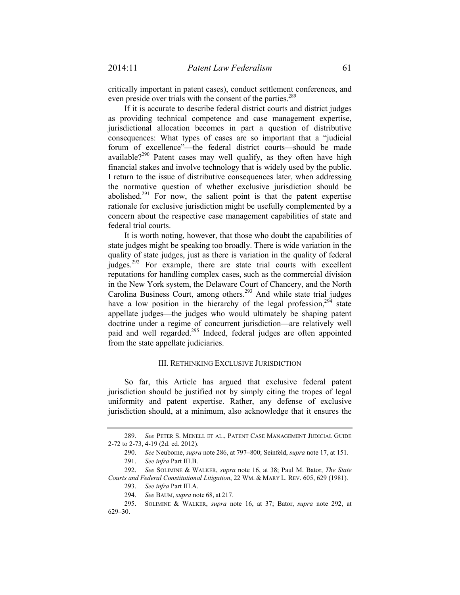critically important in patent cases), conduct settlement conferences, and even preside over trials with the consent of the parties.<sup>289</sup>

If it is accurate to describe federal district courts and district judges as providing technical competence and case management expertise, jurisdictional allocation becomes in part a question of distributive consequences: What types of cases are so important that a "judicial forum of excellence"—the federal district courts—should be made available?<sup>290</sup> Patent cases may well qualify, as they often have high financial stakes and involve technology that is widely used by the public. I return to the issue of distributive consequences later, when addressing the normative question of whether exclusive jurisdiction should be abolished. $291$  For now, the salient point is that the patent expertise rationale for exclusive jurisdiction might be usefully complemented by a concern about the respective case management capabilities of state and federal trial courts.

It is worth noting, however, that those who doubt the capabilities of state judges might be speaking too broadly. There is wide variation in the quality of state judges, just as there is variation in the quality of federal judges.<sup>292</sup> For example, there are state trial courts with excellent reputations for handling complex cases, such as the commercial division in the New York system, the Delaware Court of Chancery, and the North Carolina Business Court, among others.<sup>293</sup> And while state trial judges have a low position in the hierarchy of the legal profession,<sup>294</sup> state appellate judges—the judges who would ultimately be shaping patent doctrine under a regime of concurrent jurisdiction—are relatively well paid and well regarded.<sup>295</sup> Indeed, federal judges are often appointed from the state appellate judiciaries.

#### III. RETHINKING EXCLUSIVE JURISDICTION

So far, this Article has argued that exclusive federal patent jurisdiction should be justified not by simply citing the tropes of legal uniformity and patent expertise. Rather, any defense of exclusive jurisdiction should, at a minimum, also acknowledge that it ensures the

 <sup>289.</sup> *See* PETER S. MENELL ET AL., PATENT CASE MANAGEMENT JUDICIAL GUIDE 2-72 to 2-73, 4-19 (2d. ed. 2012).

 <sup>290.</sup> *See* Neuborne, *supra* note 286, at 797–800; Seinfeld, *supra* note 17, at 151.

 <sup>291.</sup> *See infra* Part III.B.

 <sup>292.</sup> *See* SOLIMINE & WALKER, *supra* note 16, at 38; Paul M. Bator, *The State Courts and Federal Constitutional Litigation*, 22 WM. & MARY L. REV. 605, 629 (1981).

 <sup>293.</sup> *See infra* Part III.A.

 <sup>294.</sup> *See* BAUM, *supra* note 68, at 217.

 <sup>295.</sup> SOLIMINE & WALKER, *supra* note 16, at 37; Bator, *supra* note 292, at 629–30.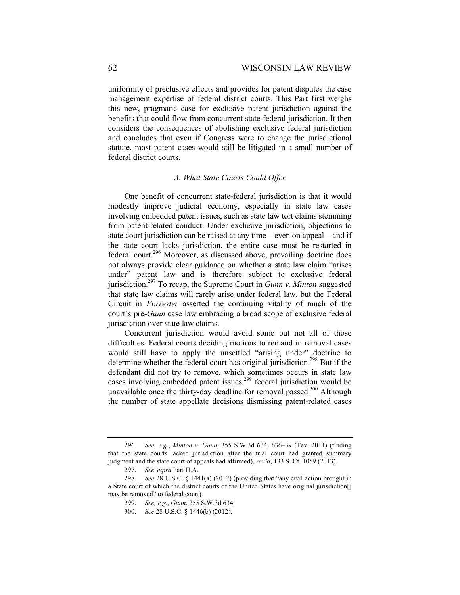uniformity of preclusive effects and provides for patent disputes the case management expertise of federal district courts. This Part first weighs this new, pragmatic case for exclusive patent jurisdiction against the benefits that could flow from concurrent state-federal jurisdiction. It then considers the consequences of abolishing exclusive federal jurisdiction and concludes that even if Congress were to change the jurisdictional statute, most patent cases would still be litigated in a small number of federal district courts.

## *A. What State Courts Could Offer*

One benefit of concurrent state-federal jurisdiction is that it would modestly improve judicial economy, especially in state law cases involving embedded patent issues, such as state law tort claims stemming from patent-related conduct. Under exclusive jurisdiction, objections to state court jurisdiction can be raised at any time—even on appeal—and if the state court lacks jurisdiction, the entire case must be restarted in federal court.296 Moreover, as discussed above, prevailing doctrine does not always provide clear guidance on whether a state law claim "arises under" patent law and is therefore subject to exclusive federal jurisdiction.297 To recap, the Supreme Court in *Gunn v. Minton* suggested that state law claims will rarely arise under federal law, but the Federal Circuit in *Forrester* asserted the continuing vitality of much of the court's pre-*Gunn* case law embracing a broad scope of exclusive federal jurisdiction over state law claims.

Concurrent jurisdiction would avoid some but not all of those difficulties. Federal courts deciding motions to remand in removal cases would still have to apply the unsettled "arising under" doctrine to determine whether the federal court has original jurisdiction.<sup>298</sup> But if the defendant did not try to remove, which sometimes occurs in state law cases involving embedded patent issues,<sup>299</sup> federal jurisdiction would be unavailable once the thirty-day deadline for removal passed.<sup>300</sup> Although the number of state appellate decisions dismissing patent-related cases

 <sup>296.</sup> *See, e.g.*, *Minton v. Gunn*, 355 S.W.3d 634, 636–39 (Tex. 2011) (finding that the state courts lacked jurisdiction after the trial court had granted summary judgment and the state court of appeals had affirmed), *rev'd*, 133 S. Ct. 1059 (2013).

 <sup>297.</sup> *See supra* Part II.A.

 <sup>298.</sup> *See* 28 U.S.C. § 1441(a) (2012) (providing that "any civil action brought in a State court of which the district courts of the United States have original jurisdiction[] may be removed" to federal court).

 <sup>299.</sup> *See, e.g.*, *Gunn*, 355 S.W.3d 634.

 <sup>300.</sup> *See* 28 U.S.C. § 1446(b) (2012).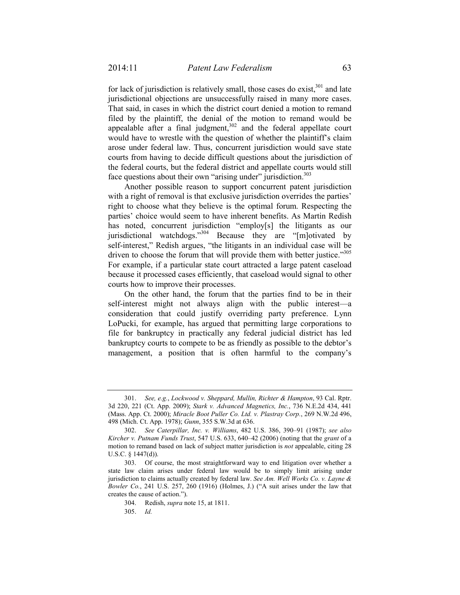for lack of jurisdiction is relatively small, those cases do exist, $301$  and late jurisdictional objections are unsuccessfully raised in many more cases. That said, in cases in which the district court denied a motion to remand filed by the plaintiff, the denial of the motion to remand would be appealable after a final judgment, $302$  and the federal appellate court would have to wrestle with the question of whether the plaintiff's claim arose under federal law. Thus, concurrent jurisdiction would save state courts from having to decide difficult questions about the jurisdiction of the federal courts, but the federal district and appellate courts would still face questions about their own "arising under" jurisdiction.<sup>303</sup>

Another possible reason to support concurrent patent jurisdiction with a right of removal is that exclusive jurisdiction overrides the parties' right to choose what they believe is the optimal forum. Respecting the parties' choice would seem to have inherent benefits. As Martin Redish has noted, concurrent jurisdiction "employ[s] the litigants as our jurisdictional watchdogs."<sup>304</sup> Because they are "[m]otivated by self-interest," Redish argues, "the litigants in an individual case will be driven to choose the forum that will provide them with better justice."<sup>305</sup> For example, if a particular state court attracted a large patent caseload because it processed cases efficiently, that caseload would signal to other courts how to improve their processes.

On the other hand, the forum that the parties find to be in their self-interest might not always align with the public interest—a consideration that could justify overriding party preference. Lynn LoPucki, for example, has argued that permitting large corporations to file for bankruptcy in practically any federal judicial district has led bankruptcy courts to compete to be as friendly as possible to the debtor's management, a position that is often harmful to the company's

 <sup>301.</sup> *See, e.g.*, *Lockwood v. Sheppard, Mullin, Richter & Hampton*, 93 Cal. Rptr. 3d 220, 221 (Ct. App. 2009); *Stark v. Advanced Magnetics, Inc.*, 736 N.E.2d 434, 441 (Mass. App. Ct. 2000); *Miracle Boot Puller Co. Ltd. v. Plastray Corp.*, 269 N.W.2d 496, 498 (Mich. Ct. App. 1978); *Gunn*, 355 S.W.3d at 636.

 <sup>302.</sup> *See Caterpillar, Inc. v. Williams*, 482 U.S. 386, 390–91 (1987); *see also Kircher v. Putnam Funds Trust*, 547 U.S. 633, 640–42 (2006) (noting that the *grant* of a motion to remand based on lack of subject matter jurisdiction is *not* appealable, citing 28 U.S.C. § 1447(d)).

 <sup>303.</sup> Of course, the most straightforward way to end litigation over whether a state law claim arises under federal law would be to simply limit arising under jurisdiction to claims actually created by federal law. *See Am. Well Works Co. v. Layne & Bowler Co.*, 241 U.S. 257, 260 (1916) (Holmes, J.) ("A suit arises under the law that creates the cause of action.").

 <sup>304.</sup> Redish, *supra* note 15, at 1811.

 <sup>305.</sup> *Id.*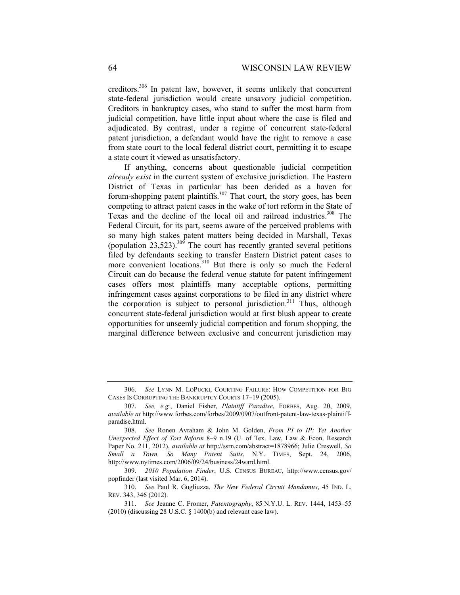creditors.306 In patent law, however, it seems unlikely that concurrent state-federal jurisdiction would create unsavory judicial competition. Creditors in bankruptcy cases, who stand to suffer the most harm from judicial competition, have little input about where the case is filed and adjudicated. By contrast, under a regime of concurrent state-federal patent jurisdiction, a defendant would have the right to remove a case from state court to the local federal district court, permitting it to escape a state court it viewed as unsatisfactory.

If anything, concerns about questionable judicial competition *already exist* in the current system of exclusive jurisdiction. The Eastern District of Texas in particular has been derided as a haven for forum-shopping patent plaintiffs.<sup>307</sup> That court, the story goes, has been competing to attract patent cases in the wake of tort reform in the State of Texas and the decline of the local oil and railroad industries.<sup>308</sup> The Federal Circuit, for its part, seems aware of the perceived problems with so many high stakes patent matters being decided in Marshall, Texas (population  $23,523$ ).<sup>309</sup> The court has recently granted several petitions filed by defendants seeking to transfer Eastern District patent cases to more convenient locations.<sup>310</sup> But there is only so much the Federal Circuit can do because the federal venue statute for patent infringement cases offers most plaintiffs many acceptable options, permitting infringement cases against corporations to be filed in any district where the corporation is subject to personal jurisdiction.<sup>311</sup> Thus, although concurrent state-federal jurisdiction would at first blush appear to create opportunities for unseemly judicial competition and forum shopping, the marginal difference between exclusive and concurrent jurisdiction may

 <sup>306.</sup> *See* LYNN M. LOPUCKI, COURTING FAILURE: HOW COMPETITION FOR BIG CASES IS CORRUPTING THE BANKRUPTCY COURTS 17–19 (2005).

 <sup>307.</sup> *See, e.g.*, Daniel Fisher, *Plaintiff Paradise*, FORBES, Aug. 20, 2009, *available at* http://www.forbes.com/forbes/2009/0907/outfront-patent-law-texas-plaintiffparadise.html.

 <sup>308.</sup> *See* Ronen Avraham & John M. Golden, *From PI to IP: Yet Another Unexpected Effect of Tort Reform* 8–9 n.19 (U. of Tex. Law, Law & Econ. Research Paper No. 211, 2012), *available at* http://ssrn.com/abstract=1878966; Julie Creswell, *So Small a Town, So Many Patent Suits*, N.Y. TIMES, Sept. 24, 2006, http://www.nytimes.com/2006/09/24/business/24ward.html.

 <sup>309.</sup> *2010 Population Finder*, U.S. CENSUS BUREAU, http://www.census.gov/ popfinder (last visited Mar. 6, 2014).

 <sup>310.</sup> *See* Paul R. Gugliuzza, *The New Federal Circuit Mandamus*, 45 IND. L. REV. 343, 346 (2012).

 <sup>311.</sup> *See* Jeanne C. Fromer, *Patentography*, 85 N.Y.U. L. REV. 1444, 1453–55 (2010) (discussing 28 U.S.C. § 1400(b) and relevant case law).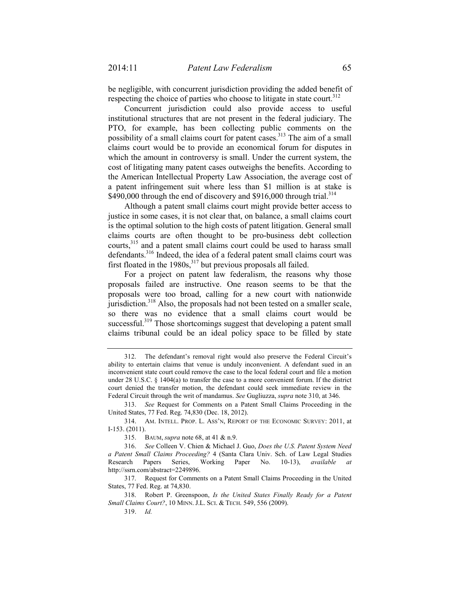be negligible, with concurrent jurisdiction providing the added benefit of respecting the choice of parties who choose to litigate in state court.<sup>312</sup>

Concurrent jurisdiction could also provide access to useful institutional structures that are not present in the federal judiciary. The PTO, for example, has been collecting public comments on the possibility of a small claims court for patent cases.<sup>313</sup> The aim of a small claims court would be to provide an economical forum for disputes in which the amount in controversy is small. Under the current system, the cost of litigating many patent cases outweighs the benefits. According to the American Intellectual Property Law Association, the average cost of a patent infringement suit where less than \$1 million is at stake is \$490,000 through the end of discovery and \$916,000 through trial.<sup>314</sup>

Although a patent small claims court might provide better access to justice in some cases, it is not clear that, on balance, a small claims court is the optimal solution to the high costs of patent litigation. General small claims courts are often thought to be pro-business debt collection courts,<sup>315</sup> and a patent small claims court could be used to harass small defendants.<sup>316</sup> Indeed, the idea of a federal patent small claims court was first floated in the  $1980s$ ,  $317$  but previous proposals all failed.

For a project on patent law federalism, the reasons why those proposals failed are instructive. One reason seems to be that the proposals were too broad, calling for a new court with nationwide jurisdiction.<sup>318</sup> Also, the proposals had not been tested on a smaller scale, so there was no evidence that a small claims court would be successful.<sup>319</sup> Those shortcomings suggest that developing a patent small claims tribunal could be an ideal policy space to be filled by state

 313. *See* Request for Comments on a Patent Small Claims Proceeding in the United States, 77 Fed. Reg. 74,830 (Dec. 18, 2012).

315. BAUM, *supra* note 68, at 41 & n.9.

 317. Request for Comments on a Patent Small Claims Proceeding in the United States, 77 Fed. Reg. at 74,830.

 <sup>312.</sup> The defendant's removal right would also preserve the Federal Circuit's ability to entertain claims that venue is unduly inconvenient. A defendant sued in an inconvenient state court could remove the case to the local federal court and file a motion under 28 U.S.C. § 1404(a) to transfer the case to a more convenient forum. If the district court denied the transfer motion, the defendant could seek immediate review in the Federal Circuit through the writ of mandamus. *See* Gugliuzza, *supra* note 310, at 346.

 <sup>314.</sup> AM. INTELL. PROP. L. ASS'N, REPORT OF THE ECONOMIC SURVEY: 2011, at I-153. (2011).

 <sup>316.</sup> *See* Colleen V. Chien & Michael J. Guo, *Does the U.S. Patent System Need a Patent Small Claims Proceeding?* 4 (Santa Clara Univ. Sch. of Law Legal Studies Research Papers Series, Working Paper No. 10-13), *available at*  http://ssrn.com/abstract=2249896.

 <sup>318.</sup> Robert P. Greenspoon, *Is the United States Finally Ready for a Patent Small Claims Court?*, 10 MINN. J.L. SCI. & TECH. 549, 556 (2009).

 <sup>319.</sup> *Id.*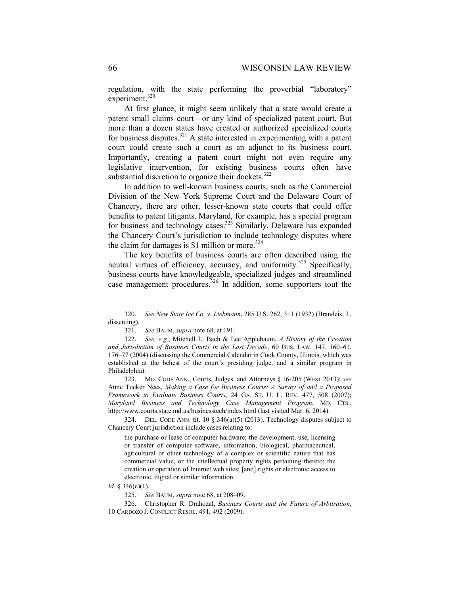regulation, with the state performing the proverbial "laboratory" experiment.<sup>320</sup>

At first glance, it might seem unlikely that a state would create a patent small claims court—or any kind of specialized patent court. But more than a dozen states have created or authorized specialized courts for business disputes.<sup>321</sup> A state interested in experimenting with a patent court could create such a court as an adjunct to its business court. Importantly, creating a patent court might not even require any legislative intervention, for existing business courts often have substantial discretion to organize their dockets. $322$ 

In addition to well-known business courts, such as the Commercial Division of the New York Supreme Court and the Delaware Court of Chancery, there are other, lesser-known state courts that could offer benefits to patent litigants. Maryland, for example, has a special program for business and technology cases.<sup>323</sup> Similarly, Delaware has expanded the Chancery Court's jurisdiction to include technology disputes where the claim for damages is \$1 million or more.<sup>324</sup>

The key benefits of business courts are often described using the neutral virtues of efficiency, accuracy, and uniformity.<sup>325</sup> Specifically, business courts have knowledgeable, specialized judges and streamlined case management procedures. $326$  In addition, some supporters tout the

 323. MD. CODE ANN., Courts, Judges, and Attorneys § 16-205 (WEST 2013); *see*  Anne Tucker Nees, *Making a Case for Business Courts: A Survey of and a Proposed Framework to Evaluate Business Courts*, 24 GA. ST. U. L. REV. 477, 508 (2007); *Maryland Business and Technology Case Management Program*, MD. CTS., http://www.courts.state.md.us/businesstech/index.html (last visited Mar. 6, 2014).

 324. DEL. CODE ANN. tit. 10 § 346(a)(5) (2013). Technology disputes subject to Chancery Court jurisdiction include cases relating to:

the purchase or lease of computer hardware; the development, use, licensing or transfer of computer software; information, biological, pharmaceutical, agricultural or other technology of a complex or scientific nature that has commercial value, or the intellectual property rights pertaining thereto; the creation or operation of Internet web sites; [and] rights or electronic access to electronic, digital or similar information.

*Id.* § 346(c)(1).

 <sup>320.</sup> *See New State Ice Co. v. Liebmann*, 285 U.S. 262, 311 (1932) (Brandeis, J., dissenting).

 <sup>321.</sup> *See* BAUM, *supra* note 68, at 191.

 <sup>322.</sup> *See, e.g.*, Mitchell L. Bach & Lee Applebaum, *A History of the Creation and Jurisdiction of Business Courts in the Last Decade*, 60 BUS. LAW. 147, 160–61, 176–77 (2004) (discussing the Commercial Calendar in Cook County, Illinois, which was established at the behest of the court's presiding judge, and a similar program in Philadelphia).

 <sup>325.</sup> *See* BAUM, *supra* note 68, at 208–09.

 <sup>326.</sup> Christopher R. Drahozal, *Business Courts and the Future of Arbitration*, 10 CARDOZO J. CONFLICT RESOL. 491, 492 (2009).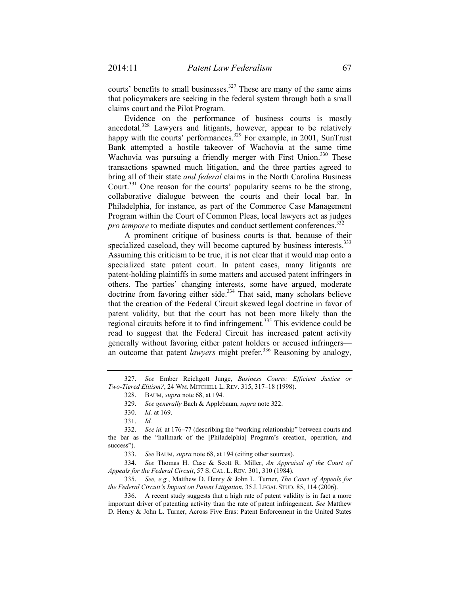courts' benefits to small businesses.<sup>327</sup> These are many of the same aims that policymakers are seeking in the federal system through both a small claims court and the Pilot Program.

Evidence on the performance of business courts is mostly anecdotal.<sup>328</sup> Lawyers and litigants, however, appear to be relatively happy with the courts' performances.<sup>329</sup> For example, in 2001, SunTrust Bank attempted a hostile takeover of Wachovia at the same time Wachovia was pursuing a friendly merger with First Union.<sup>330</sup> These transactions spawned much litigation, and the three parties agreed to bring all of their state *and federal* claims in the North Carolina Business Court.<sup>331</sup> One reason for the courts' popularity seems to be the strong, collaborative dialogue between the courts and their local bar. In Philadelphia, for instance, as part of the Commerce Case Management Program within the Court of Common Pleas, local lawyers act as judges *pro tempore* to mediate disputes and conduct settlement conferences.<sup>332</sup>

A prominent critique of business courts is that, because of their specialized caseload, they will become captured by business interests.<sup>333</sup> Assuming this criticism to be true, it is not clear that it would map onto a specialized state patent court. In patent cases, many litigants are patent-holding plaintiffs in some matters and accused patent infringers in others. The parties' changing interests, some have argued, moderate doctrine from favoring either side. $334$  That said, many scholars believe that the creation of the Federal Circuit skewed legal doctrine in favor of patent validity, but that the court has not been more likely than the regional circuits before it to find infringement.335 This evidence could be read to suggest that the Federal Circuit has increased patent activity generally without favoring either patent holders or accused infringers an outcome that patent *lawyers* might prefer.<sup>336</sup> Reasoning by analogy,

333. *See* BAUM, *supra* note 68, at 194 (citing other sources).

 334. *See* Thomas H. Case & Scott R. Miller, *An Appraisal of the Court of Appeals for the Federal Circuit*, 57 S. CAL. L. REV. 301, 310 (1984).

 335. *See, e.g.*, Matthew D. Henry & John L. Turner, *The Court of Appeals for the Federal Circuit's Impact on Patent Litigation*, 35 J. LEGAL STUD. 85, 114 (2006).

 336. A recent study suggests that a high rate of patent validity is in fact a more important driver of patenting activity than the rate of patent infringement. *See* Matthew D. Henry & John L. Turner, Across Five Eras: Patent Enforcement in the United States

 <sup>327.</sup> *See* Ember Reichgott Junge, *Business Courts: Efficient Justice or Two-Tiered Elitism?*, 24 WM. MITCHELL L. REV. 315, 317–18 (1998).

 <sup>328.</sup> BAUM, *supra* note 68, at 194.

 <sup>329.</sup> *See generally* Bach & Applebaum, *supra* note 322.

 <sup>330.</sup> *Id.* at 169.

 <sup>331.</sup> *Id.* 

 <sup>332.</sup> *See id.* at 176–77 (describing the "working relationship" between courts and the bar as the "hallmark of the [Philadelphia] Program's creation, operation, and success").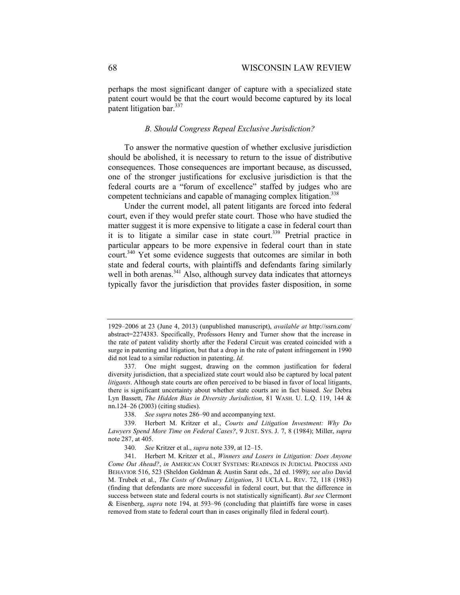perhaps the most significant danger of capture with a specialized state patent court would be that the court would become captured by its local patent litigation bar.<sup>337</sup>

#### *B. Should Congress Repeal Exclusive Jurisdiction?*

To answer the normative question of whether exclusive jurisdiction should be abolished, it is necessary to return to the issue of distributive consequences. Those consequences are important because, as discussed, one of the stronger justifications for exclusive jurisdiction is that the federal courts are a "forum of excellence" staffed by judges who are competent technicians and capable of managing complex litigation.<sup>338</sup>

Under the current model, all patent litigants are forced into federal court, even if they would prefer state court. Those who have studied the matter suggest it is more expensive to litigate a case in federal court than it is to litigate a similar case in state court.<sup>339</sup> Pretrial practice in particular appears to be more expensive in federal court than in state court.<sup>340</sup> Yet some evidence suggests that outcomes are similar in both state and federal courts, with plaintiffs and defendants faring similarly well in both arenas. $341$  Also, although survey data indicates that attorneys typically favor the jurisdiction that provides faster disposition, in some

<sup>1929–2006</sup> at 23 (June 4, 2013) (unpublished manuscript), *available at* http://ssrn.com/ abstract=2274383. Specifically, Professors Henry and Turner show that the increase in the rate of patent validity shortly after the Federal Circuit was created coincided with a surge in patenting and litigation, but that a drop in the rate of patent infringement in 1990 did not lead to a similar reduction in patenting. *Id.* 

 <sup>337.</sup> One might suggest, drawing on the common justification for federal diversity jurisdiction, that a specialized state court would also be captured by local patent *litigants*. Although state courts are often perceived to be biased in favor of local litigants, there is significant uncertainty about whether state courts are in fact biased. *See* Debra Lyn Bassett, *The Hidden Bias in Diversity Jurisdiction*, 81 WASH. U. L.Q. 119, 144 & nn.124–26 (2003) (citing studies).

 <sup>338.</sup> *See supra* notes 286–90 and accompanying text.

 <sup>339.</sup> Herbert M. Kritzer et al., *Courts and Litigation Investment: Why Do Lawyers Spend More Time on Federal Cases?*, 9 JUST. SYS. J. 7, 8 (1984); Miller, *supra* note 287, at 405.

 <sup>340.</sup> *See* Kritzer et al., *supra* note 339, at 12–15.

 <sup>341.</sup> Herbert M. Kritzer et al., *Winners and Losers in Litigation: Does Anyone Come Out Ahead?*, *in* AMERICAN COURT SYSTEMS: READINGS IN JUDICIAL PROCESS AND BEHAVIOR 516, 523 (Sheldon Goldman & Austin Sarat eds., 2d ed. 1989); *see also* David M. Trubek et al., *The Costs of Ordinary Litigation*, 31 UCLA L. REV. 72, 118 (1983) (finding that defendants are more successful in federal court, but that the difference in success between state and federal courts is not statistically significant). *But see* Clermont & Eisenberg, *supra* note 194, at 593–96 (concluding that plaintiffs fare worse in cases removed from state to federal court than in cases originally filed in federal court).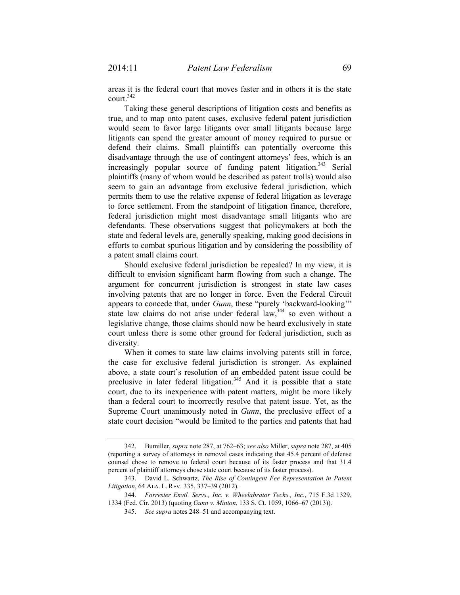areas it is the federal court that moves faster and in others it is the state court.342

Taking these general descriptions of litigation costs and benefits as true, and to map onto patent cases, exclusive federal patent jurisdiction would seem to favor large litigants over small litigants because large litigants can spend the greater amount of money required to pursue or defend their claims. Small plaintiffs can potentially overcome this disadvantage through the use of contingent attorneys' fees, which is an increasingly popular source of funding patent litigation.<sup>343</sup> Serial plaintiffs (many of whom would be described as patent trolls) would also seem to gain an advantage from exclusive federal jurisdiction, which permits them to use the relative expense of federal litigation as leverage to force settlement. From the standpoint of litigation finance, therefore, federal jurisdiction might most disadvantage small litigants who are defendants. These observations suggest that policymakers at both the state and federal levels are, generally speaking, making good decisions in efforts to combat spurious litigation and by considering the possibility of a patent small claims court.

Should exclusive federal jurisdiction be repealed? In my view, it is difficult to envision significant harm flowing from such a change. The argument for concurrent jurisdiction is strongest in state law cases involving patents that are no longer in force. Even the Federal Circuit appears to concede that, under *Gunn*, these "purely 'backward-looking'" state law claims do not arise under federal law,  $344$  so even without a legislative change, those claims should now be heard exclusively in state court unless there is some other ground for federal jurisdiction, such as diversity.

When it comes to state law claims involving patents still in force, the case for exclusive federal jurisdiction is stronger. As explained above, a state court's resolution of an embedded patent issue could be preclusive in later federal litigation.<sup>345</sup> And it is possible that a state court, due to its inexperience with patent matters, might be more likely than a federal court to incorrectly resolve that patent issue. Yet, as the Supreme Court unanimously noted in *Gunn*, the preclusive effect of a state court decision "would be limited to the parties and patents that had

 <sup>342.</sup> Bumiller, *supra* note 287, at 762–63; *see also* Miller, *supra* note 287, at 405 (reporting a survey of attorneys in removal cases indicating that 45.4 percent of defense counsel chose to remove to federal court because of its faster process and that 31.4 percent of plaintiff attorneys chose state court because of its faster process).

 <sup>343.</sup> David L. Schwartz, *The Rise of Contingent Fee Representation in Patent Litigation*, 64 ALA. L. REV. 335, 337–39 (2012).

 <sup>344.</sup> *Forrester Envtl. Servs., Inc. v. Wheelabrator Techs., Inc.*, 715 F.3d 1329, 1334 (Fed. Cir. 2013) (quoting *Gunn v. Minton*, 133 S. Ct. 1059, 1066–67 (2013)).

 <sup>345.</sup> *See supra* notes 248–51 and accompanying text.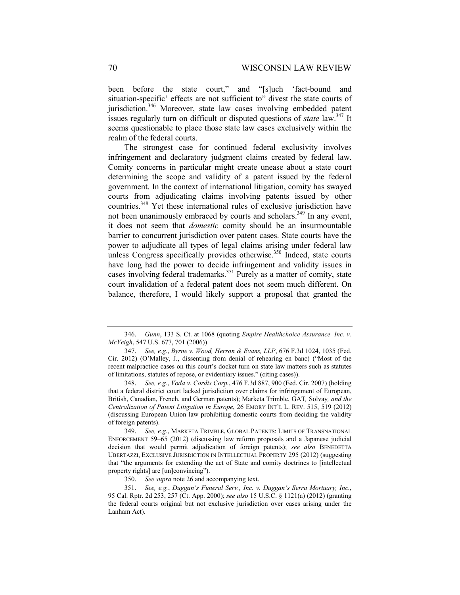been before the state court," and "[s]uch 'fact-bound and situation-specific' effects are not sufficient to" divest the state courts of jurisdiction.<sup>346</sup> Moreover, state law cases involving embedded patent issues regularly turn on difficult or disputed questions of *state* law.<sup>347</sup> It seems questionable to place those state law cases exclusively within the realm of the federal courts.

The strongest case for continued federal exclusivity involves infringement and declaratory judgment claims created by federal law. Comity concerns in particular might create unease about a state court determining the scope and validity of a patent issued by the federal government. In the context of international litigation, comity has swayed courts from adjudicating claims involving patents issued by other countries.348 Yet these international rules of exclusive jurisdiction have not been unanimously embraced by courts and scholars.<sup>349</sup> In any event, it does not seem that *domestic* comity should be an insurmountable barrier to concurrent jurisdiction over patent cases. State courts have the power to adjudicate all types of legal claims arising under federal law unless Congress specifically provides otherwise.<sup>350</sup> Indeed, state courts have long had the power to decide infringement and validity issues in cases involving federal trademarks.<sup>351</sup> Purely as a matter of comity, state court invalidation of a federal patent does not seem much different. On balance, therefore, I would likely support a proposal that granted the

 <sup>346.</sup> *Gunn*, 133 S. Ct. at 1068 (quoting *Empire Healthchoice Assurance, Inc. v. McVeigh*, 547 U.S. 677, 701 (2006)).

 <sup>347.</sup> *See, e.g.*, *Byrne v. Wood, Herron & Evans, LLP*, 676 F.3d 1024, 1035 (Fed. Cir. 2012) (O'Malley, J., dissenting from denial of rehearing en banc) ("Most of the recent malpractice cases on this court's docket turn on state law matters such as statutes of limitations, statutes of repose, or evidentiary issues." (citing cases)).

 <sup>348.</sup> *See, e.g.*, *Voda v. Cordis Corp.*, 476 F.3d 887, 900 (Fed. Cir. 2007) (holding that a federal district court lacked jurisdiction over claims for infringement of European, British, Canadian, French, and German patents); Marketa Trimble, GAT*,* Solvay*, and the Centralization of Patent Litigation in Europe*, 26 EMORY INT'L L. REV. 515, 519 (2012) (discussing European Union law prohibiting domestic courts from deciding the validity of foreign patents).

 <sup>349.</sup> *See, e.g.*, MARKETA TRIMBLE, GLOBAL PATENTS: LIMITS OF TRANSNATIONAL ENFORCEMENT 59–65 (2012) (discussing law reform proposals and a Japanese judicial decision that would permit adjudication of foreign patents); *see also* BENEDETTA UBERTAZZI, EXCLUSIVE JURISDICTION IN INTELLECTUAL PROPERTY 295 (2012) (suggesting that "the arguments for extending the act of State and comity doctrines to [intellectual property rights] are [un]convincing").

 <sup>350.</sup> *See supra* note 26 and accompanying text.

 <sup>351.</sup> *See, e.g.*, *Duggan's Funeral Serv., Inc. v. Duggan's Serra Mortuary, Inc.*, 95 Cal. Rptr. 2d 253, 257 (Ct. App. 2000); *see also* 15 U.S.C. § 1121(a) (2012) (granting the federal courts original but not exclusive jurisdiction over cases arising under the Lanham Act).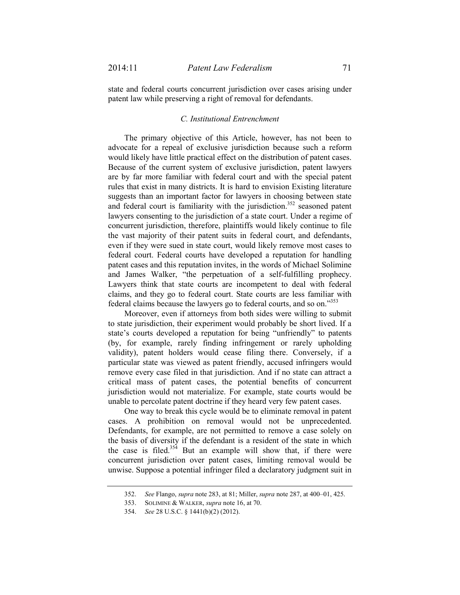state and federal courts concurrent jurisdiction over cases arising under patent law while preserving a right of removal for defendants.

## *C. Institutional Entrenchment*

The primary objective of this Article, however, has not been to advocate for a repeal of exclusive jurisdiction because such a reform would likely have little practical effect on the distribution of patent cases. Because of the current system of exclusive jurisdiction, patent lawyers are by far more familiar with federal court and with the special patent rules that exist in many districts. It is hard to envision Existing literature suggests than an important factor for lawyers in choosing between state and federal court is familiarity with the jurisdiction.<sup>352</sup> seasoned patent lawyers consenting to the jurisdiction of a state court. Under a regime of concurrent jurisdiction, therefore, plaintiffs would likely continue to file the vast majority of their patent suits in federal court, and defendants, even if they were sued in state court, would likely remove most cases to federal court. Federal courts have developed a reputation for handling patent cases and this reputation invites, in the words of Michael Solimine and James Walker, "the perpetuation of a self-fulfilling prophecy. Lawyers think that state courts are incompetent to deal with federal claims, and they go to federal court. State courts are less familiar with federal claims because the lawyers go to federal courts, and so on."353

Moreover, even if attorneys from both sides were willing to submit to state jurisdiction, their experiment would probably be short lived. If a state's courts developed a reputation for being "unfriendly" to patents (by, for example, rarely finding infringement or rarely upholding validity), patent holders would cease filing there. Conversely, if a particular state was viewed as patent friendly, accused infringers would remove every case filed in that jurisdiction. And if no state can attract a critical mass of patent cases, the potential benefits of concurrent jurisdiction would not materialize. For example, state courts would be unable to percolate patent doctrine if they heard very few patent cases.

One way to break this cycle would be to eliminate removal in patent cases. A prohibition on removal would not be unprecedented. Defendants, for example, are not permitted to remove a case solely on the basis of diversity if the defendant is a resident of the state in which the case is filed.<sup>354</sup> But an example will show that, if there were concurrent jurisdiction over patent cases, limiting removal would be unwise. Suppose a potential infringer filed a declaratory judgment suit in

 <sup>352.</sup> *See* Flango, *supra* note 283, at 81; Miller, *supra* note 287, at 400–01, 425.

 <sup>353.</sup> SOLIMINE & WALKER, *supra* note 16, at 70.

 <sup>354.</sup> *See* 28 U.S.C. § 1441(b)(2) (2012).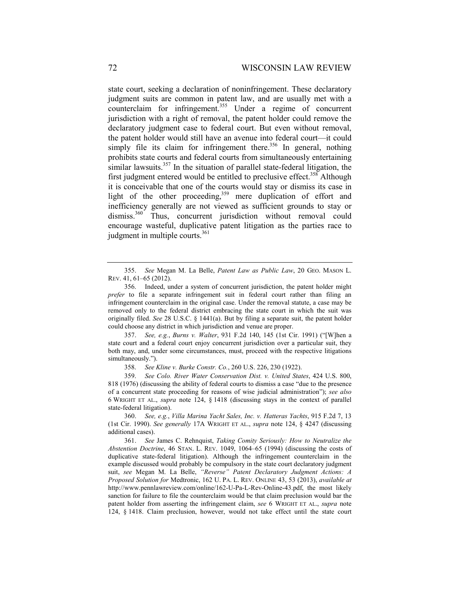state court, seeking a declaration of noninfringement. These declaratory judgment suits are common in patent law, and are usually met with a counterclaim for infringement.<sup>355</sup> Under a regime of concurrent jurisdiction with a right of removal, the patent holder could remove the declaratory judgment case to federal court. But even without removal, the patent holder would still have an avenue into federal court—it could simply file its claim for infringement there.<sup>356</sup> In general, nothing prohibits state courts and federal courts from simultaneously entertaining similar lawsuits.<sup>357</sup> In the situation of parallel state-federal litigation, the first judgment entered would be entitled to preclusive effect.<sup>358</sup> Although it is conceivable that one of the courts would stay or dismiss its case in light of the other proceeding,<sup>359</sup> mere duplication of effort and inefficiency generally are not viewed as sufficient grounds to stay or dismiss.<sup>360</sup> Thus, concurrent jurisdiction without removal could encourage wasteful, duplicative patent litigation as the parties race to judgment in multiple courts.<sup>361</sup>

 357. *See, e.g.*, *Burns v. Walter*, 931 F.2d 140, 145 (1st Cir. 1991) ("[W]hen a state court and a federal court enjoy concurrent jurisdiction over a particular suit, they both may, and, under some circumstances, must, proceed with the respective litigations simultaneously.").

358. *See Kline v. Burke Constr. Co.*, 260 U.S. 226, 230 (1922).

 359. *See Colo. River Water Conservation Dist. v. United States*, 424 U.S. 800, 818 (1976) (discussing the ability of federal courts to dismiss a case "due to the presence of a concurrent state proceeding for reasons of wise judicial administration"); *see also*  6 WRIGHT ET AL., *supra* note 124, § 1418 (discussing stays in the context of parallel state-federal litigation).

 360. *See, e.g.*, *Villa Marina Yacht Sales, Inc. v. Hatteras Yachts*, 915 F.2d 7, 13 (1st Cir. 1990). *See generally* 17A WRIGHT ET AL., *supra* note 124, § 4247 (discussing additional cases).

 361. *See* James C. Rehnquist, *Taking Comity Seriously: How to Neutralize the Abstention Doctrine*, 46 STAN. L. REV. 1049, 1064–65 (1994) (discussing the costs of duplicative state-federal litigation). Although the infringement counterclaim in the example discussed would probably be compulsory in the state court declaratory judgment suit, *see* Megan M. La Belle, *"Reverse" Patent Declaratory Judgment Actions: A Proposed Solution for* Medtronic, 162 U. PA. L. REV. ONLINE 43, 53 (2013), *available at*  http://www.pennlawreview.com/online/162-U-Pa-L-Rev-Online-43.pdf, the most likely sanction for failure to file the counterclaim would be that claim preclusion would bar the patent holder from asserting the infringement claim, *see* 6 WRIGHT ET AL., *supra* note 124, § 1418. Claim preclusion, however, would not take effect until the state court

 <sup>355.</sup> *See* Megan M. La Belle, *Patent Law as Public Law*, 20 GEO. MASON L. REV. 41, 61–65 (2012).

 <sup>356.</sup> Indeed, under a system of concurrent jurisdiction, the patent holder might *prefer* to file a separate infringement suit in federal court rather than filing an infringement counterclaim in the original case. Under the removal statute, a case may be removed only to the federal district embracing the state court in which the suit was originally filed. *See* 28 U.S.C. § 1441(a). But by filing a separate suit, the patent holder could choose any district in which jurisdiction and venue are proper.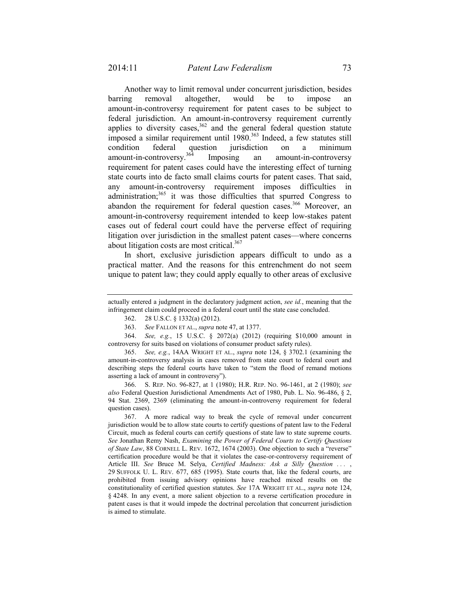Another way to limit removal under concurrent jurisdiction, besides barring removal altogether, would be to impose an amount-in-controversy requirement for patent cases to be subject to federal jurisdiction. An amount-in-controversy requirement currently applies to diversity cases,  $362$  and the general federal question statute imposed a similar requirement until  $1980$ .<sup>363</sup> Indeed, a few statutes still condition federal question jurisdiction on a minimum amount-in-controversy.<sup>364</sup> Imposing an amount-in-controversy requirement for patent cases could have the interesting effect of turning state courts into de facto small claims courts for patent cases. That said, any amount-in-controversy requirement imposes difficulties in administration;<sup>365</sup> it was those difficulties that spurred Congress to abandon the requirement for federal question cases.<sup>366</sup> Moreover, an amount-in-controversy requirement intended to keep low-stakes patent cases out of federal court could have the perverse effect of requiring litigation over jurisdiction in the smallest patent cases—where concerns about litigation costs are most critical.<sup>367</sup>

In short, exclusive jurisdiction appears difficult to undo as a practical matter. And the reasons for this entrenchment do not seem unique to patent law; they could apply equally to other areas of exclusive

 364. *See, e.g.*, 15 U.S.C. § 2072(a) (2012) (requiring \$10,000 amount in controversy for suits based on violations of consumer product safety rules).

 365. *See, e.g.*, 14AA WRIGHT ET AL., *supra* note 124, § 3702.1 (examining the amount-in-controversy analysis in cases removed from state court to federal court and describing steps the federal courts have taken to "stem the flood of remand motions asserting a lack of amount in controversy").

 366. S. REP. NO. 96-827, at 1 (1980); H.R. REP. NO. 96-1461, at 2 (1980); *see also* Federal Question Jurisdictional Amendments Act of 1980, Pub. L. No. 96-486, § 2, 94 Stat. 2369, 2369 (eliminating the amount-in-controversy requirement for federal question cases).

 367. A more radical way to break the cycle of removal under concurrent jurisdiction would be to allow state courts to certify questions of patent law to the Federal Circuit, much as federal courts can certify questions of state law to state supreme courts. *See* Jonathan Remy Nash, *Examining the Power of Federal Courts to Certify Questions of State Law*, 88 CORNELL L. REV. 1672, 1674 (2003). One objection to such a "reverse" certification procedure would be that it violates the case-or-controversy requirement of Article III. *See* Bruce M. Selya, *Certified Madness: Ask a Silly Question . . .* , 29 SUFFOLK U. L. REV. 677, 685 (1995). State courts that, like the federal courts, are prohibited from issuing advisory opinions have reached mixed results on the constitutionality of certified question statutes. *See* 17A WRIGHT ET AL., *supra* note 124, § 4248. In any event, a more salient objection to a reverse certification procedure in patent cases is that it would impede the doctrinal percolation that concurrent jurisdiction is aimed to stimulate.

actually entered a judgment in the declaratory judgment action, *see id.*, meaning that the infringement claim could proceed in a federal court until the state case concluded.

 <sup>362. 28</sup> U.S.C. § 1332(a) (2012).

 <sup>363.</sup> *See* FALLON ET AL., *supra* note 47, at 1377.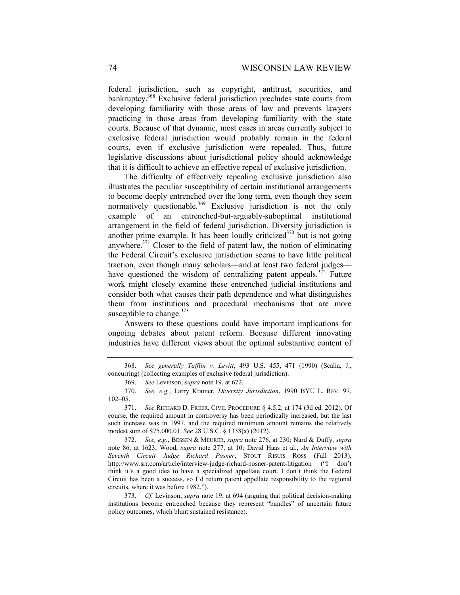federal jurisdiction, such as copyright, antitrust, securities, and bankruptcy.<sup>368</sup> Exclusive federal jurisdiction precludes state courts from developing familiarity with those areas of law and prevents lawyers practicing in those areas from developing familiarity with the state courts. Because of that dynamic, most cases in areas currently subject to exclusive federal jurisdiction would probably remain in the federal courts, even if exclusive jurisdiction were repealed. Thus, future legislative discussions about jurisdictional policy should acknowledge that it is difficult to achieve an effective repeal of exclusive jurisdiction.

The difficulty of effectively repealing exclusive jurisdiction also illustrates the peculiar susceptibility of certain institutional arrangements to become deeply entrenched over the long term, even though they seem normatively questionable.<sup>369</sup> Exclusive jurisdiction is not the only example of an entrenched-but-arguably-suboptimal institutional arrangement in the field of federal jurisdiction. Diversity jurisdiction is another prime example. It has been loudly criticized<sup>370</sup> but is not going anywhere.371 Closer to the field of patent law, the notion of eliminating the Federal Circuit's exclusive jurisdiction seems to have little political traction, even though many scholars—and at least two federal judges have questioned the wisdom of centralizing patent appeals.<sup>372</sup> Future work might closely examine these entrenched judicial institutions and consider both what causes their path dependence and what distinguishes them from institutions and procedural mechanisms that are more susceptible to change.<sup>373</sup>

Answers to these questions could have important implications for ongoing debates about patent reform. Because different innovating industries have different views about the optimal substantive content of

 <sup>368.</sup> *See generally Tafflin v. Levitt*, 493 U.S. 455, 471 (1990) (Scalia, J., concurring) (collecting examples of exclusive federal jurisdiction).

 <sup>369.</sup> *See* Levinson, *supra* note 19, at 672.

 <sup>370.</sup> *See, e.g.*, Larry Kramer, *Diversity Jurisdiction*, 1990 BYU L. REV. 97, 102–05.

 <sup>371.</sup> *See* RICHARD D. FREER, CIVIL PROCEDURE § 4.5.2, at 174 (3d ed. 2012). Of course, the required amount in controversy has been periodically increased, but the last such increase was in 1997, and the required minimum amount remains the relatively modest sum of \$75,000.01. *See* 28 U.S.C. § 1338(a) (2012).

 <sup>372.</sup> *See, e.g.*, BESSEN & MEURER, *supra* note 276, at 230; Nard & Duffy, *supra* note 86, at 1623; Wood, *supra* note 277, at 10; David Haas et al., *An Interview with Seventh Circuit Judge Richard Posner*, STOUT RISUIS ROSS (Fall 2013), http://www.srr.com/article/interview-judge-richard-posner-patent-litigation ("I don't think it's a good idea to have a specialized appellate court. I don't think the Federal Circuit has been a success, so I'd return patent appellate responsibility to the regional circuits, where it was before 1982.").

 <sup>373.</sup> *Cf.* Levinson, *supra* note 19, at 694 (arguing that political decision-making institutions become entrenched because they represent "bundles" of uncertain future policy outcomes, which blunt sustained resistance).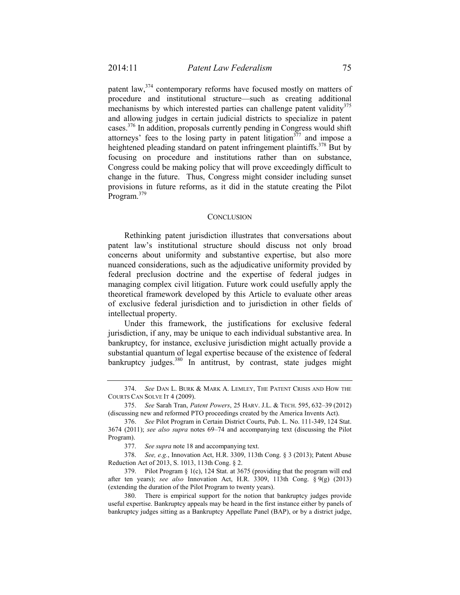patent law,<sup>374</sup> contemporary reforms have focused mostly on matters of procedure and institutional structure—such as creating additional mechanisms by which interested parties can challenge patent validity $^{375}$ and allowing judges in certain judicial districts to specialize in patent cases.376 In addition, proposals currently pending in Congress would shift attorneys' fees to the losing party in patent litigation<sup> $377$ </sup> and impose a heightened pleading standard on patent infringement plaintiffs.<sup>378</sup> But by focusing on procedure and institutions rather than on substance, Congress could be making policy that will prove exceedingly difficult to change in the future. Thus, Congress might consider including sunset provisions in future reforms, as it did in the statute creating the Pilot Program.<sup>379</sup>

#### **CONCLUSION**

Rethinking patent jurisdiction illustrates that conversations about patent law's institutional structure should discuss not only broad concerns about uniformity and substantive expertise, but also more nuanced considerations, such as the adjudicative uniformity provided by federal preclusion doctrine and the expertise of federal judges in managing complex civil litigation. Future work could usefully apply the theoretical framework developed by this Article to evaluate other areas of exclusive federal jurisdiction and to jurisdiction in other fields of intellectual property.

Under this framework, the justifications for exclusive federal jurisdiction, if any, may be unique to each individual substantive area. In bankruptcy, for instance, exclusive jurisdiction might actually provide a substantial quantum of legal expertise because of the existence of federal bankruptcy judges.<sup>380</sup> In antitrust, by contrast, state judges might

 <sup>374.</sup> *See* DAN L. BURK & MARK A. LEMLEY, THE PATENT CRISIS AND HOW THE COURTS CAN SOLVE IT 4 (2009).

 <sup>375.</sup> *See* Sarah Tran, *Patent Powers*, 25 HARV. J.L. & TECH. 595, 632–39 (2012) (discussing new and reformed PTO proceedings created by the America Invents Act).

 <sup>376.</sup> *See* Pilot Program in Certain District Courts, Pub. L. No. 111-349, 124 Stat. 3674 (2011); *see also supra* notes 69–74 and accompanying text (discussing the Pilot Program).

 <sup>377.</sup> *See supra* note 18 and accompanying text.

 <sup>378.</sup> *See, e.g.*, Innovation Act, H.R. 3309, 113th Cong. § 3 (2013); Patent Abuse Reduction Act of 2013, S. 1013, 113th Cong. § 2.

 <sup>379.</sup> Pilot Program § 1(c), 124 Stat. at 3675 (providing that the program will end after ten years); *see also* Innovation Act, H.R. 3309, 113th Cong. § 9(g) (2013) (extending the duration of the Pilot Program to twenty years).

 <sup>380.</sup> There is empirical support for the notion that bankruptcy judges provide useful expertise. Bankruptcy appeals may be heard in the first instance either by panels of bankruptcy judges sitting as a Bankruptcy Appellate Panel (BAP), or by a district judge,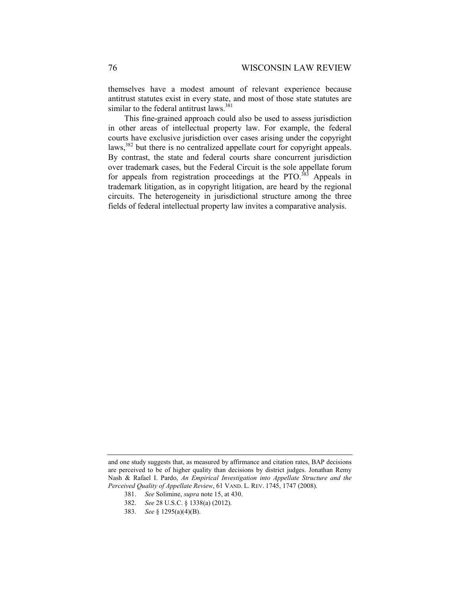themselves have a modest amount of relevant experience because antitrust statutes exist in every state, and most of those state statutes are similar to the federal antitrust laws.<sup>381</sup>

This fine-grained approach could also be used to assess jurisdiction in other areas of intellectual property law. For example, the federal courts have exclusive jurisdiction over cases arising under the copyright laws,<sup>382</sup> but there is no centralized appellate court for copyright appeals. By contrast, the state and federal courts share concurrent jurisdiction over trademark cases, but the Federal Circuit is the sole appellate forum for appeals from registration proceedings at the PTO.<sup>383</sup> Appeals in trademark litigation, as in copyright litigation, are heard by the regional circuits. The heterogeneity in jurisdictional structure among the three fields of federal intellectual property law invites a comparative analysis.

and one study suggests that, as measured by affirmance and citation rates, BAP decisions are perceived to be of higher quality than decisions by district judges. Jonathan Remy Nash & Rafael I. Pardo, *An Empirical Investigation into Appellate Structure and the Perceived Quality of Appellate Review*, 61 VAND. L. REV. 1745, 1747 (2008).

 <sup>381.</sup> *See* Solimine, *supra* note 15, at 430.

 <sup>382.</sup> *See* 28 U.S.C. § 1338(a) (2012).

 <sup>383.</sup> *See* § 1295(a)(4)(B).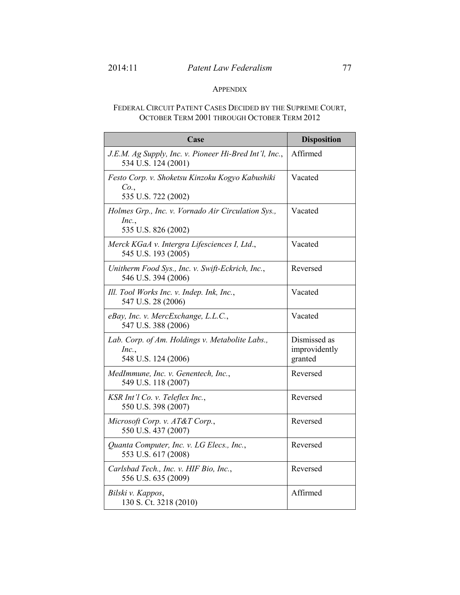# APPENDIX

# FEDERAL CIRCUIT PATENT CASES DECIDED BY THE SUPREME COURT, OCTOBER TERM 2001 THROUGH OCTOBER TERM 2012

| Case                                                                               | <b>Disposition</b>                       |
|------------------------------------------------------------------------------------|------------------------------------------|
| J.E.M. Ag Supply, Inc. v. Pioneer Hi-Bred Int'l, Inc.,<br>534 U.S. 124 (2001)      | Affirmed                                 |
| Festo Corp. v. Shoketsu Kinzoku Kogyo Kabushiki<br>Co.<br>535 U.S. 722 (2002)      | Vacated                                  |
| Holmes Grp., Inc. v. Vornado Air Circulation Sys.,<br>Inc.,<br>535 U.S. 826 (2002) | Vacated                                  |
| Merck KGaA v. Intergra Lifesciences I, Ltd.,<br>545 U.S. 193 (2005)                | Vacated                                  |
| Unitherm Food Sys., Inc. v. Swift-Eckrich, Inc.,<br>546 U.S. 394 (2006)            | Reversed                                 |
| Ill. Tool Works Inc. v. Indep. Ink, Inc.,<br>547 U.S. 28 (2006)                    | Vacated                                  |
| eBay, Inc. v. MercExchange, L.L.C.,<br>547 U.S. 388 (2006)                         | Vacated                                  |
| Lab. Corp. of Am. Holdings v. Metabolite Labs.,<br>Inc.,<br>548 U.S. 124 (2006)    | Dismissed as<br>improvidently<br>granted |
| MedImmune, Inc. v. Genentech, Inc.,<br>549 U.S. 118 (2007)                         | Reversed                                 |
| KSR Int'l Co. v. Teleflex Inc.,<br>550 U.S. 398 (2007)                             | Reversed                                 |
| Microsoft Corp. v. AT&T Corp.,<br>550 U.S. 437 (2007)                              | Reversed                                 |
| Quanta Computer, Inc. v. LG Elecs., Inc.,<br>553 U.S. 617 (2008)                   | Reversed                                 |
| Carlsbad Tech., Inc. v. HIF Bio, Inc.,<br>556 U.S. 635 (2009)                      | Reversed                                 |
| Bilski v. Kappos,<br>130 S. Ct. 3218 (2010)                                        | Affirmed                                 |